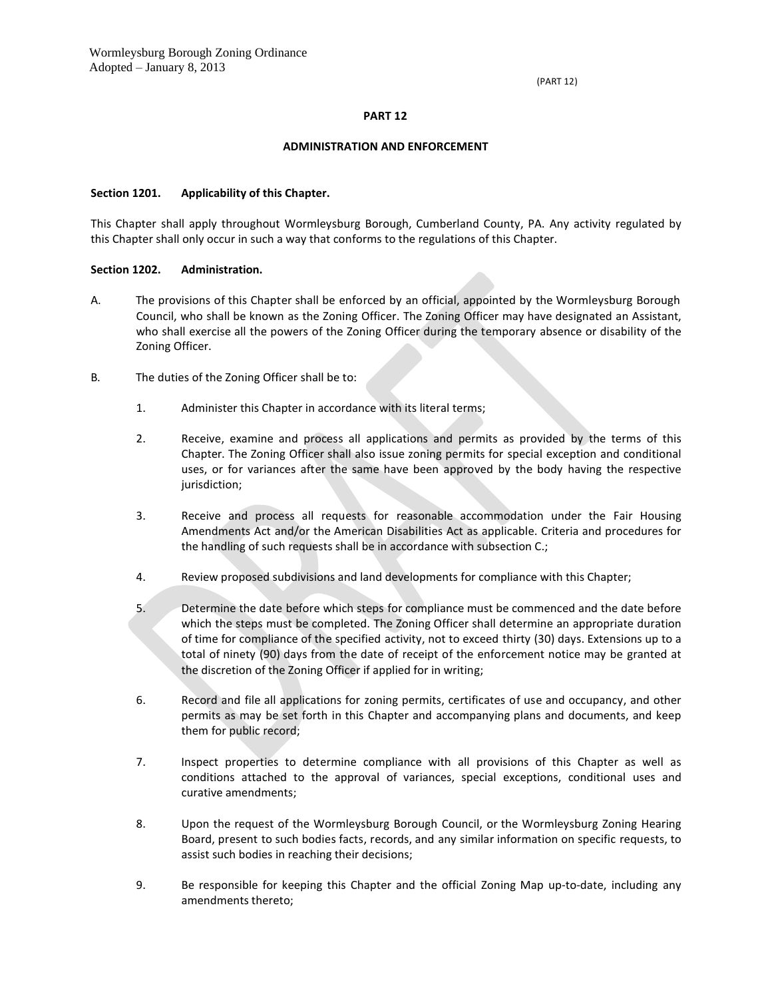(PART 12)

# **PART 12**

# **ADMINISTRATION AND ENFORCEMENT**

# **Section 1201. Applicability of this Chapter.**

This Chapter shall apply throughout Wormleysburg Borough, Cumberland County, PA. Any activity regulated by this Chapter shall only occur in such a way that conforms to the regulations of this Chapter.

# **Section 1202. Administration.**

- A. The provisions of this Chapter shall be enforced by an official, appointed by the Wormleysburg Borough Council, who shall be known as the Zoning Officer. The Zoning Officer may have designated an Assistant, who shall exercise all the powers of the Zoning Officer during the temporary absence or disability of the Zoning Officer.
- B. The duties of the Zoning Officer shall be to:
	- 1. Administer this Chapter in accordance with its literal terms;
	- 2. Receive, examine and process all applications and permits as provided by the terms of this Chapter. The Zoning Officer shall also issue zoning permits for special exception and conditional uses, or for variances after the same have been approved by the body having the respective jurisdiction;
	- 3. Receive and process all requests for reasonable accommodation under the Fair Housing Amendments Act and/or the American Disabilities Act as applicable. Criteria and procedures for the handling of such requests shall be in accordance with subsection C.;
	- 4. Review proposed subdivisions and land developments for compliance with this Chapter;
	- 5. Determine the date before which steps for compliance must be commenced and the date before which the steps must be completed. The Zoning Officer shall determine an appropriate duration of time for compliance of the specified activity, not to exceed thirty (30) days. Extensions up to a total of ninety (90) days from the date of receipt of the enforcement notice may be granted at the discretion of the Zoning Officer if applied for in writing;
	- 6. Record and file all applications for zoning permits, certificates of use and occupancy, and other permits as may be set forth in this Chapter and accompanying plans and documents, and keep them for public record;
	- 7. Inspect properties to determine compliance with all provisions of this Chapter as well as conditions attached to the approval of variances, special exceptions, conditional uses and curative amendments;
	- 8. Upon the request of the Wormleysburg Borough Council, or the Wormleysburg Zoning Hearing Board, present to such bodies facts, records, and any similar information on specific requests, to assist such bodies in reaching their decisions;
	- 9. Be responsible for keeping this Chapter and the official Zoning Map up-to-date, including any amendments thereto;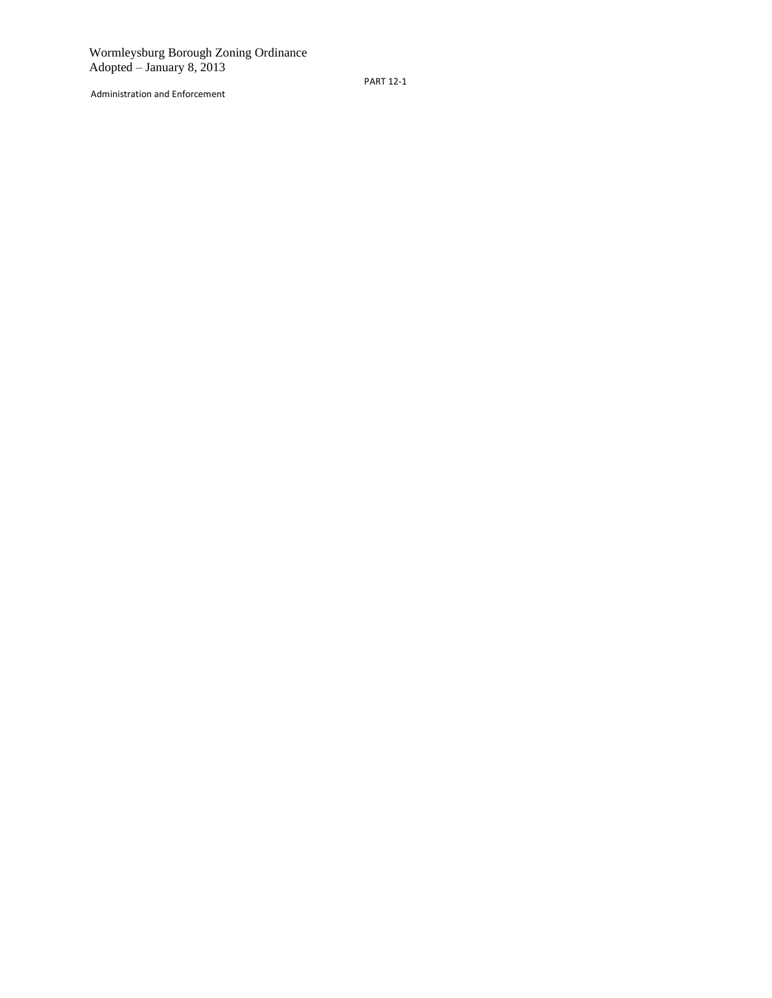Administration and Enforcement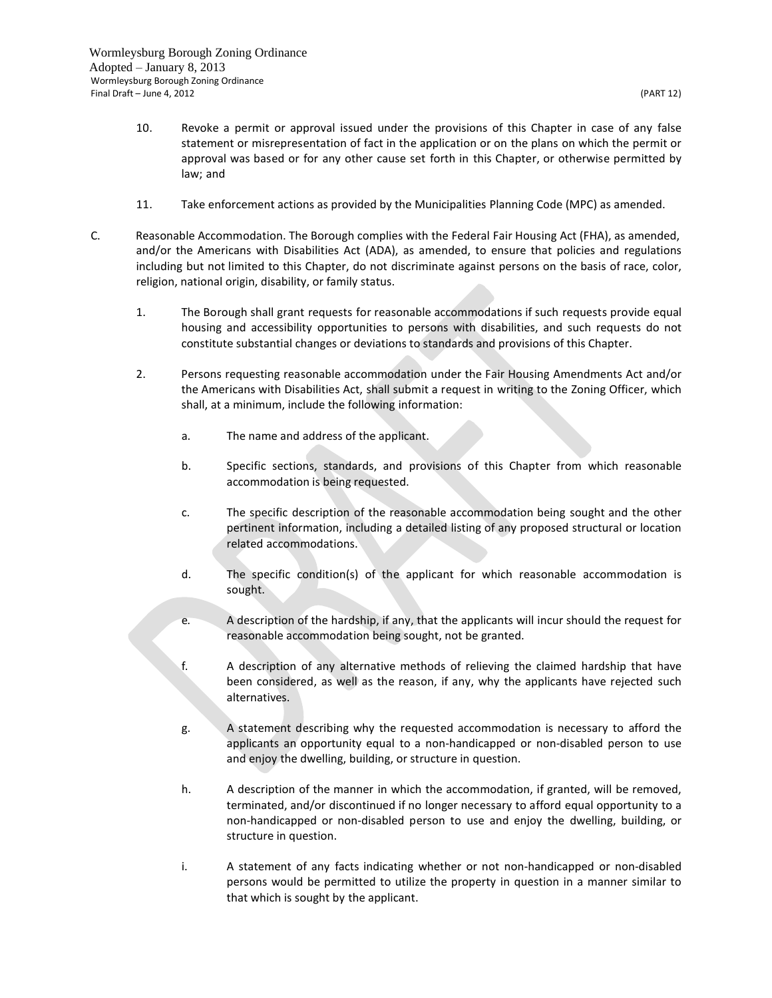- 10. Revoke a permit or approval issued under the provisions of this Chapter in case of any false statement or misrepresentation of fact in the application or on the plans on which the permit or approval was based or for any other cause set forth in this Chapter, or otherwise permitted by law; and
- 11. Take enforcement actions as provided by the Municipalities Planning Code (MPC) as amended.
- C. Reasonable Accommodation. The Borough complies with the Federal Fair Housing Act (FHA), as amended, and/or the Americans with Disabilities Act (ADA), as amended, to ensure that policies and regulations including but not limited to this Chapter, do not discriminate against persons on the basis of race, color, religion, national origin, disability, or family status.
	- 1. The Borough shall grant requests for reasonable accommodations if such requests provide equal housing and accessibility opportunities to persons with disabilities, and such requests do not constitute substantial changes or deviations to standards and provisions of this Chapter.
	- 2. Persons requesting reasonable accommodation under the Fair Housing Amendments Act and/or the Americans with Disabilities Act, shall submit a request in writing to the Zoning Officer, which shall, at a minimum, include the following information:
		- a. The name and address of the applicant.
		- b. Specific sections, standards, and provisions of this Chapter from which reasonable accommodation is being requested.
		- c. The specific description of the reasonable accommodation being sought and the other pertinent information, including a detailed listing of any proposed structural or location related accommodations.
		- d. The specific condition(s) of the applicant for which reasonable accommodation is sought.
		- e. A description of the hardship, if any, that the applicants will incur should the request for reasonable accommodation being sought, not be granted.
		- f. A description of any alternative methods of relieving the claimed hardship that have been considered, as well as the reason, if any, why the applicants have rejected such alternatives.
		- g. A statement describing why the requested accommodation is necessary to afford the applicants an opportunity equal to a non-handicapped or non-disabled person to use and enjoy the dwelling, building, or structure in question.
		- h. A description of the manner in which the accommodation, if granted, will be removed, terminated, and/or discontinued if no longer necessary to afford equal opportunity to a non-handicapped or non-disabled person to use and enjoy the dwelling, building, or structure in question.
		- i. A statement of any facts indicating whether or not non-handicapped or non-disabled persons would be permitted to utilize the property in question in a manner similar to that which is sought by the applicant.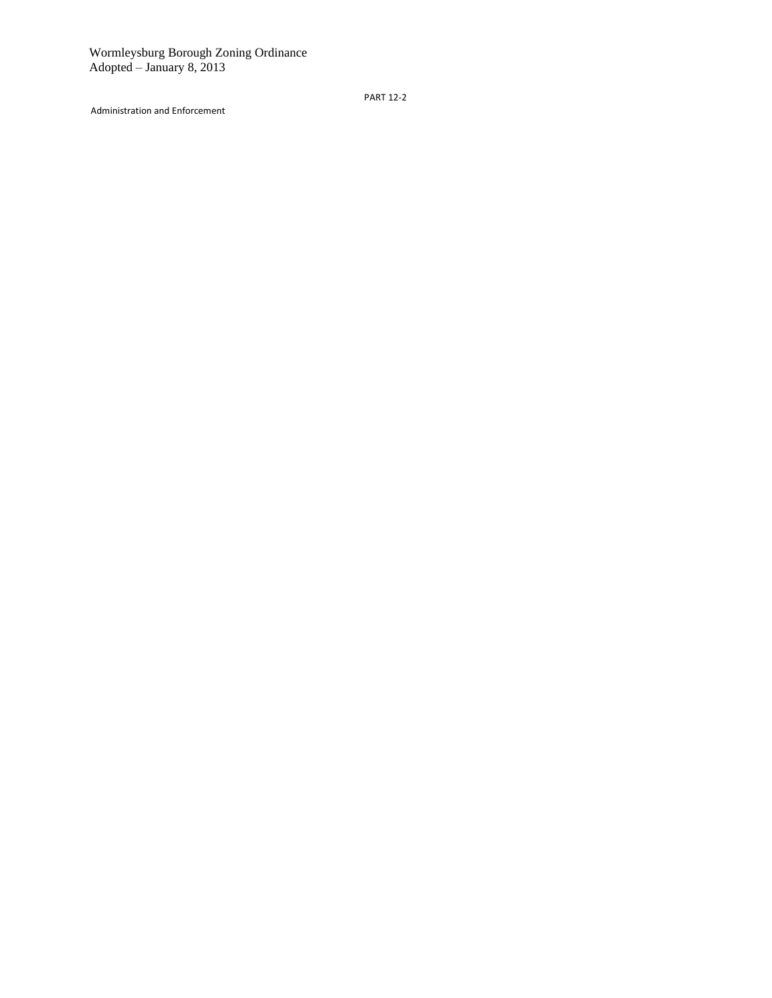Administration and Enforcement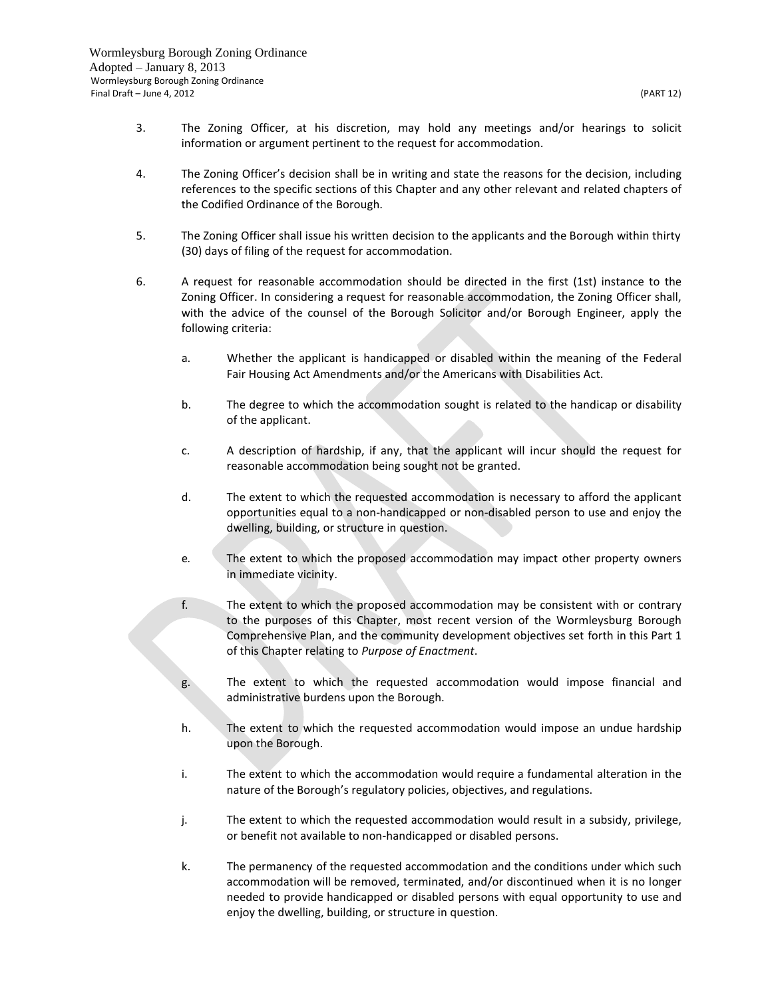- 3. The Zoning Officer, at his discretion, may hold any meetings and/or hearings to solicit information or argument pertinent to the request for accommodation.
- 4. The Zoning Officer's decision shall be in writing and state the reasons for the decision, including references to the specific sections of this Chapter and any other relevant and related chapters of the Codified Ordinance of the Borough.
- 5. The Zoning Officer shall issue his written decision to the applicants and the Borough within thirty (30) days of filing of the request for accommodation.
- 6. A request for reasonable accommodation should be directed in the first (1st) instance to the Zoning Officer. In considering a request for reasonable accommodation, the Zoning Officer shall, with the advice of the counsel of the Borough Solicitor and/or Borough Engineer, apply the following criteria:
	- a. Whether the applicant is handicapped or disabled within the meaning of the Federal Fair Housing Act Amendments and/or the Americans with Disabilities Act.
	- b. The degree to which the accommodation sought is related to the handicap or disability of the applicant.
	- c. A description of hardship, if any, that the applicant will incur should the request for reasonable accommodation being sought not be granted.
	- d. The extent to which the requested accommodation is necessary to afford the applicant opportunities equal to a non-handicapped or non-disabled person to use and enjoy the dwelling, building, or structure in question.
	- e. The extent to which the proposed accommodation may impact other property owners in immediate vicinity.
	- f. The extent to which the proposed accommodation may be consistent with or contrary to the purposes of this Chapter, most recent version of the Wormleysburg Borough Comprehensive Plan, and the community development objectives set forth in this Part 1 of this Chapter relating to *Purpose of Enactment*.
	- g. The extent to which the requested accommodation would impose financial and administrative burdens upon the Borough.
	- h. The extent to which the requested accommodation would impose an undue hardship upon the Borough.
	- i. The extent to which the accommodation would require a fundamental alteration in the nature of the Borough's regulatory policies, objectives, and regulations.
	- j. The extent to which the requested accommodation would result in a subsidy, privilege, or benefit not available to non-handicapped or disabled persons.
	- k. The permanency of the requested accommodation and the conditions under which such accommodation will be removed, terminated, and/or discontinued when it is no longer needed to provide handicapped or disabled persons with equal opportunity to use and enjoy the dwelling, building, or structure in question.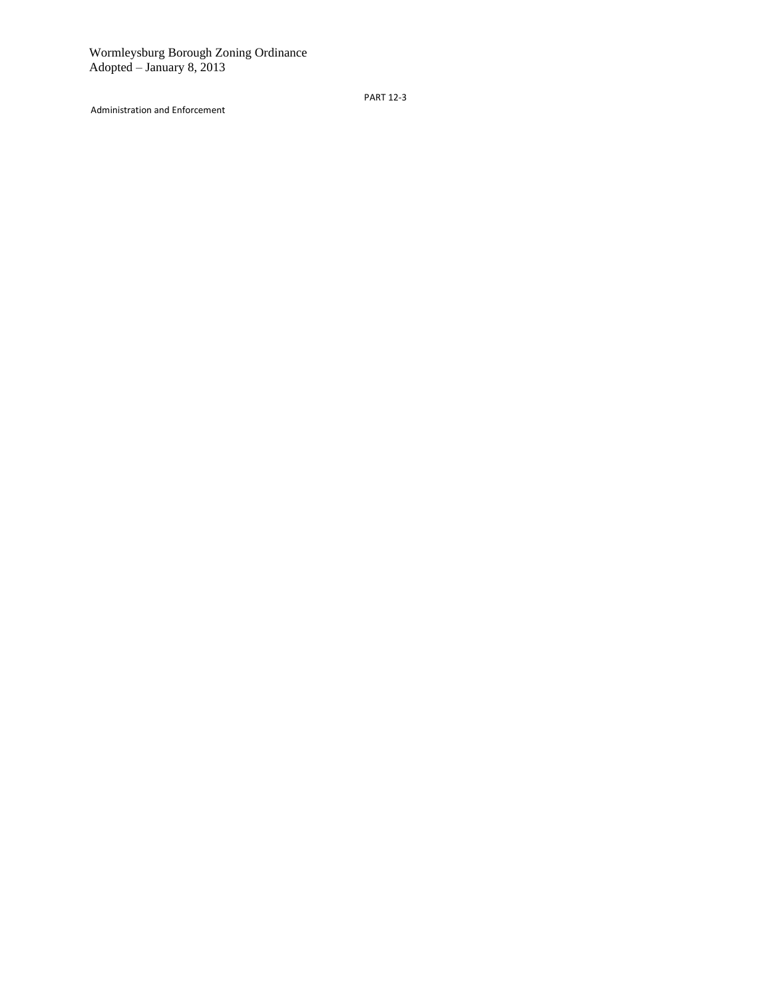Administration and Enforcement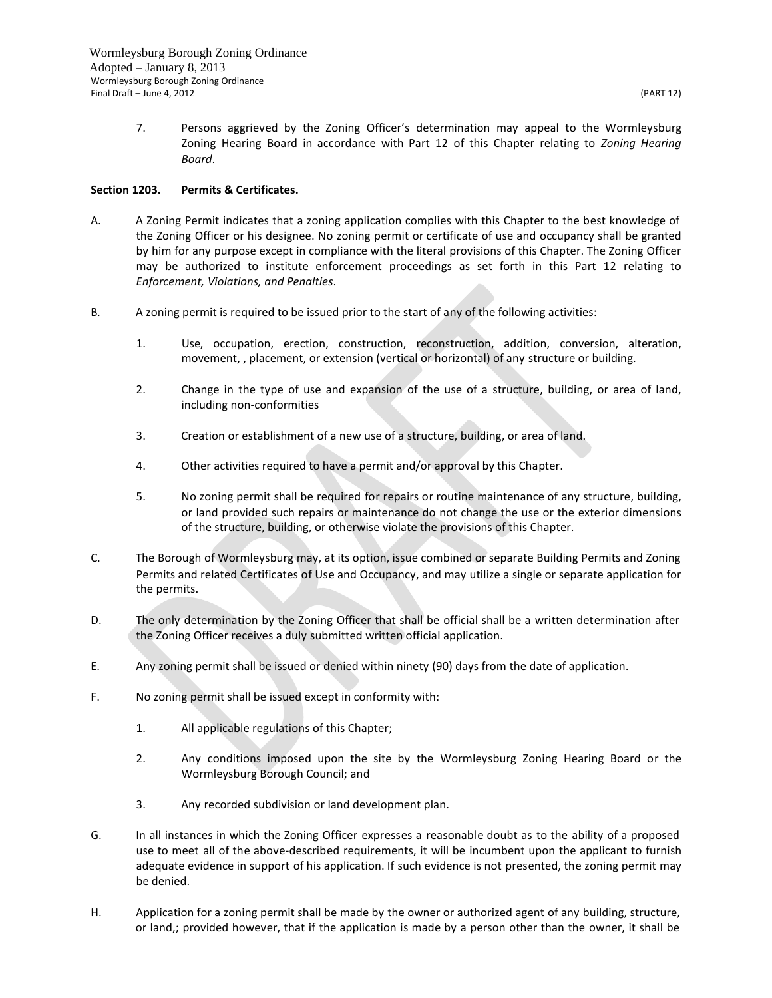7. Persons aggrieved by the Zoning Officer's determination may appeal to the Wormleysburg Zoning Hearing Board in accordance with Part 12 of this Chapter relating to *Zoning Hearing Board*.

#### **Section 1203. Permits & Certificates.**

- A. A Zoning Permit indicates that a zoning application complies with this Chapter to the best knowledge of the Zoning Officer or his designee. No zoning permit or certificate of use and occupancy shall be granted by him for any purpose except in compliance with the literal provisions of this Chapter. The Zoning Officer may be authorized to institute enforcement proceedings as set forth in this Part 12 relating to *Enforcement, Violations, and Penalties*.
- B. A zoning permit is required to be issued prior to the start of any of the following activities:
	- 1. Use, occupation, erection, construction, reconstruction, addition, conversion, alteration, movement, , placement, or extension (vertical or horizontal) of any structure or building.
	- 2. Change in the type of use and expansion of the use of a structure, building, or area of land, including non-conformities
	- 3. Creation or establishment of a new use of a structure, building, or area of land.
	- 4. Other activities required to have a permit and/or approval by this Chapter.
	- 5. No zoning permit shall be required for repairs or routine maintenance of any structure, building, or land provided such repairs or maintenance do not change the use or the exterior dimensions of the structure, building, or otherwise violate the provisions of this Chapter.
- C. The Borough of Wormleysburg may, at its option, issue combined or separate Building Permits and Zoning Permits and related Certificates of Use and Occupancy, and may utilize a single or separate application for the permits.
- D. The only determination by the Zoning Officer that shall be official shall be a written determination after the Zoning Officer receives a duly submitted written official application.
- E. Any zoning permit shall be issued or denied within ninety (90) days from the date of application.
- F. No zoning permit shall be issued except in conformity with:
	- 1. All applicable regulations of this Chapter;
	- 2. Any conditions imposed upon the site by the Wormleysburg Zoning Hearing Board or the Wormleysburg Borough Council; and
	- 3. Any recorded subdivision or land development plan.
- G. In all instances in which the Zoning Officer expresses a reasonable doubt as to the ability of a proposed use to meet all of the above-described requirements, it will be incumbent upon the applicant to furnish adequate evidence in support of his application. If such evidence is not presented, the zoning permit may be denied.
- H. Application for a zoning permit shall be made by the owner or authorized agent of any building, structure, or land,; provided however, that if the application is made by a person other than the owner, it shall be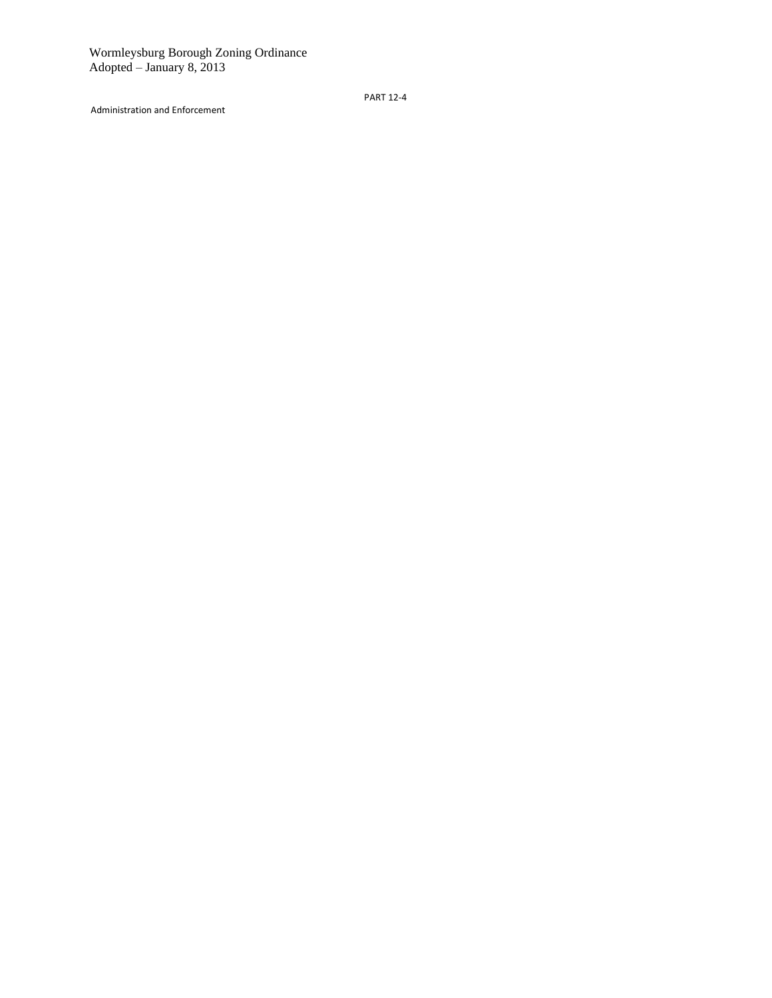Administration and Enforcement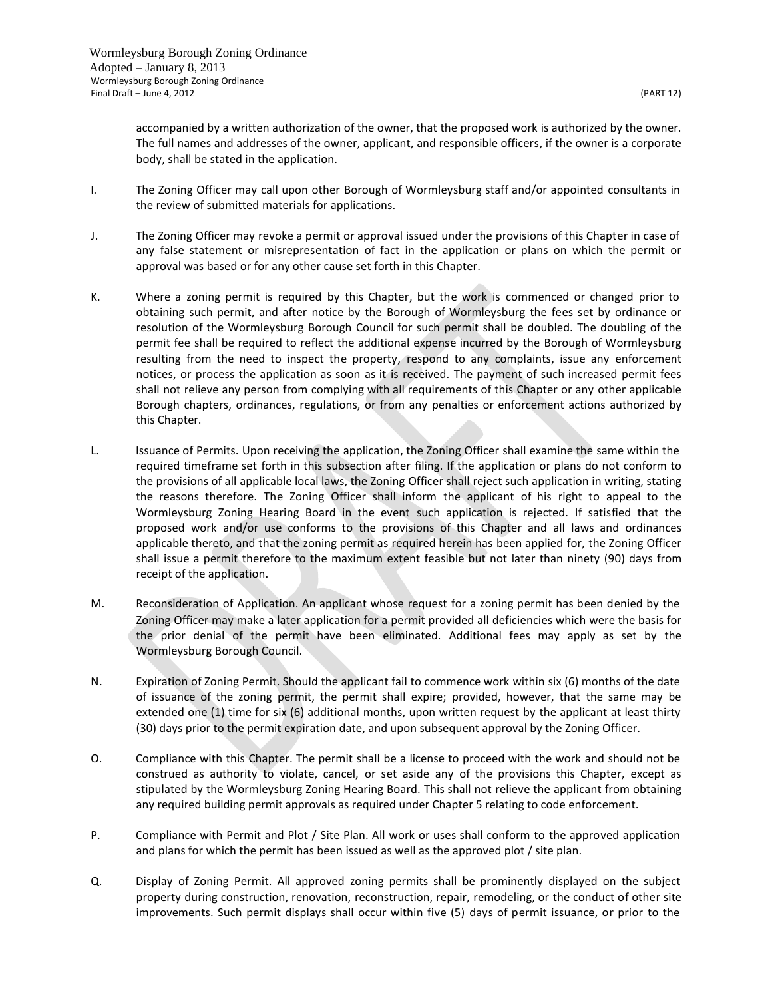accompanied by a written authorization of the owner, that the proposed work is authorized by the owner. The full names and addresses of the owner, applicant, and responsible officers, if the owner is a corporate body, shall be stated in the application.

- I. The Zoning Officer may call upon other Borough of Wormleysburg staff and/or appointed consultants in the review of submitted materials for applications.
- J. The Zoning Officer may revoke a permit or approval issued under the provisions of this Chapter in case of any false statement or misrepresentation of fact in the application or plans on which the permit or approval was based or for any other cause set forth in this Chapter.
- K. Where a zoning permit is required by this Chapter, but the work is commenced or changed prior to obtaining such permit, and after notice by the Borough of Wormleysburg the fees set by ordinance or resolution of the Wormleysburg Borough Council for such permit shall be doubled. The doubling of the permit fee shall be required to reflect the additional expense incurred by the Borough of Wormleysburg resulting from the need to inspect the property, respond to any complaints, issue any enforcement notices, or process the application as soon as it is received. The payment of such increased permit fees shall not relieve any person from complying with all requirements of this Chapter or any other applicable Borough chapters, ordinances, regulations, or from any penalties or enforcement actions authorized by this Chapter.
- L. Issuance of Permits. Upon receiving the application, the Zoning Officer shall examine the same within the required timeframe set forth in this subsection after filing. If the application or plans do not conform to the provisions of all applicable local laws, the Zoning Officer shall reject such application in writing, stating the reasons therefore. The Zoning Officer shall inform the applicant of his right to appeal to the Wormleysburg Zoning Hearing Board in the event such application is rejected. If satisfied that the proposed work and/or use conforms to the provisions of this Chapter and all laws and ordinances applicable thereto, and that the zoning permit as required herein has been applied for, the Zoning Officer shall issue a permit therefore to the maximum extent feasible but not later than ninety (90) days from receipt of the application.
- M. Reconsideration of Application. An applicant whose request for a zoning permit has been denied by the Zoning Officer may make a later application for a permit provided all deficiencies which were the basis for the prior denial of the permit have been eliminated. Additional fees may apply as set by the Wormleysburg Borough Council.
- N. Expiration of Zoning Permit. Should the applicant fail to commence work within six (6) months of the date of issuance of the zoning permit, the permit shall expire; provided, however, that the same may be extended one (1) time for six (6) additional months, upon written request by the applicant at least thirty (30) days prior to the permit expiration date, and upon subsequent approval by the Zoning Officer.
- O. Compliance with this Chapter. The permit shall be a license to proceed with the work and should not be construed as authority to violate, cancel, or set aside any of the provisions this Chapter, except as stipulated by the Wormleysburg Zoning Hearing Board. This shall not relieve the applicant from obtaining any required building permit approvals as required under Chapter 5 relating to code enforcement.
- P. Compliance with Permit and Plot / Site Plan. All work or uses shall conform to the approved application and plans for which the permit has been issued as well as the approved plot / site plan.
- Q. Display of Zoning Permit. All approved zoning permits shall be prominently displayed on the subject property during construction, renovation, reconstruction, repair, remodeling, or the conduct of other site improvements. Such permit displays shall occur within five (5) days of permit issuance, or prior to the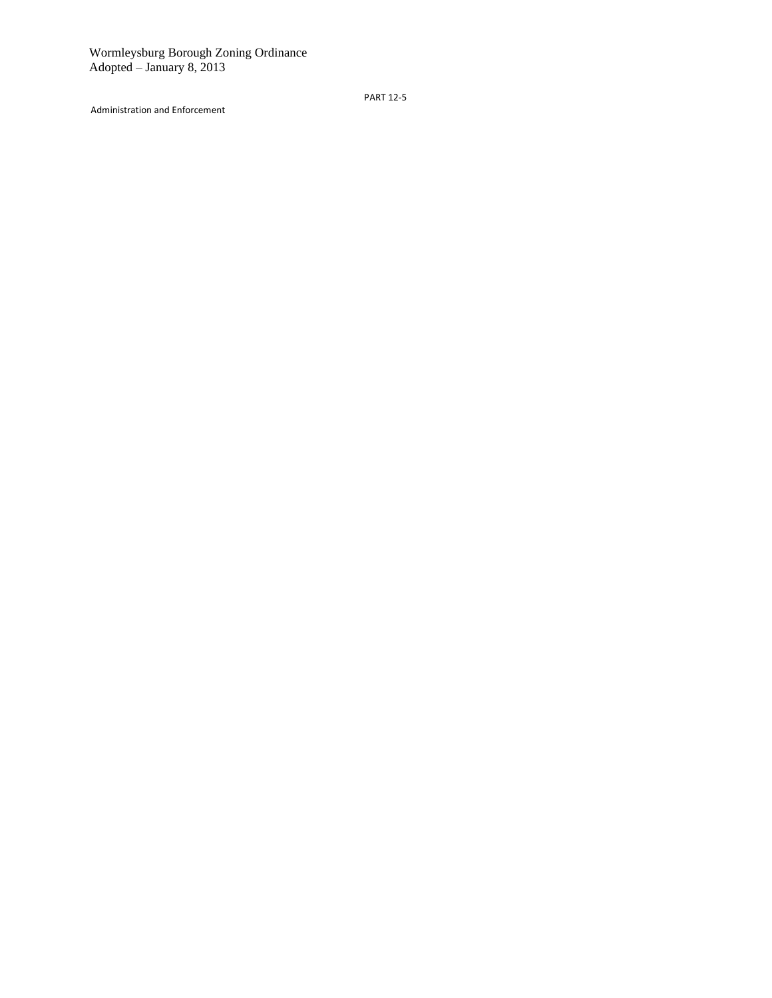Administration and Enforcement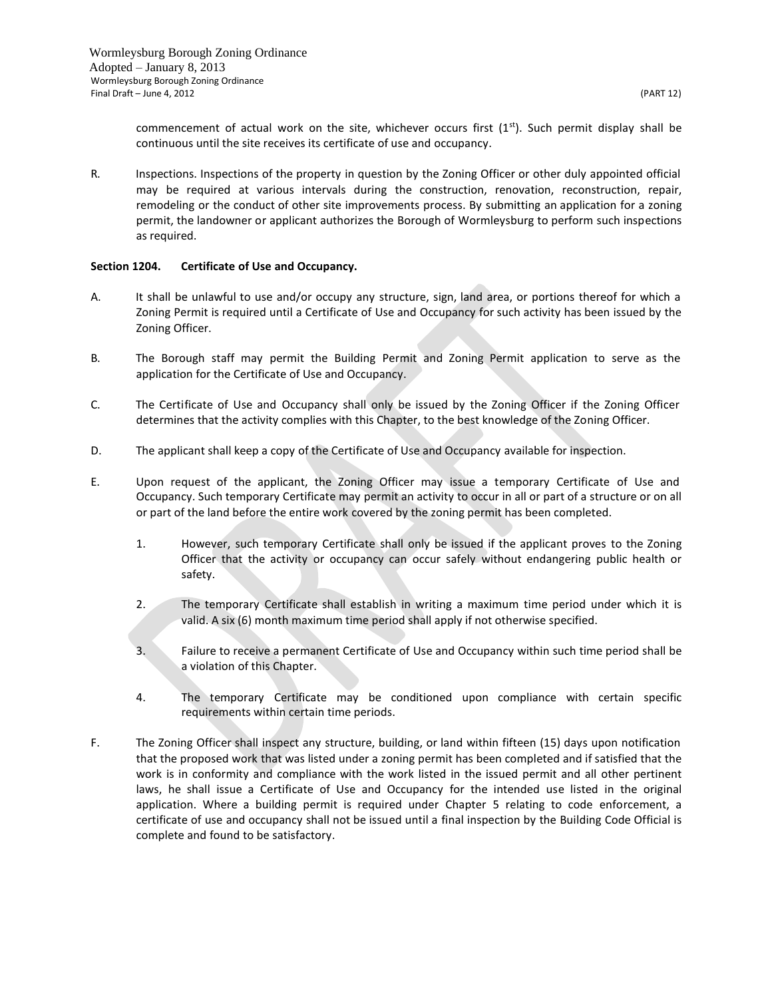commencement of actual work on the site, whichever occurs first  $(1<sup>st</sup>)$ . Such permit display shall be continuous until the site receives its certificate of use and occupancy.

R. Inspections. Inspections of the property in question by the Zoning Officer or other duly appointed official may be required at various intervals during the construction, renovation, reconstruction, repair, remodeling or the conduct of other site improvements process. By submitting an application for a zoning permit, the landowner or applicant authorizes the Borough of Wormleysburg to perform such inspections as required.

# **Section 1204. Certificate of Use and Occupancy.**

- A. It shall be unlawful to use and/or occupy any structure, sign, land area, or portions thereof for which a Zoning Permit is required until a Certificate of Use and Occupancy for such activity has been issued by the Zoning Officer.
- B. The Borough staff may permit the Building Permit and Zoning Permit application to serve as the application for the Certificate of Use and Occupancy.
- C. The Certificate of Use and Occupancy shall only be issued by the Zoning Officer if the Zoning Officer determines that the activity complies with this Chapter, to the best knowledge of the Zoning Officer.
- D. The applicant shall keep a copy of the Certificate of Use and Occupancy available for inspection.
- E. Upon request of the applicant, the Zoning Officer may issue a temporary Certificate of Use and Occupancy. Such temporary Certificate may permit an activity to occur in all or part of a structure or on all or part of the land before the entire work covered by the zoning permit has been completed.
	- 1. However, such temporary Certificate shall only be issued if the applicant proves to the Zoning Officer that the activity or occupancy can occur safely without endangering public health or safety.
	- 2. The temporary Certificate shall establish in writing a maximum time period under which it is valid. A six (6) month maximum time period shall apply if not otherwise specified.
	- 3. Failure to receive a permanent Certificate of Use and Occupancy within such time period shall be a violation of this Chapter.
	- 4. The temporary Certificate may be conditioned upon compliance with certain specific requirements within certain time periods.
- F. The Zoning Officer shall inspect any structure, building, or land within fifteen (15) days upon notification that the proposed work that was listed under a zoning permit has been completed and if satisfied that the work is in conformity and compliance with the work listed in the issued permit and all other pertinent laws, he shall issue a Certificate of Use and Occupancy for the intended use listed in the original application. Where a building permit is required under Chapter 5 relating to code enforcement, a certificate of use and occupancy shall not be issued until a final inspection by the Building Code Official is complete and found to be satisfactory.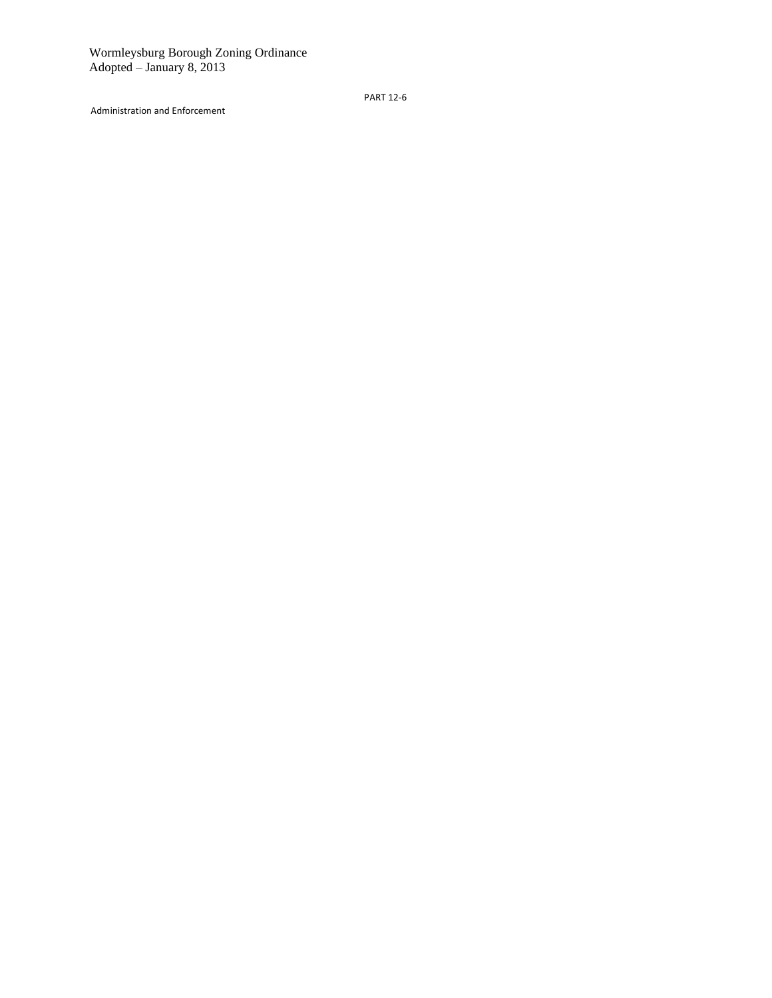Administration and Enforcement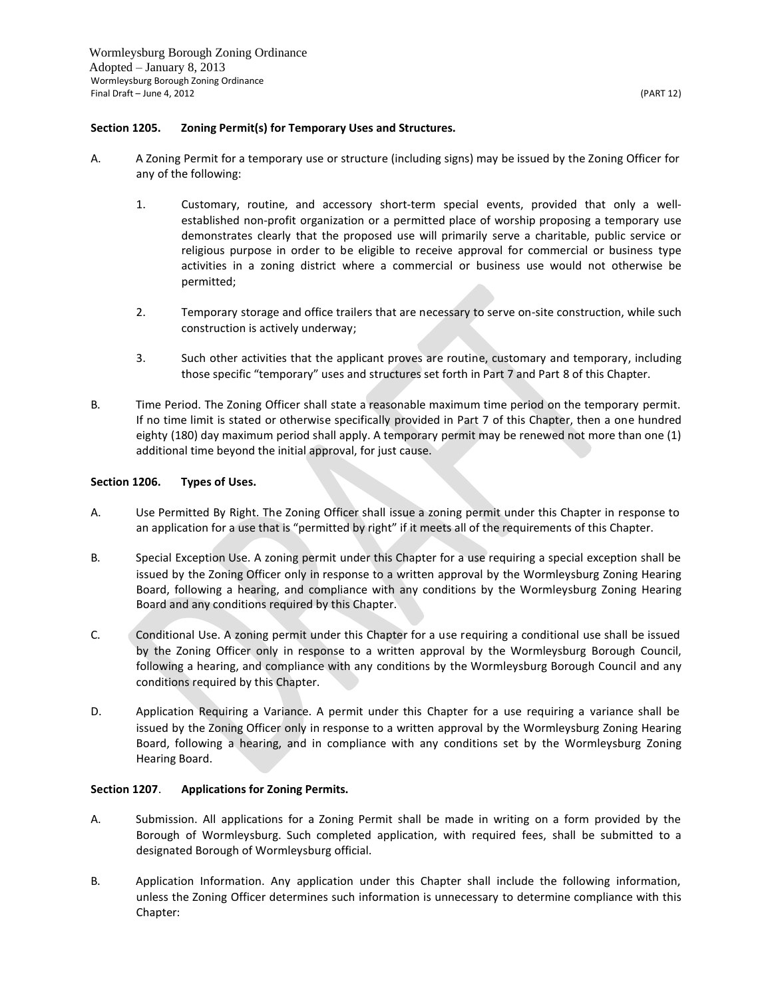# **Section 1205. Zoning Permit(s) for Temporary Uses and Structures.**

- A. A Zoning Permit for a temporary use or structure (including signs) may be issued by the Zoning Officer for any of the following:
	- 1. Customary, routine, and accessory short-term special events, provided that only a wellestablished non-profit organization or a permitted place of worship proposing a temporary use demonstrates clearly that the proposed use will primarily serve a charitable, public service or religious purpose in order to be eligible to receive approval for commercial or business type activities in a zoning district where a commercial or business use would not otherwise be permitted;
	- 2. Temporary storage and office trailers that are necessary to serve on-site construction, while such construction is actively underway;
	- 3. Such other activities that the applicant proves are routine, customary and temporary, including those specific "temporary" uses and structures set forth in Part 7 and Part 8 of this Chapter.
- B. Time Period. The Zoning Officer shall state a reasonable maximum time period on the temporary permit. If no time limit is stated or otherwise specifically provided in Part 7 of this Chapter, then a one hundred eighty (180) day maximum period shall apply. A temporary permit may be renewed not more than one (1) additional time beyond the initial approval, for just cause.

# **Section 1206. Types of Uses.**

- A. Use Permitted By Right. The Zoning Officer shall issue a zoning permit under this Chapter in response to an application for a use that is "permitted by right" if it meets all of the requirements of this Chapter.
- B. Special Exception Use. A zoning permit under this Chapter for a use requiring a special exception shall be issued by the Zoning Officer only in response to a written approval by the Wormleysburg Zoning Hearing Board, following a hearing, and compliance with any conditions by the Wormleysburg Zoning Hearing Board and any conditions required by this Chapter.
- C. Conditional Use. A zoning permit under this Chapter for a use requiring a conditional use shall be issued by the Zoning Officer only in response to a written approval by the Wormleysburg Borough Council, following a hearing, and compliance with any conditions by the Wormleysburg Borough Council and any conditions required by this Chapter.
- D. Application Requiring a Variance. A permit under this Chapter for a use requiring a variance shall be issued by the Zoning Officer only in response to a written approval by the Wormleysburg Zoning Hearing Board, following a hearing, and in compliance with any conditions set by the Wormleysburg Zoning Hearing Board.

# **Section 1207**. **Applications for Zoning Permits.**

- A. Submission. All applications for a Zoning Permit shall be made in writing on a form provided by the Borough of Wormleysburg. Such completed application, with required fees, shall be submitted to a designated Borough of Wormleysburg official.
- B. Application Information. Any application under this Chapter shall include the following information, unless the Zoning Officer determines such information is unnecessary to determine compliance with this Chapter: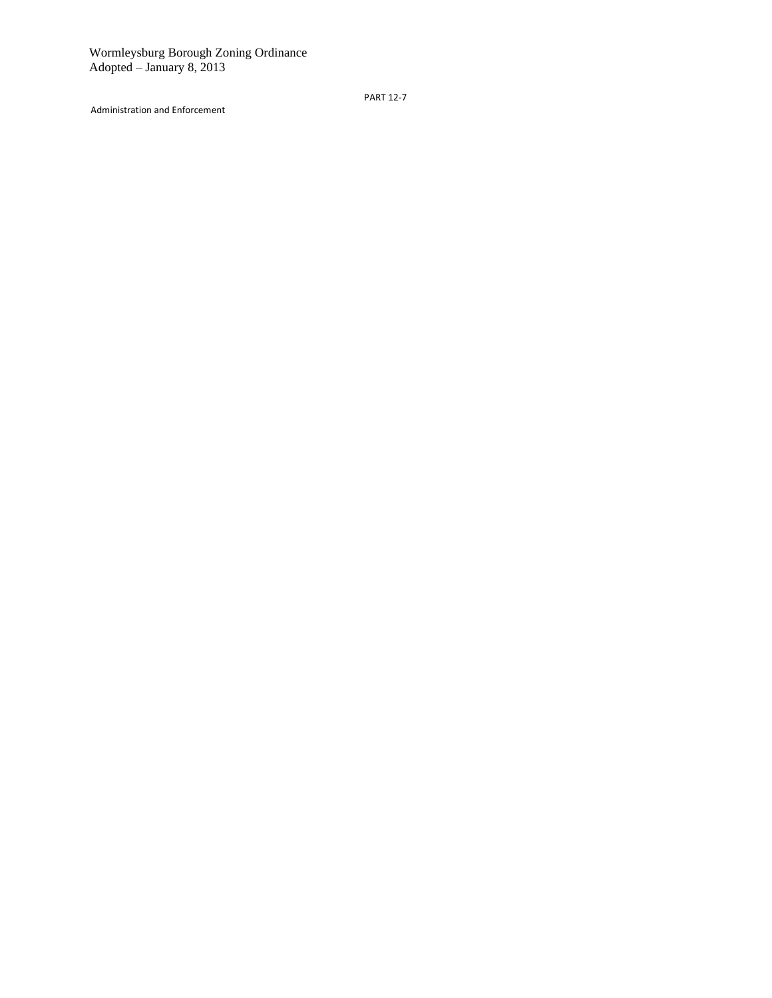Administration and Enforcement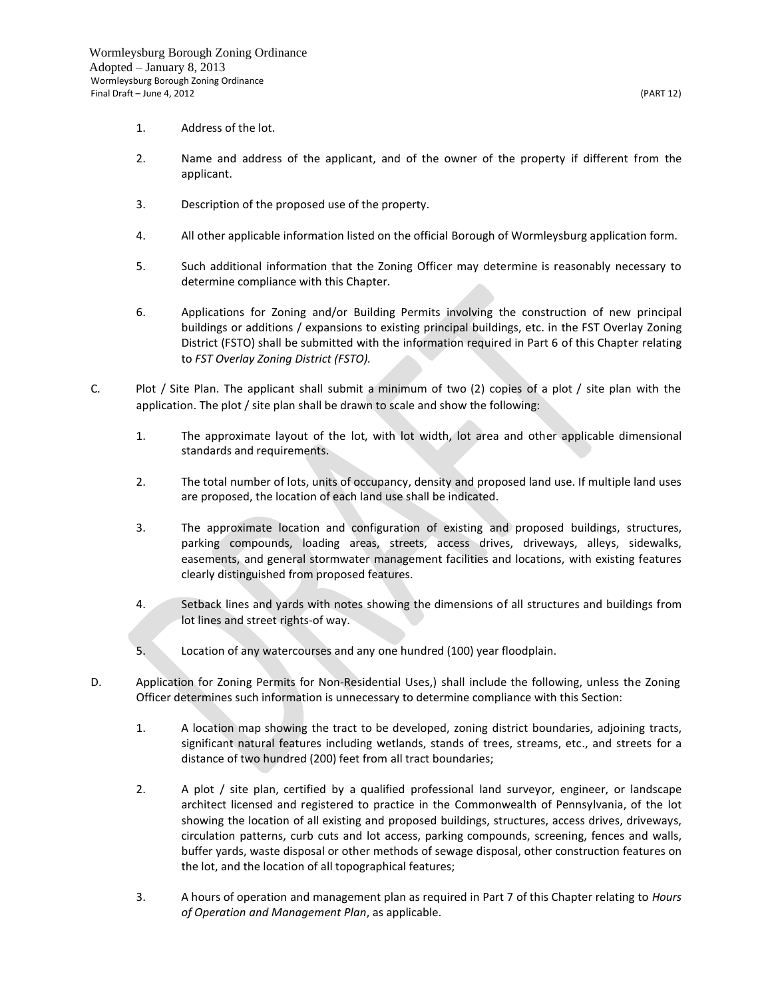- 1. Address of the lot.
- 2. Name and address of the applicant, and of the owner of the property if different from the applicant.
- 3. Description of the proposed use of the property.
- 4. All other applicable information listed on the official Borough of Wormleysburg application form.
- 5. Such additional information that the Zoning Officer may determine is reasonably necessary to determine compliance with this Chapter.
- 6. Applications for Zoning and/or Building Permits involving the construction of new principal buildings or additions / expansions to existing principal buildings, etc. in the FST Overlay Zoning District (FSTO) shall be submitted with the information required in Part 6 of this Chapter relating to *FST Overlay Zoning District (FSTO).*
- C. Plot / Site Plan. The applicant shall submit a minimum of two (2) copies of a plot / site plan with the application. The plot / site plan shall be drawn to scale and show the following:
	- 1. The approximate layout of the lot, with lot width, lot area and other applicable dimensional standards and requirements.
	- 2. The total number of lots, units of occupancy, density and proposed land use. If multiple land uses are proposed, the location of each land use shall be indicated.
	- 3. The approximate location and configuration of existing and proposed buildings, structures, parking compounds, loading areas, streets, access drives, driveways, alleys, sidewalks, easements, and general stormwater management facilities and locations, with existing features clearly distinguished from proposed features.
	- 4. Setback lines and yards with notes showing the dimensions of all structures and buildings from lot lines and street rights-of way.
	- 5. Location of any watercourses and any one hundred (100) year floodplain.
- D. Application for Zoning Permits for Non-Residential Uses,) shall include the following, unless the Zoning Officer determines such information is unnecessary to determine compliance with this Section:
	- 1. A location map showing the tract to be developed, zoning district boundaries, adjoining tracts, significant natural features including wetlands, stands of trees, streams, etc., and streets for a distance of two hundred (200) feet from all tract boundaries;
	- 2. A plot / site plan, certified by a qualified professional land surveyor, engineer, or landscape architect licensed and registered to practice in the Commonwealth of Pennsylvania, of the lot showing the location of all existing and proposed buildings, structures, access drives, driveways, circulation patterns, curb cuts and lot access, parking compounds, screening, fences and walls, buffer yards, waste disposal or other methods of sewage disposal, other construction features on the lot, and the location of all topographical features;
	- 3. A hours of operation and management plan as required in Part 7 of this Chapter relating to *Hours of Operation and Management Plan*, as applicable.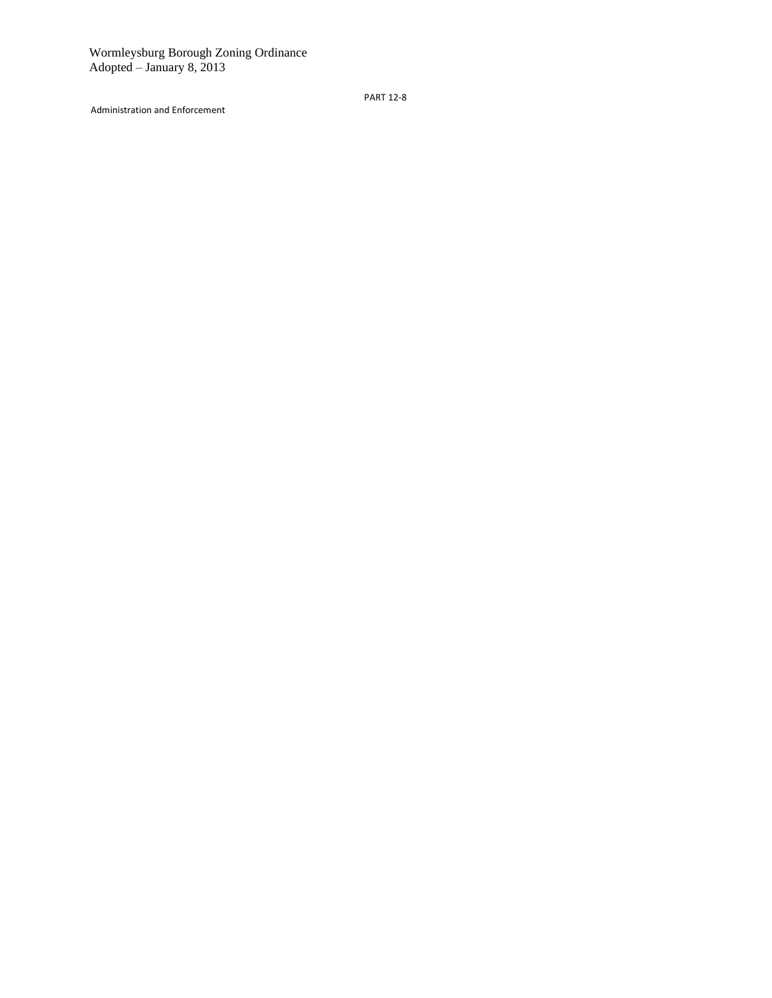Administration and Enforcement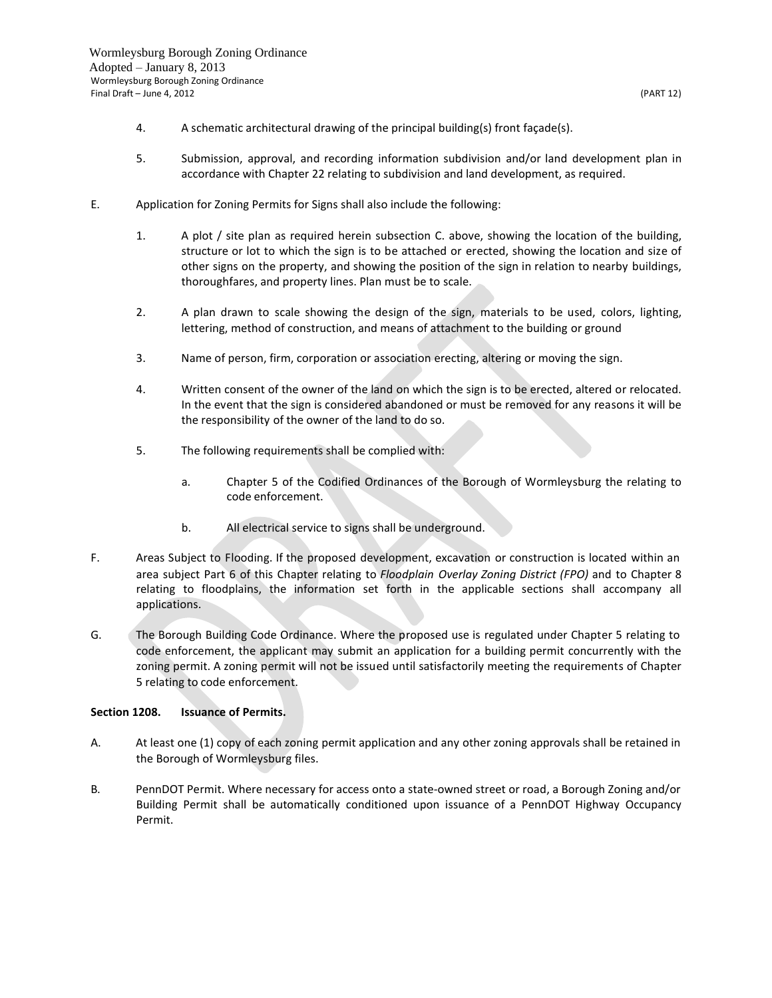- 4. A schematic architectural drawing of the principal building(s) front façade(s).
- 5. Submission, approval, and recording information subdivision and/or land development plan in accordance with Chapter 22 relating to subdivision and land development, as required.
- E. Application for Zoning Permits for Signs shall also include the following:
	- 1. A plot / site plan as required herein subsection C. above, showing the location of the building, structure or lot to which the sign is to be attached or erected, showing the location and size of other signs on the property, and showing the position of the sign in relation to nearby buildings, thoroughfares, and property lines. Plan must be to scale.
	- 2. A plan drawn to scale showing the design of the sign, materials to be used, colors, lighting, lettering, method of construction, and means of attachment to the building or ground
	- 3. Name of person, firm, corporation or association erecting, altering or moving the sign.
	- 4. Written consent of the owner of the land on which the sign is to be erected, altered or relocated. In the event that the sign is considered abandoned or must be removed for any reasons it will be the responsibility of the owner of the land to do so.
	- 5. The following requirements shall be complied with:
		- a. Chapter 5 of the Codified Ordinances of the Borough of Wormleysburg the relating to code enforcement.
		- b. All electrical service to signs shall be underground.
- F. Areas Subject to Flooding. If the proposed development, excavation or construction is located within an area subject Part 6 of this Chapter relating to *Floodplain Overlay Zoning District (FPO)* and to Chapter 8 relating to floodplains, the information set forth in the applicable sections shall accompany all applications.
- G. The Borough Building Code Ordinance. Where the proposed use is regulated under Chapter 5 relating to code enforcement, the applicant may submit an application for a building permit concurrently with the zoning permit. A zoning permit will not be issued until satisfactorily meeting the requirements of Chapter 5 relating to code enforcement.

## **Section 1208. Issuance of Permits.**

- A. At least one (1) copy of each zoning permit application and any other zoning approvals shall be retained in the Borough of Wormleysburg files.
- B. PennDOT Permit. Where necessary for access onto a state-owned street or road, a Borough Zoning and/or Building Permit shall be automatically conditioned upon issuance of a PennDOT Highway Occupancy Permit.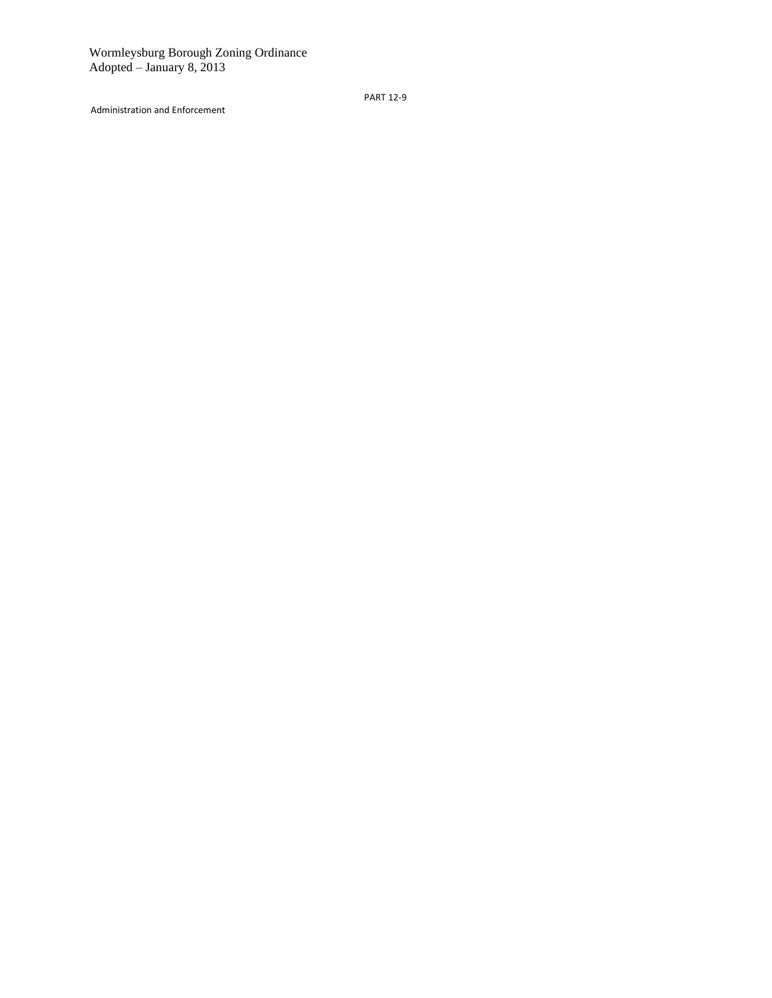Administration and Enforcement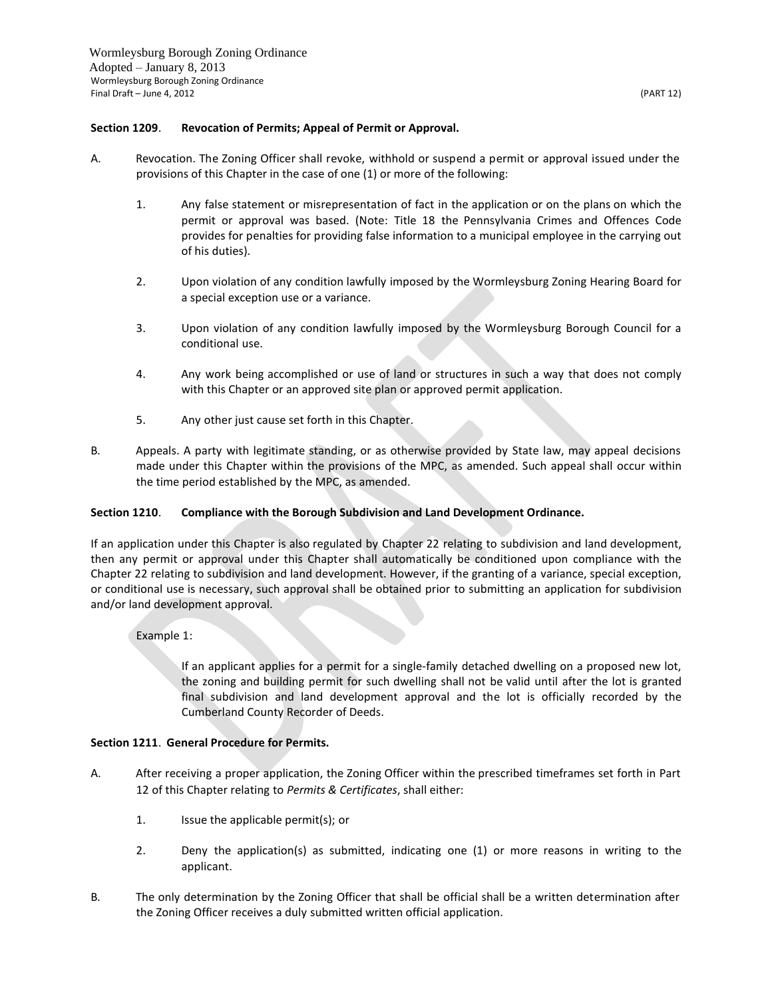# **Section 1209**. **Revocation of Permits; Appeal of Permit or Approval.**

- A. Revocation. The Zoning Officer shall revoke, withhold or suspend a permit or approval issued under the provisions of this Chapter in the case of one (1) or more of the following:
	- 1. Any false statement or misrepresentation of fact in the application or on the plans on which the permit or approval was based. (Note: Title 18 the Pennsylvania Crimes and Offences Code provides for penalties for providing false information to a municipal employee in the carrying out of his duties).
	- 2. Upon violation of any condition lawfully imposed by the Wormleysburg Zoning Hearing Board for a special exception use or a variance.
	- 3. Upon violation of any condition lawfully imposed by the Wormleysburg Borough Council for a conditional use.
	- 4. Any work being accomplished or use of land or structures in such a way that does not comply with this Chapter or an approved site plan or approved permit application.
	- 5. Any other just cause set forth in this Chapter.
- B. Appeals. A party with legitimate standing, or as otherwise provided by State law, may appeal decisions made under this Chapter within the provisions of the MPC, as amended. Such appeal shall occur within the time period established by the MPC, as amended.

# **Section 1210**. **Compliance with the Borough Subdivision and Land Development Ordinance.**

If an application under this Chapter is also regulated by Chapter 22 relating to subdivision and land development, then any permit or approval under this Chapter shall automatically be conditioned upon compliance with the Chapter 22 relating to subdivision and land development. However, if the granting of a variance, special exception, or conditional use is necessary, such approval shall be obtained prior to submitting an application for subdivision and/or land development approval.

## Example 1:

If an applicant applies for a permit for a single-family detached dwelling on a proposed new lot, the zoning and building permit for such dwelling shall not be valid until after the lot is granted final subdivision and land development approval and the lot is officially recorded by the Cumberland County Recorder of Deeds.

# **Section 1211**. **General Procedure for Permits.**

- A. After receiving a proper application, the Zoning Officer within the prescribed timeframes set forth in Part 12 of this Chapter relating to *Permits & Certificates*, shall either:
	- 1. Issue the applicable permit(s); or
	- 2. Deny the application(s) as submitted, indicating one (1) or more reasons in writing to the applicant.
- B. The only determination by the Zoning Officer that shall be official shall be a written determination after the Zoning Officer receives a duly submitted written official application.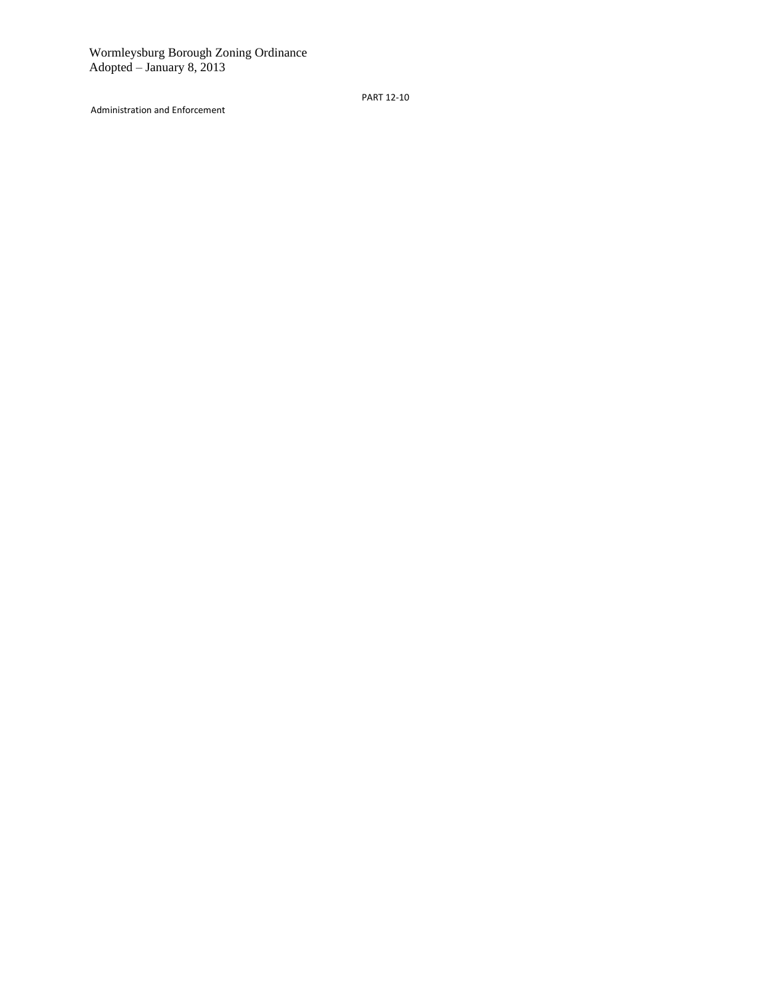Administration and Enforcement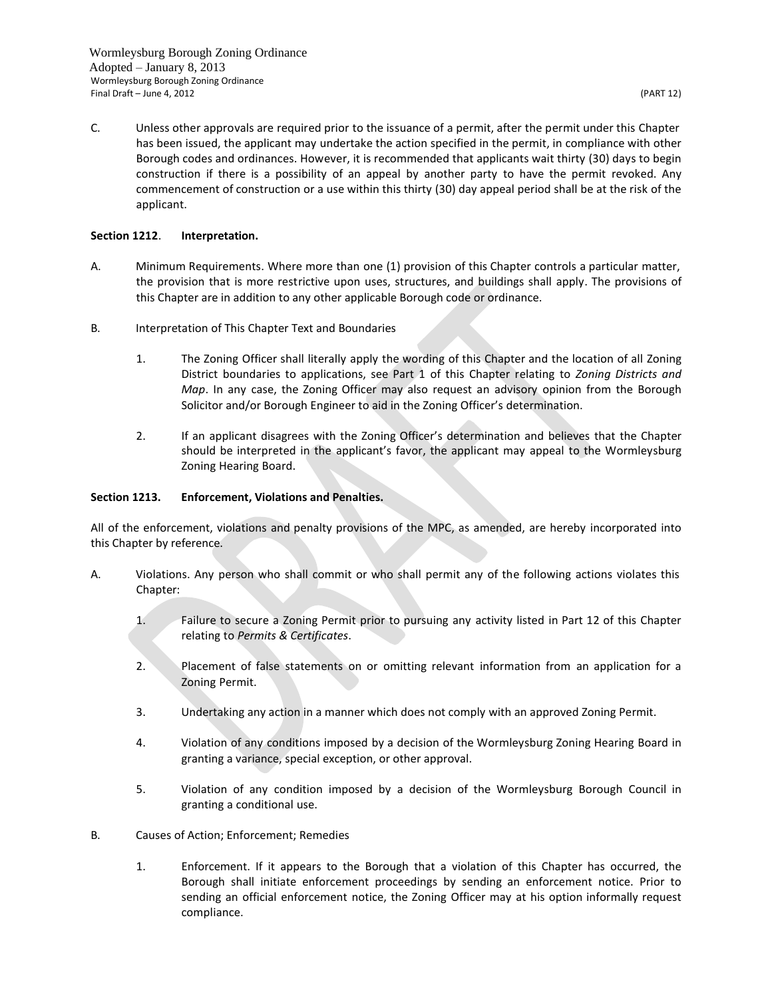C. Unless other approvals are required prior to the issuance of a permit, after the permit under this Chapter has been issued, the applicant may undertake the action specified in the permit, in compliance with other Borough codes and ordinances. However, it is recommended that applicants wait thirty (30) days to begin construction if there is a possibility of an appeal by another party to have the permit revoked. Any commencement of construction or a use within this thirty (30) day appeal period shall be at the risk of the applicant.

## **Section 1212**. **Interpretation.**

- A. Minimum Requirements. Where more than one (1) provision of this Chapter controls a particular matter, the provision that is more restrictive upon uses, structures, and buildings shall apply. The provisions of this Chapter are in addition to any other applicable Borough code or ordinance.
- B. Interpretation of This Chapter Text and Boundaries
	- 1. The Zoning Officer shall literally apply the wording of this Chapter and the location of all Zoning District boundaries to applications, see Part 1 of this Chapter relating to *Zoning Districts and Map*. In any case, the Zoning Officer may also request an advisory opinion from the Borough Solicitor and/or Borough Engineer to aid in the Zoning Officer's determination.
	- 2. If an applicant disagrees with the Zoning Officer's determination and believes that the Chapter should be interpreted in the applicant's favor, the applicant may appeal to the Wormleysburg Zoning Hearing Board.

## **Section 1213. Enforcement, Violations and Penalties.**

All of the enforcement, violations and penalty provisions of the MPC, as amended, are hereby incorporated into this Chapter by reference.

- A. Violations. Any person who shall commit or who shall permit any of the following actions violates this Chapter:
	- 1. Failure to secure a Zoning Permit prior to pursuing any activity listed in Part 12 of this Chapter relating to *Permits & Certificates*.
	- 2. Placement of false statements on or omitting relevant information from an application for a Zoning Permit.
	- 3. Undertaking any action in a manner which does not comply with an approved Zoning Permit.
	- 4. Violation of any conditions imposed by a decision of the Wormleysburg Zoning Hearing Board in granting a variance, special exception, or other approval.
	- 5. Violation of any condition imposed by a decision of the Wormleysburg Borough Council in granting a conditional use.
- B. Causes of Action; Enforcement; Remedies
	- 1. Enforcement. If it appears to the Borough that a violation of this Chapter has occurred, the Borough shall initiate enforcement proceedings by sending an enforcement notice. Prior to sending an official enforcement notice, the Zoning Officer may at his option informally request compliance.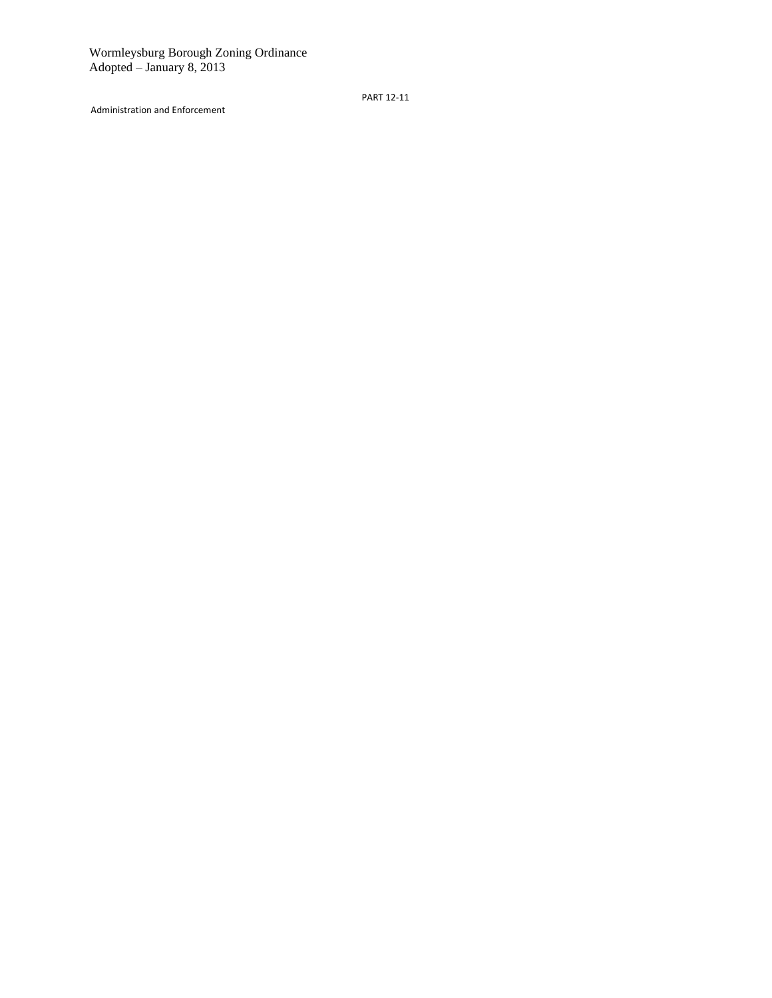Administration and Enforcement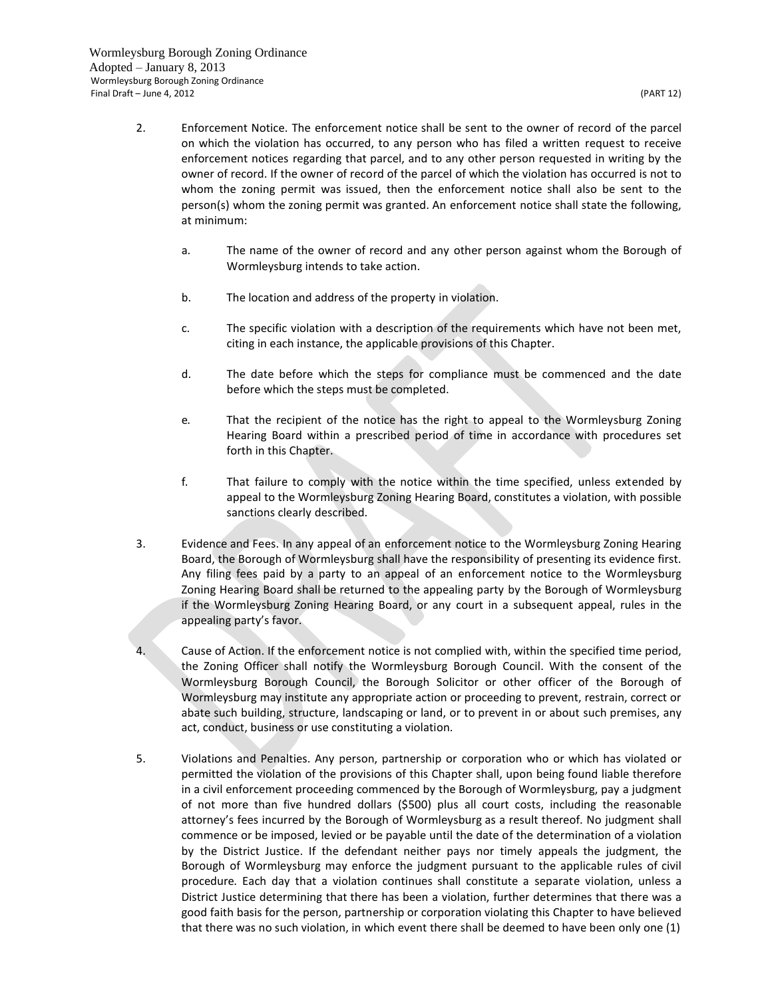- 2. Enforcement Notice. The enforcement notice shall be sent to the owner of record of the parcel on which the violation has occurred, to any person who has filed a written request to receive enforcement notices regarding that parcel, and to any other person requested in writing by the owner of record. If the owner of record of the parcel of which the violation has occurred is not to whom the zoning permit was issued, then the enforcement notice shall also be sent to the person(s) whom the zoning permit was granted. An enforcement notice shall state the following, at minimum:
	- a. The name of the owner of record and any other person against whom the Borough of Wormleysburg intends to take action.
	- b. The location and address of the property in violation.
	- c. The specific violation with a description of the requirements which have not been met, citing in each instance, the applicable provisions of this Chapter.
	- d. The date before which the steps for compliance must be commenced and the date before which the steps must be completed.
	- e. That the recipient of the notice has the right to appeal to the Wormleysburg Zoning Hearing Board within a prescribed period of time in accordance with procedures set forth in this Chapter.
	- f. That failure to comply with the notice within the time specified, unless extended by appeal to the Wormleysburg Zoning Hearing Board, constitutes a violation, with possible sanctions clearly described.
- 3. Evidence and Fees. In any appeal of an enforcement notice to the Wormleysburg Zoning Hearing Board, the Borough of Wormleysburg shall have the responsibility of presenting its evidence first. Any filing fees paid by a party to an appeal of an enforcement notice to the Wormleysburg Zoning Hearing Board shall be returned to the appealing party by the Borough of Wormleysburg if the Wormleysburg Zoning Hearing Board, or any court in a subsequent appeal, rules in the appealing party's favor.
- 4. Cause of Action. If the enforcement notice is not complied with, within the specified time period, the Zoning Officer shall notify the Wormleysburg Borough Council. With the consent of the Wormleysburg Borough Council, the Borough Solicitor or other officer of the Borough of Wormleysburg may institute any appropriate action or proceeding to prevent, restrain, correct or abate such building, structure, landscaping or land, or to prevent in or about such premises, any act, conduct, business or use constituting a violation.
- 5. Violations and Penalties. Any person, partnership or corporation who or which has violated or permitted the violation of the provisions of this Chapter shall, upon being found liable therefore in a civil enforcement proceeding commenced by the Borough of Wormleysburg, pay a judgment of not more than five hundred dollars (\$500) plus all court costs, including the reasonable attorney's fees incurred by the Borough of Wormleysburg as a result thereof. No judgment shall commence or be imposed, levied or be payable until the date of the determination of a violation by the District Justice. If the defendant neither pays nor timely appeals the judgment, the Borough of Wormleysburg may enforce the judgment pursuant to the applicable rules of civil procedure. Each day that a violation continues shall constitute a separate violation, unless a District Justice determining that there has been a violation, further determines that there was a good faith basis for the person, partnership or corporation violating this Chapter to have believed that there was no such violation, in which event there shall be deemed to have been only one (1)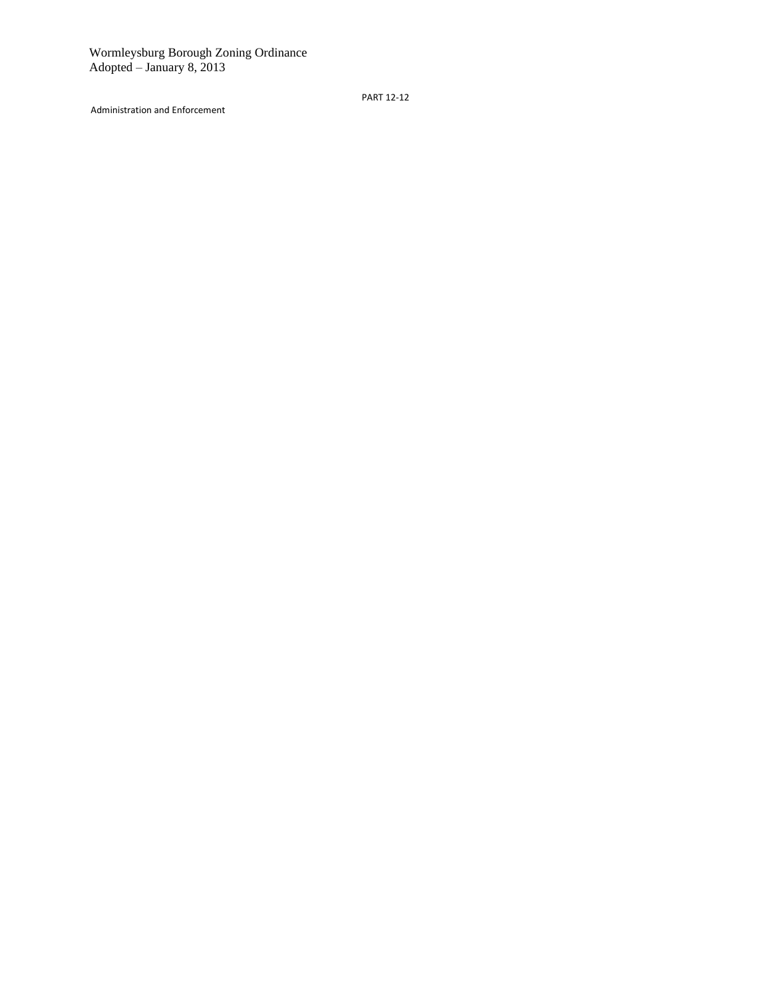Administration and Enforcement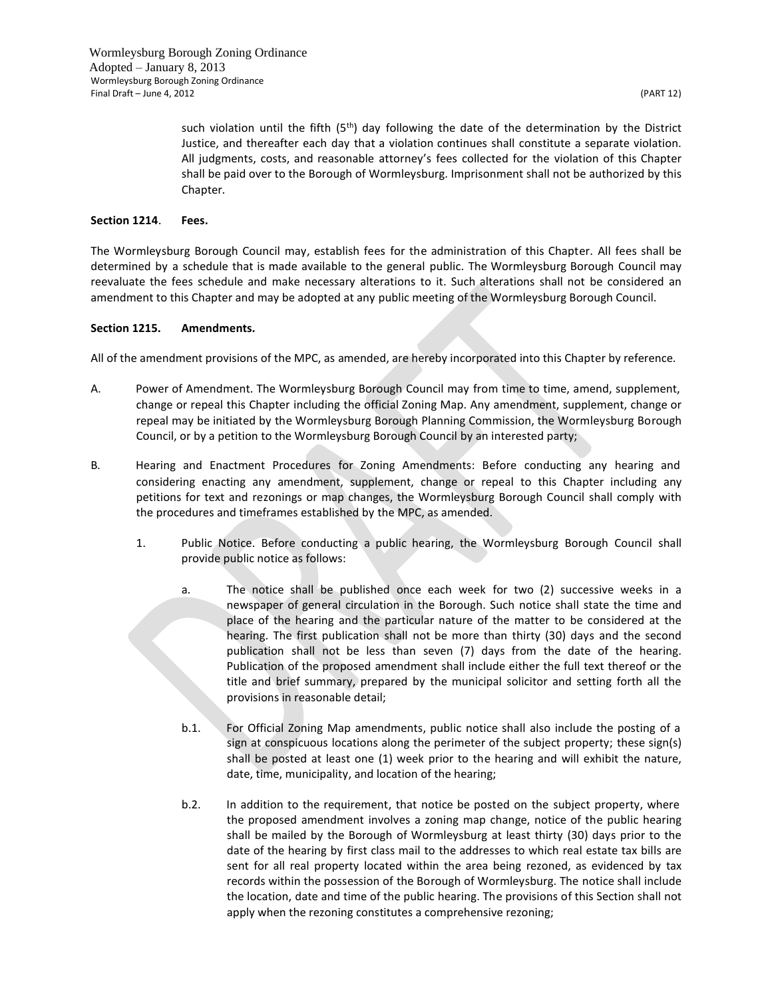such violation until the fifth  $(5<sup>th</sup>)$  day following the date of the determination by the District Justice, and thereafter each day that a violation continues shall constitute a separate violation. All judgments, costs, and reasonable attorney's fees collected for the violation of this Chapter shall be paid over to the Borough of Wormleysburg. Imprisonment shall not be authorized by this Chapter.

# **Section 1214**. **Fees.**

The Wormleysburg Borough Council may, establish fees for the administration of this Chapter. All fees shall be determined by a schedule that is made available to the general public. The Wormleysburg Borough Council may reevaluate the fees schedule and make necessary alterations to it. Such alterations shall not be considered an amendment to this Chapter and may be adopted at any public meeting of the Wormleysburg Borough Council.

## **Section 1215. Amendments.**

All of the amendment provisions of the MPC, as amended, are hereby incorporated into this Chapter by reference.

- A. Power of Amendment. The Wormleysburg Borough Council may from time to time, amend, supplement, change or repeal this Chapter including the official Zoning Map. Any amendment, supplement, change or repeal may be initiated by the Wormleysburg Borough Planning Commission, the Wormleysburg Borough Council, or by a petition to the Wormleysburg Borough Council by an interested party;
- B. Hearing and Enactment Procedures for Zoning Amendments: Before conducting any hearing and considering enacting any amendment, supplement, change or repeal to this Chapter including any petitions for text and rezonings or map changes, the Wormleysburg Borough Council shall comply with the procedures and timeframes established by the MPC, as amended.
	- 1. Public Notice. Before conducting a public hearing, the Wormleysburg Borough Council shall provide public notice as follows:
		- a. The notice shall be published once each week for two (2) successive weeks in a newspaper of general circulation in the Borough. Such notice shall state the time and place of the hearing and the particular nature of the matter to be considered at the hearing. The first publication shall not be more than thirty (30) days and the second publication shall not be less than seven (7) days from the date of the hearing. Publication of the proposed amendment shall include either the full text thereof or the title and brief summary, prepared by the municipal solicitor and setting forth all the provisions in reasonable detail;
		- b.1. For Official Zoning Map amendments, public notice shall also include the posting of a sign at conspicuous locations along the perimeter of the subject property; these sign(s) shall be posted at least one (1) week prior to the hearing and will exhibit the nature, date, time, municipality, and location of the hearing;
		- b.2. In addition to the requirement, that notice be posted on the subject property, where the proposed amendment involves a zoning map change, notice of the public hearing shall be mailed by the Borough of Wormleysburg at least thirty (30) days prior to the date of the hearing by first class mail to the addresses to which real estate tax bills are sent for all real property located within the area being rezoned, as evidenced by tax records within the possession of the Borough of Wormleysburg. The notice shall include the location, date and time of the public hearing. The provisions of this Section shall not apply when the rezoning constitutes a comprehensive rezoning;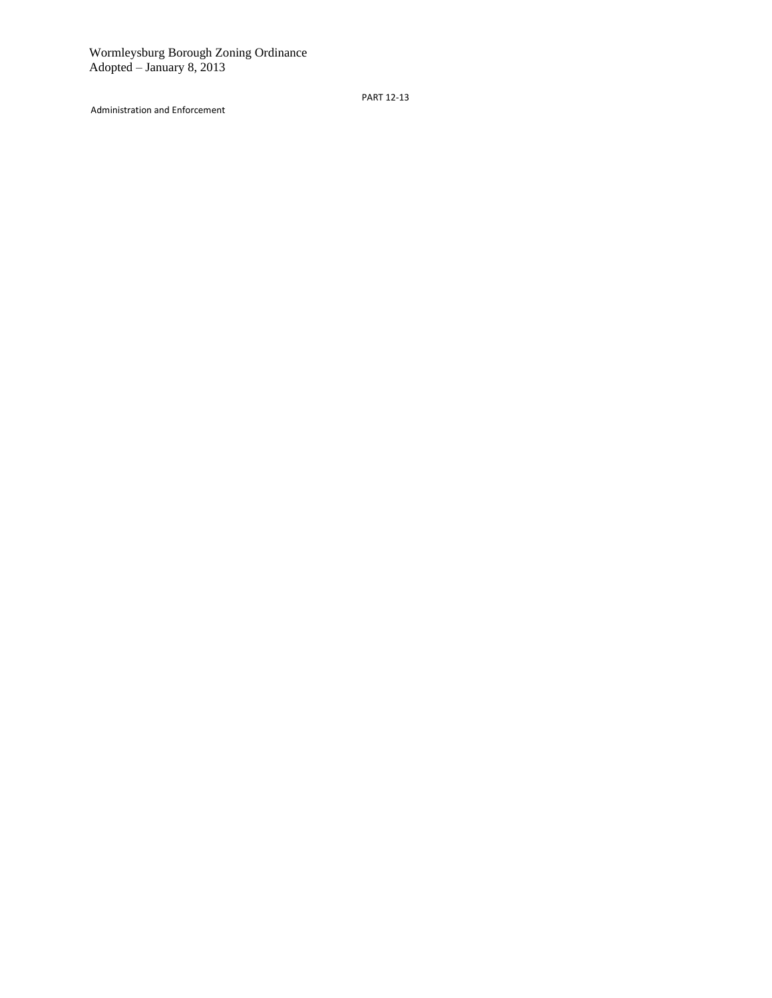Administration and Enforcement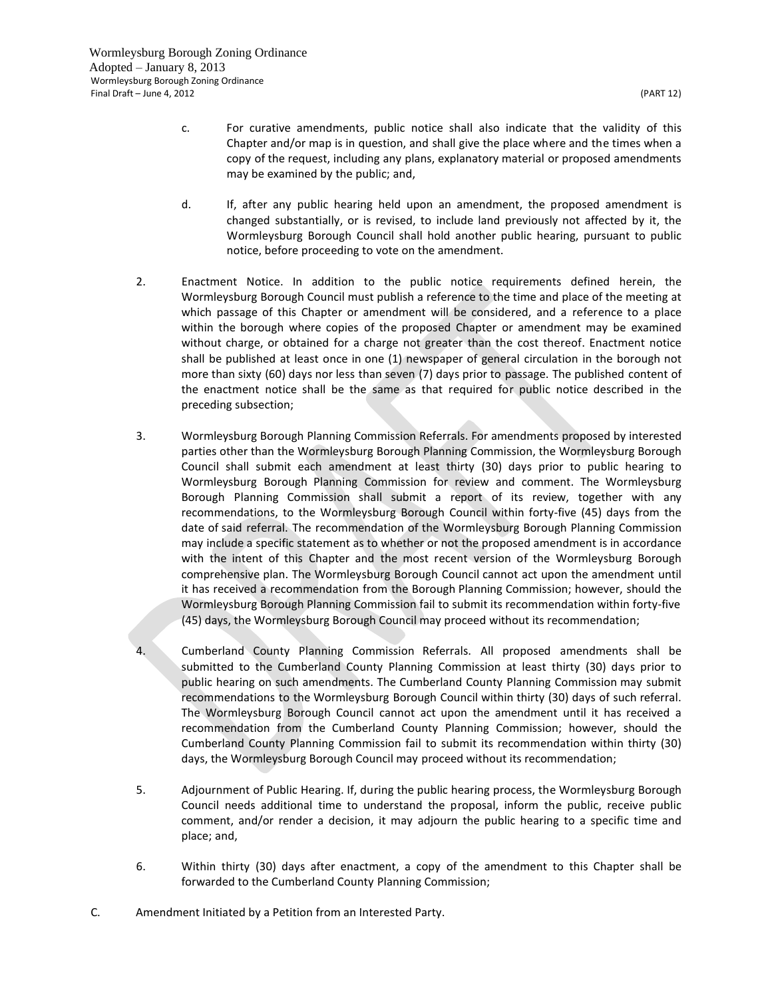- c. For curative amendments, public notice shall also indicate that the validity of this Chapter and/or map is in question, and shall give the place where and the times when a copy of the request, including any plans, explanatory material or proposed amendments may be examined by the public; and,
- d. If, after any public hearing held upon an amendment, the proposed amendment is changed substantially, or is revised, to include land previously not affected by it, the Wormleysburg Borough Council shall hold another public hearing, pursuant to public notice, before proceeding to vote on the amendment.
- 2. Enactment Notice. In addition to the public notice requirements defined herein, the Wormleysburg Borough Council must publish a reference to the time and place of the meeting at which passage of this Chapter or amendment will be considered, and a reference to a place within the borough where copies of the proposed Chapter or amendment may be examined without charge, or obtained for a charge not greater than the cost thereof. Enactment notice shall be published at least once in one (1) newspaper of general circulation in the borough not more than sixty (60) days nor less than seven (7) days prior to passage. The published content of the enactment notice shall be the same as that required for public notice described in the preceding subsection;
- 3. Wormleysburg Borough Planning Commission Referrals. For amendments proposed by interested parties other than the Wormleysburg Borough Planning Commission, the Wormleysburg Borough Council shall submit each amendment at least thirty (30) days prior to public hearing to Wormleysburg Borough Planning Commission for review and comment. The Wormleysburg Borough Planning Commission shall submit a report of its review, together with any recommendations, to the Wormleysburg Borough Council within forty-five (45) days from the date of said referral. The recommendation of the Wormleysburg Borough Planning Commission may include a specific statement as to whether or not the proposed amendment is in accordance with the intent of this Chapter and the most recent version of the Wormleysburg Borough comprehensive plan. The Wormleysburg Borough Council cannot act upon the amendment until it has received a recommendation from the Borough Planning Commission; however, should the Wormleysburg Borough Planning Commission fail to submit its recommendation within forty-five (45) days, the Wormleysburg Borough Council may proceed without its recommendation;
- 4. Cumberland County Planning Commission Referrals. All proposed amendments shall be submitted to the Cumberland County Planning Commission at least thirty (30) days prior to public hearing on such amendments. The Cumberland County Planning Commission may submit recommendations to the Wormleysburg Borough Council within thirty (30) days of such referral. The Wormleysburg Borough Council cannot act upon the amendment until it has received a recommendation from the Cumberland County Planning Commission; however, should the Cumberland County Planning Commission fail to submit its recommendation within thirty (30) days, the Wormleysburg Borough Council may proceed without its recommendation;
- 5. Adjournment of Public Hearing. If, during the public hearing process, the Wormleysburg Borough Council needs additional time to understand the proposal, inform the public, receive public comment, and/or render a decision, it may adjourn the public hearing to a specific time and place; and,
- 6. Within thirty (30) days after enactment, a copy of the amendment to this Chapter shall be forwarded to the Cumberland County Planning Commission;
- C. Amendment Initiated by a Petition from an Interested Party.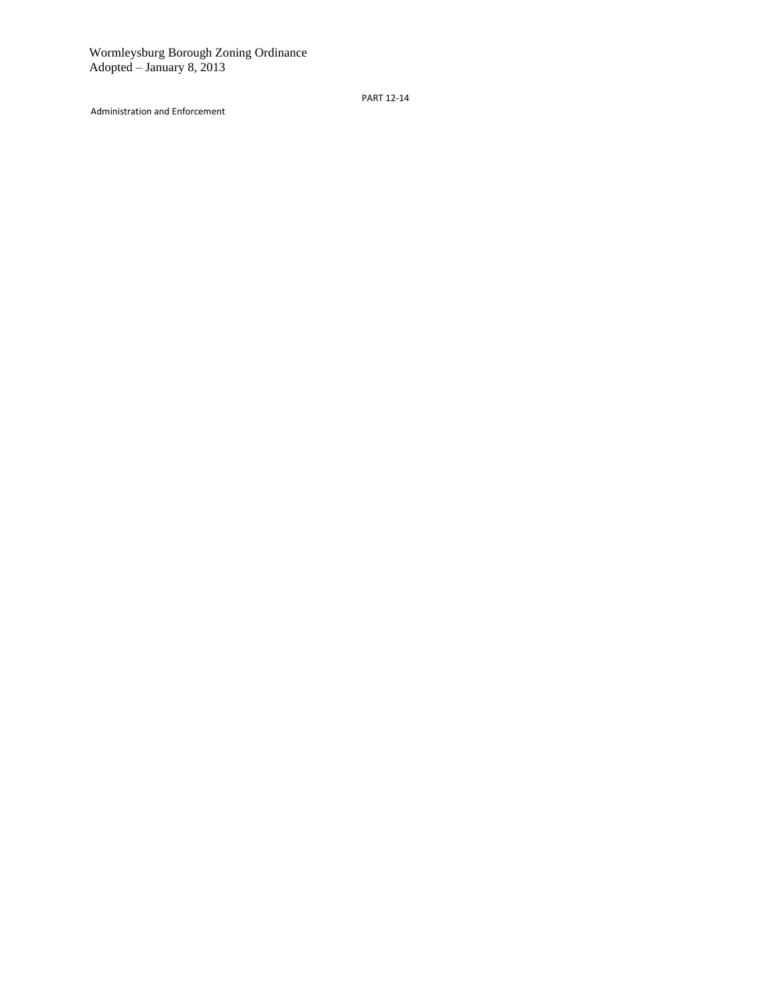Administration and Enforcement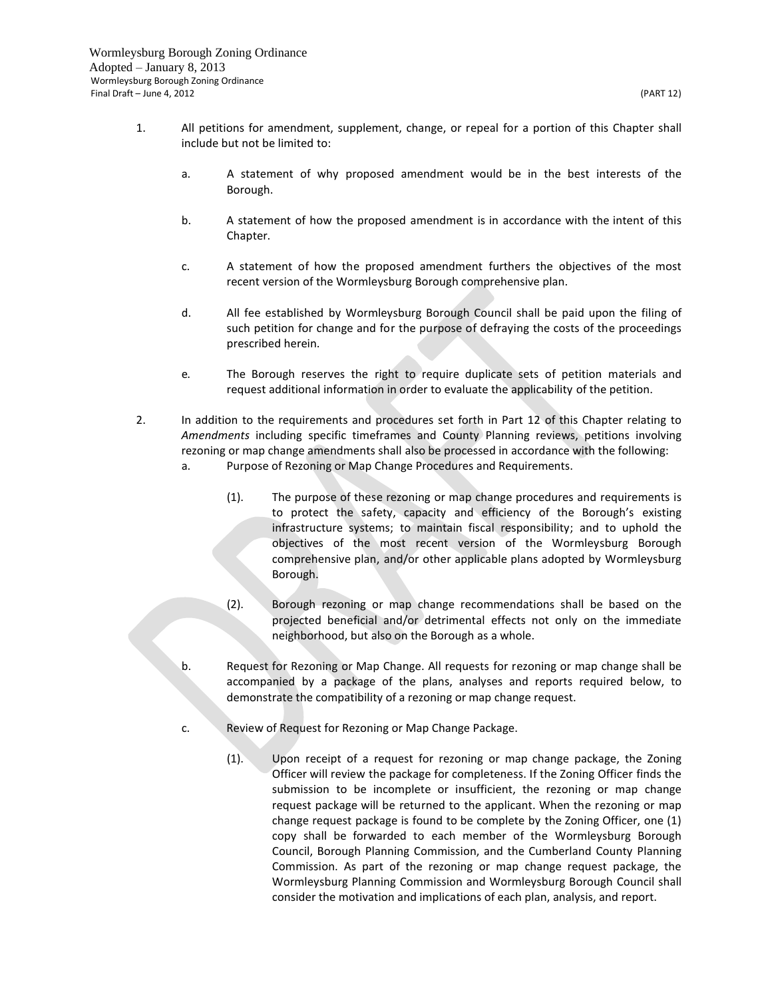- 1. All petitions for amendment, supplement, change, or repeal for a portion of this Chapter shall include but not be limited to:
	- a. A statement of why proposed amendment would be in the best interests of the Borough.
	- b. A statement of how the proposed amendment is in accordance with the intent of this Chapter.
	- c. A statement of how the proposed amendment furthers the objectives of the most recent version of the Wormleysburg Borough comprehensive plan.
	- d. All fee established by Wormleysburg Borough Council shall be paid upon the filing of such petition for change and for the purpose of defraying the costs of the proceedings prescribed herein.
	- e. The Borough reserves the right to require duplicate sets of petition materials and request additional information in order to evaluate the applicability of the petition.
- 2. In addition to the requirements and procedures set forth in Part 12 of this Chapter relating to *Amendments* including specific timeframes and County Planning reviews, petitions involving rezoning or map change amendments shall also be processed in accordance with the following:
	- a. Purpose of Rezoning or Map Change Procedures and Requirements.
		- (1). The purpose of these rezoning or map change procedures and requirements is to protect the safety, capacity and efficiency of the Borough's existing infrastructure systems; to maintain fiscal responsibility; and to uphold the objectives of the most recent version of the Wormleysburg Borough comprehensive plan, and/or other applicable plans adopted by Wormleysburg Borough.
		- (2). Borough rezoning or map change recommendations shall be based on the projected beneficial and/or detrimental effects not only on the immediate neighborhood, but also on the Borough as a whole.
	- b. Request for Rezoning or Map Change. All requests for rezoning or map change shall be accompanied by a package of the plans, analyses and reports required below, to demonstrate the compatibility of a rezoning or map change request.
	- c. Review of Request for Rezoning or Map Change Package.
		- (1). Upon receipt of a request for rezoning or map change package, the Zoning Officer will review the package for completeness. If the Zoning Officer finds the submission to be incomplete or insufficient, the rezoning or map change request package will be returned to the applicant. When the rezoning or map change request package is found to be complete by the Zoning Officer, one (1) copy shall be forwarded to each member of the Wormleysburg Borough Council, Borough Planning Commission, and the Cumberland County Planning Commission. As part of the rezoning or map change request package, the Wormleysburg Planning Commission and Wormleysburg Borough Council shall consider the motivation and implications of each plan, analysis, and report.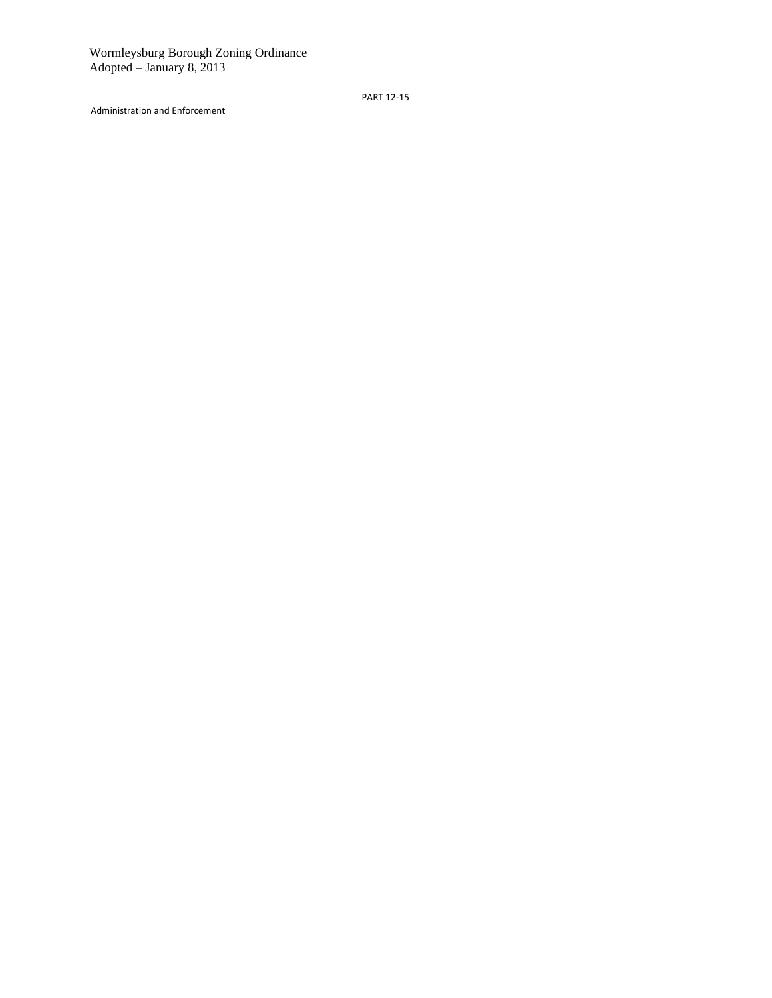Administration and Enforcement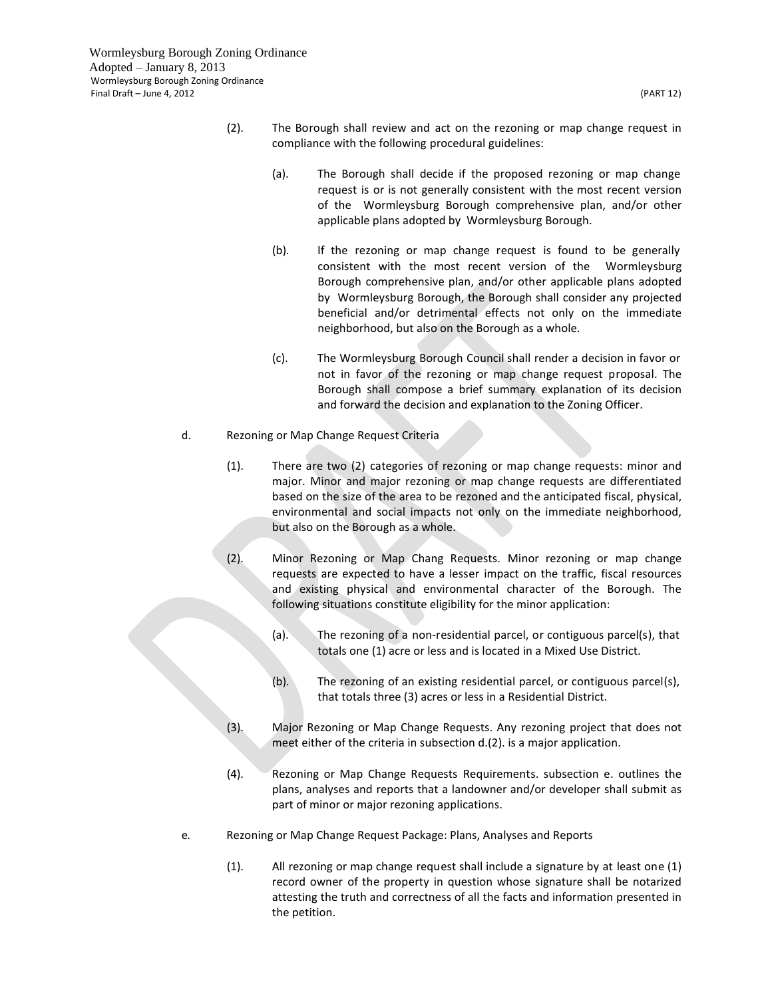- (2). The Borough shall review and act on the rezoning or map change request in compliance with the following procedural guidelines:
	- (a). The Borough shall decide if the proposed rezoning or map change request is or is not generally consistent with the most recent version of the Wormleysburg Borough comprehensive plan, and/or other applicable plans adopted by Wormleysburg Borough.
	- (b). If the rezoning or map change request is found to be generally consistent with the most recent version of the Wormleysburg Borough comprehensive plan, and/or other applicable plans adopted by Wormleysburg Borough, the Borough shall consider any projected beneficial and/or detrimental effects not only on the immediate neighborhood, but also on the Borough as a whole.
	- (c). The Wormleysburg Borough Council shall render a decision in favor or not in favor of the rezoning or map change request proposal. The Borough shall compose a brief summary explanation of its decision and forward the decision and explanation to the Zoning Officer.
- d. Rezoning or Map Change Request Criteria
	- (1). There are two (2) categories of rezoning or map change requests: minor and major. Minor and major rezoning or map change requests are differentiated based on the size of the area to be rezoned and the anticipated fiscal, physical, environmental and social impacts not only on the immediate neighborhood, but also on the Borough as a whole.
	- (2). Minor Rezoning or Map Chang Requests. Minor rezoning or map change requests are expected to have a lesser impact on the traffic, fiscal resources and existing physical and environmental character of the Borough. The following situations constitute eligibility for the minor application:
		- (a). The rezoning of a non-residential parcel, or contiguous parcel(s), that totals one (1) acre or less and is located in a Mixed Use District.
		- (b). The rezoning of an existing residential parcel, or contiguous parcel(s), that totals three (3) acres or less in a Residential District.
	- (3). Major Rezoning or Map Change Requests. Any rezoning project that does not meet either of the criteria in subsection d.(2). is a major application.
	- (4). Rezoning or Map Change Requests Requirements. subsection e. outlines the plans, analyses and reports that a landowner and/or developer shall submit as part of minor or major rezoning applications.
- e. Rezoning or Map Change Request Package: Plans, Analyses and Reports
	- (1). All rezoning or map change request shall include a signature by at least one (1) record owner of the property in question whose signature shall be notarized attesting the truth and correctness of all the facts and information presented in the petition.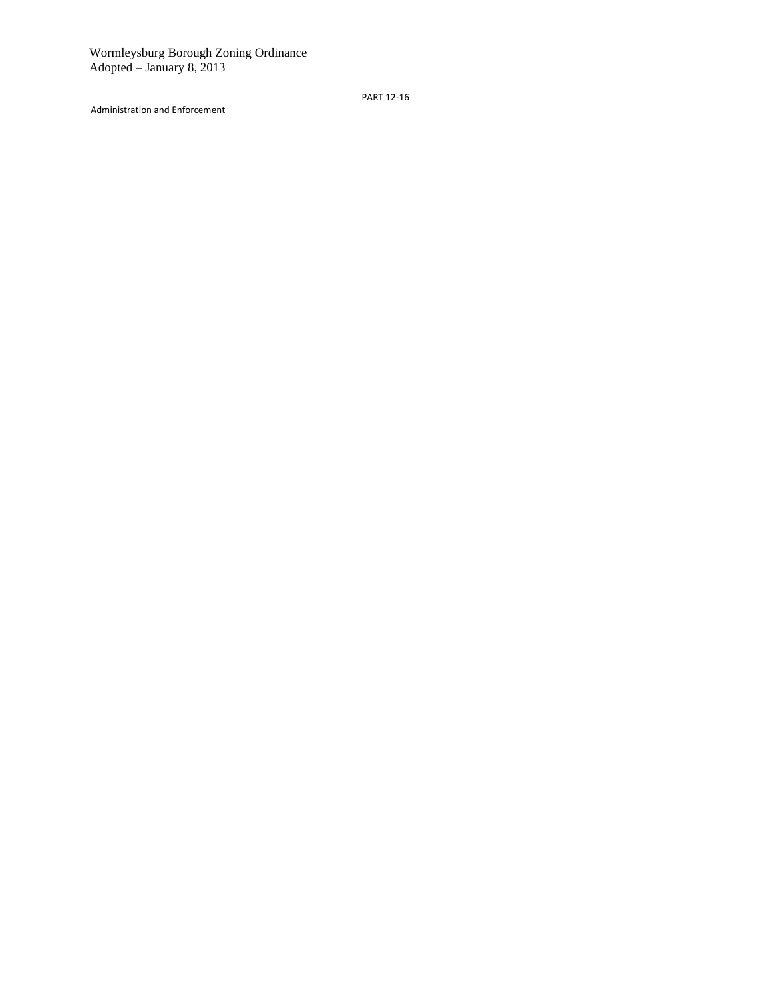Administration and Enforcement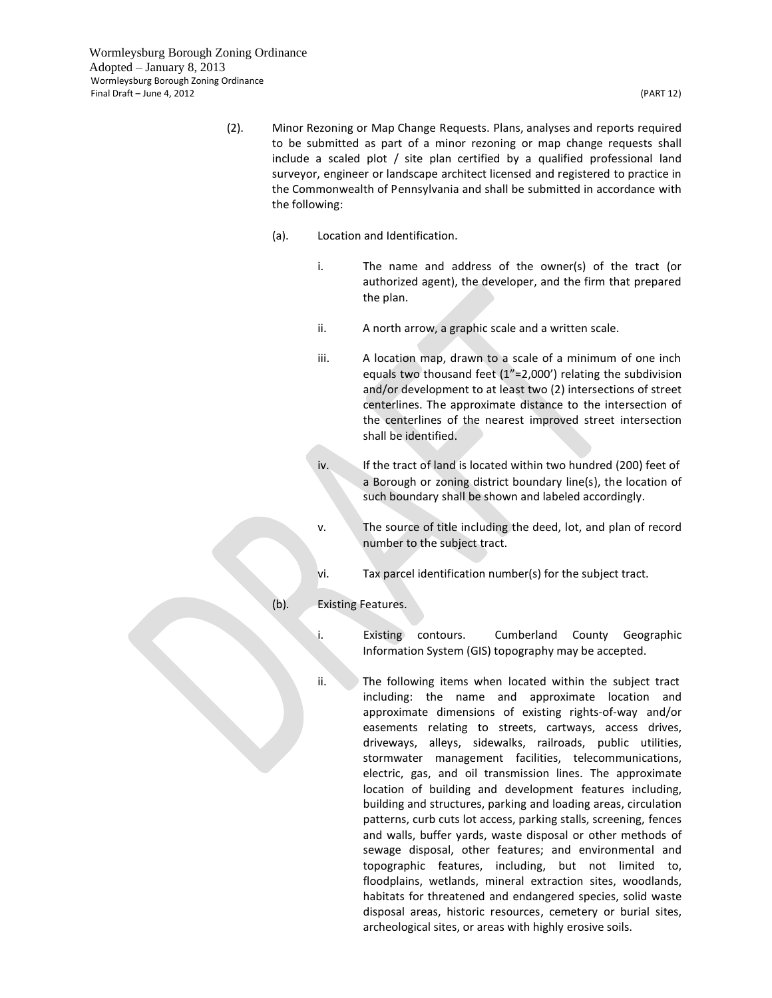- (2). Minor Rezoning or Map Change Requests. Plans, analyses and reports required to be submitted as part of a minor rezoning or map change requests shall include a scaled plot / site plan certified by a qualified professional land surveyor, engineer or landscape architect licensed and registered to practice in the Commonwealth of Pennsylvania and shall be submitted in accordance with the following:
	- (a). Location and Identification.
		- i. The name and address of the owner(s) of the tract (or authorized agent), the developer, and the firm that prepared the plan.
		- ii. A north arrow, a graphic scale and a written scale.
		- iii. A location map, drawn to a scale of a minimum of one inch equals two thousand feet (1"=2,000') relating the subdivision and/or development to at least two (2) intersections of street centerlines. The approximate distance to the intersection of the centerlines of the nearest improved street intersection shall be identified.
		- iv. If the tract of land is located within two hundred (200) feet of a Borough or zoning district boundary line(s), the location of such boundary shall be shown and labeled accordingly.
		- v. The source of title including the deed, lot, and plan of record number to the subject tract.
		- vi. Tax parcel identification number(s) for the subject tract.
	- (b). Existing Features.
		- i. Existing contours. Cumberland County Geographic Information System (GIS) topography may be accepted.
		- ii. The following items when located within the subject tract including: the name and approximate location and approximate dimensions of existing rights-of-way and/or easements relating to streets, cartways, access drives, driveways, alleys, sidewalks, railroads, public utilities, stormwater management facilities, telecommunications, electric, gas, and oil transmission lines. The approximate location of building and development features including, building and structures, parking and loading areas, circulation patterns, curb cuts lot access, parking stalls, screening, fences and walls, buffer yards, waste disposal or other methods of sewage disposal, other features; and environmental and topographic features, including, but not limited to, floodplains, wetlands, mineral extraction sites, woodlands, habitats for threatened and endangered species, solid waste disposal areas, historic resources, cemetery or burial sites, archeological sites, or areas with highly erosive soils.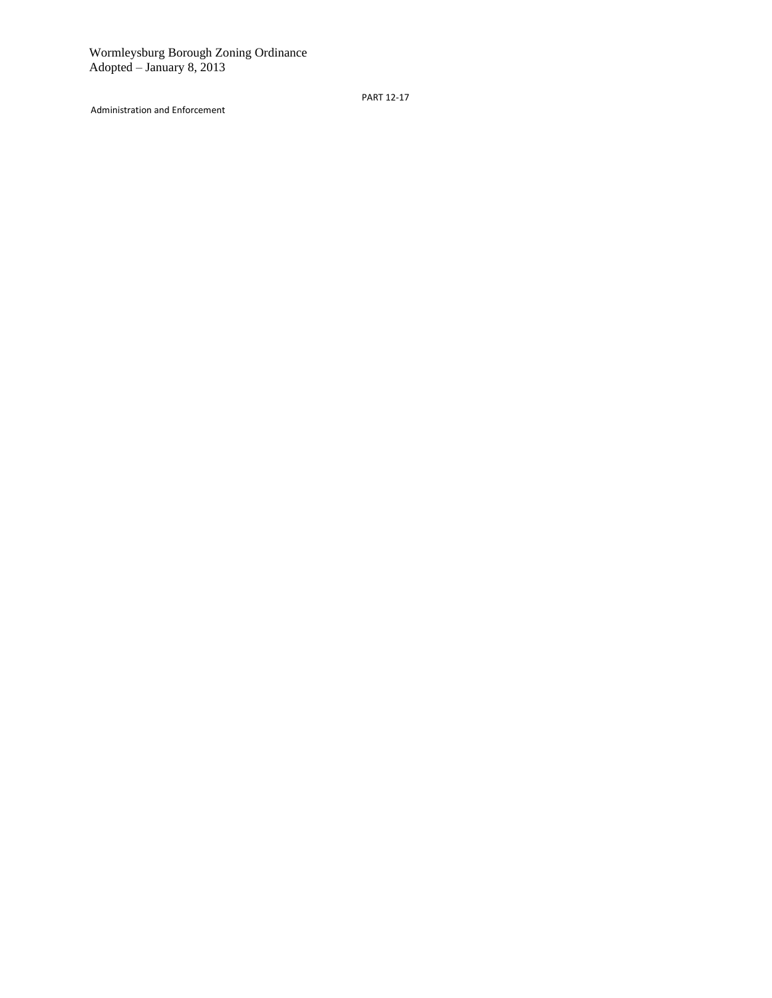Administration and Enforcement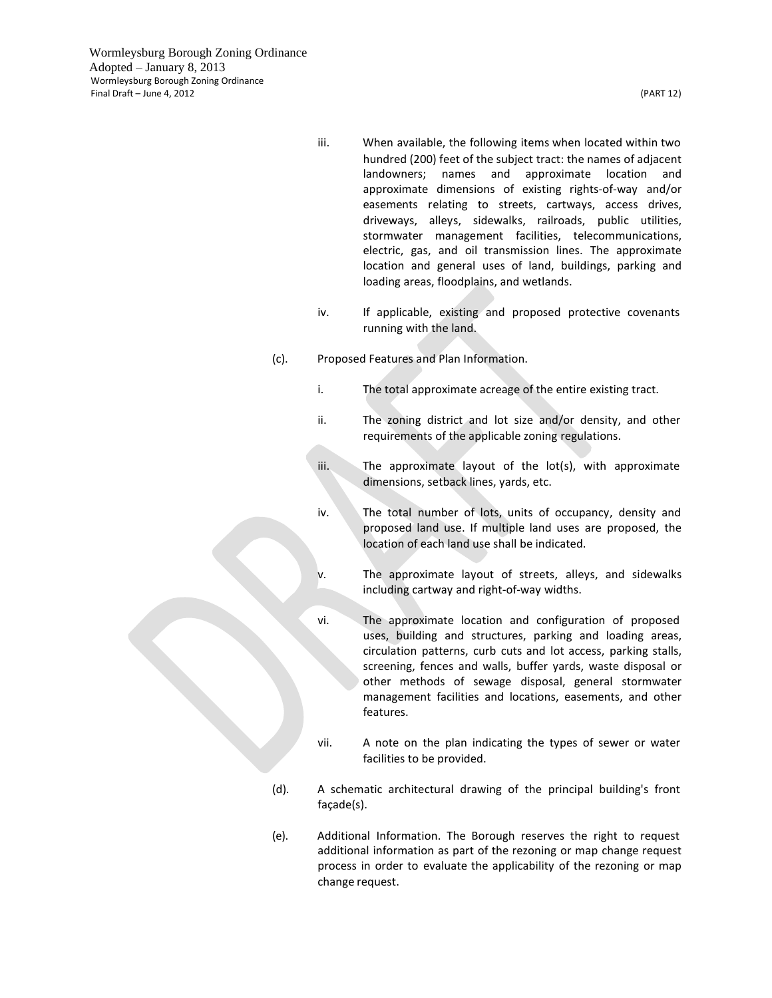Wormleysburg Borough Zoning Ordinance Adopted – January 8, 2013 Wormleysburg Borough Zoning Ordinance Final Draft – June 4, 2012 (PART 12)

- iii. When available, the following items when located within two hundred (200) feet of the subject tract: the names of adjacent landowners; names and approximate location and approximate dimensions of existing rights-of-way and/or easements relating to streets, cartways, access drives, driveways, alleys, sidewalks, railroads, public utilities, stormwater management facilities, telecommunications, electric, gas, and oil transmission lines. The approximate location and general uses of land, buildings, parking and loading areas, floodplains, and wetlands.
- iv. If applicable, existing and proposed protective covenants running with the land.
- (c). Proposed Features and Plan Information.
	- i. The total approximate acreage of the entire existing tract.
	- ii. The zoning district and lot size and/or density, and other requirements of the applicable zoning regulations.
	- $iii.$  The approximate layout of the  $lot(s)$ , with approximate dimensions, setback lines, yards, etc.
	- iv. The total number of lots, units of occupancy, density and proposed land use. If multiple land uses are proposed, the location of each land use shall be indicated.
	- v. The approximate layout of streets, alleys, and sidewalks including cartway and right-of-way widths.
	- vi. The approximate location and configuration of proposed uses, building and structures, parking and loading areas, circulation patterns, curb cuts and lot access, parking stalls, screening, fences and walls, buffer yards, waste disposal or other methods of sewage disposal, general stormwater management facilities and locations, easements, and other features.
	- vii. A note on the plan indicating the types of sewer or water facilities to be provided.
- (d). A schematic architectural drawing of the principal building's front façade(s).
- (e). Additional Information. The Borough reserves the right to request additional information as part of the rezoning or map change request process in order to evaluate the applicability of the rezoning or map change request.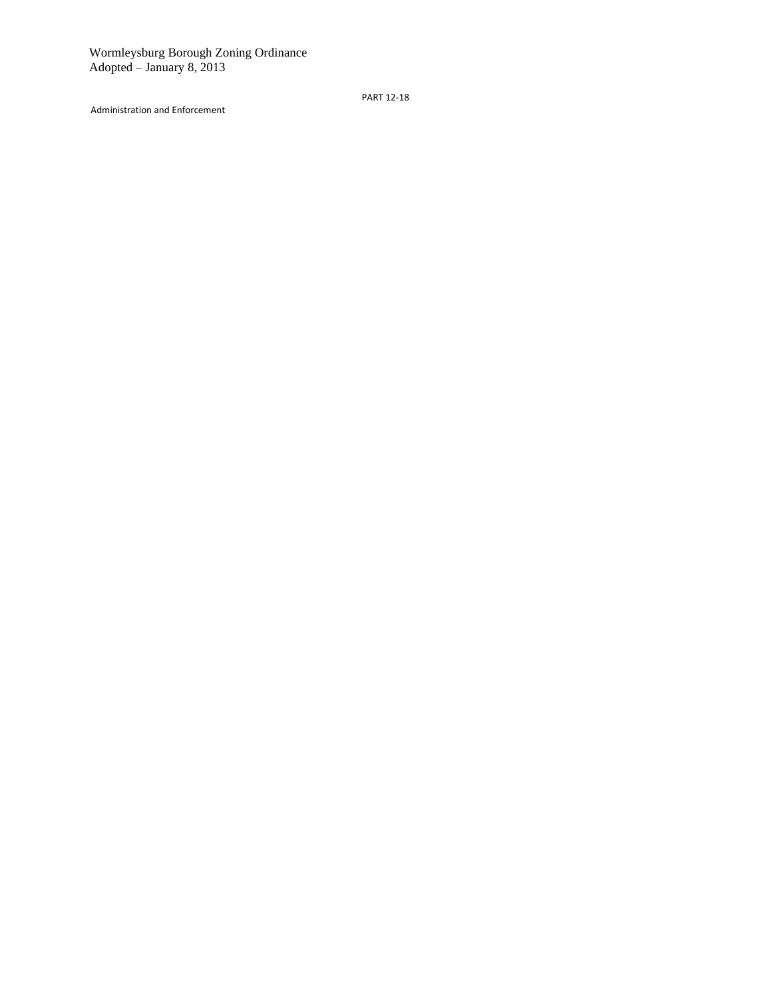Administration and Enforcement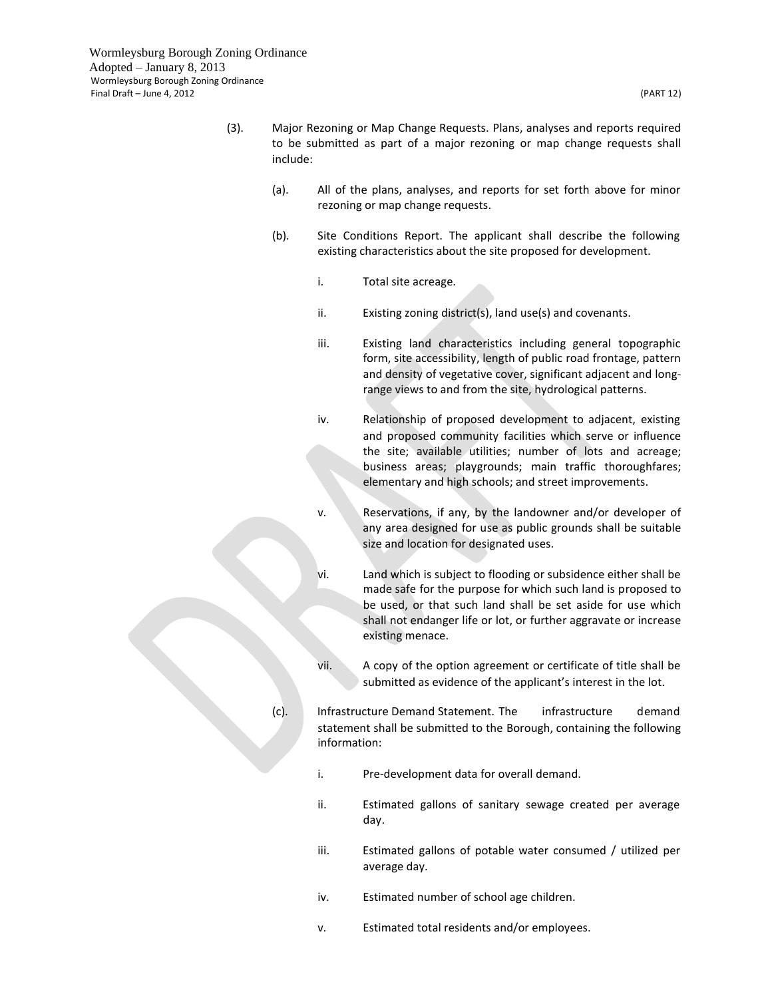- (3). Major Rezoning or Map Change Requests. Plans, analyses and reports required to be submitted as part of a major rezoning or map change requests shall include:
	- (a). All of the plans, analyses, and reports for set forth above for minor rezoning or map change requests.
	- (b). Site Conditions Report. The applicant shall describe the following existing characteristics about the site proposed for development.
		- i. Total site acreage.
		- ii. Existing zoning district(s), land use(s) and covenants.
		- iii. Existing land characteristics including general topographic form, site accessibility, length of public road frontage, pattern and density of vegetative cover, significant adjacent and longrange views to and from the site, hydrological patterns.
		- iv. Relationship of proposed development to adjacent, existing and proposed community facilities which serve or influence the site; available utilities; number of lots and acreage; business areas; playgrounds; main traffic thoroughfares; elementary and high schools; and street improvements.
		- v. Reservations, if any, by the landowner and/or developer of any area designed for use as public grounds shall be suitable size and location for designated uses.
		- vi. Land which is subject to flooding or subsidence either shall be made safe for the purpose for which such land is proposed to be used, or that such land shall be set aside for use which shall not endanger life or lot, or further aggravate or increase existing menace.
		- vii. A copy of the option agreement or certificate of title shall be submitted as evidence of the applicant's interest in the lot.
	- (c). Infrastructure Demand Statement. The infrastructure demand statement shall be submitted to the Borough, containing the following information:
		- i. Pre-development data for overall demand.
		- ii. Estimated gallons of sanitary sewage created per average day.
		- iii. Estimated gallons of potable water consumed / utilized per average day.
		- iv. Estimated number of school age children.
		- v. Estimated total residents and/or employees.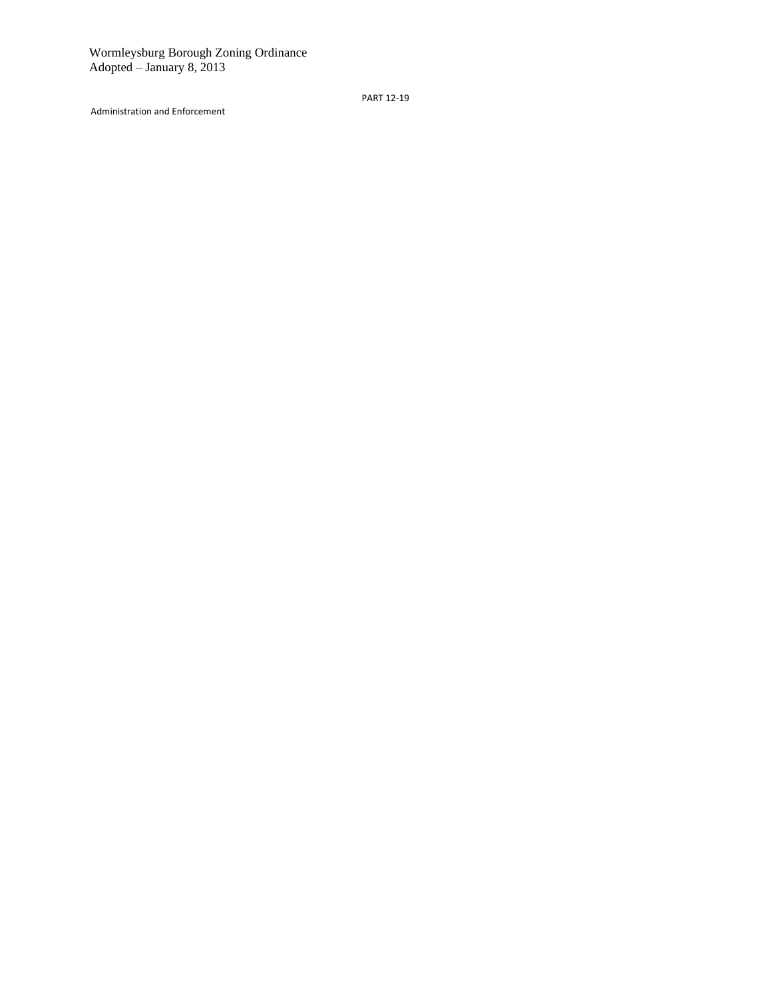Administration and Enforcement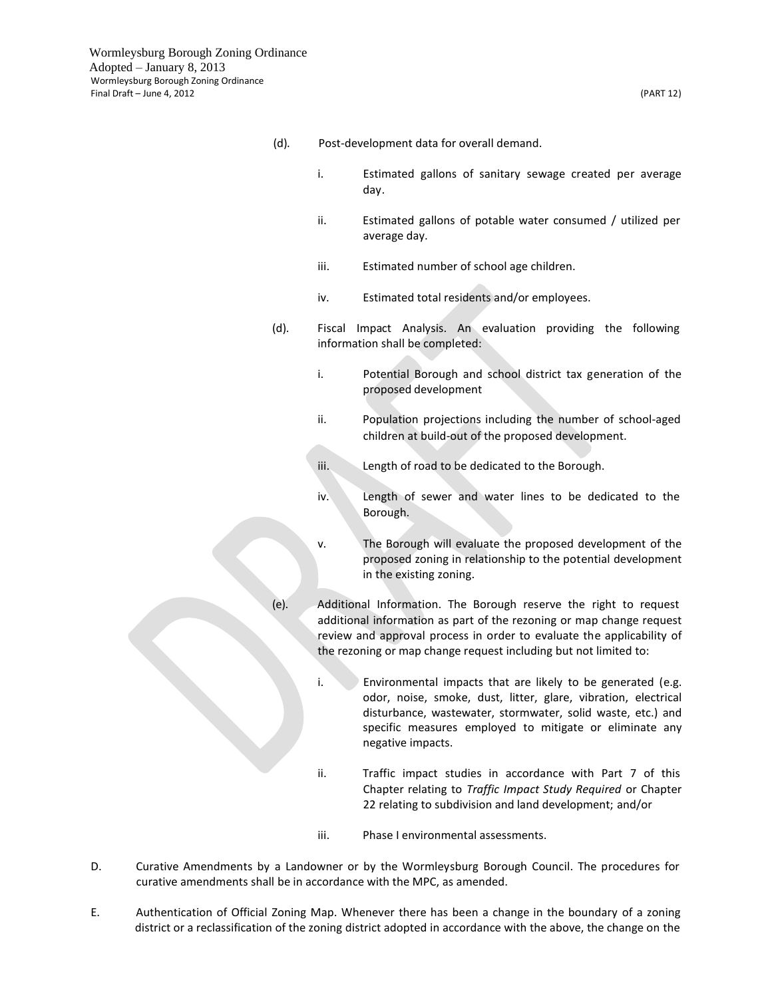- (d). Post-development data for overall demand.
	- i. Estimated gallons of sanitary sewage created per average day.
	- ii. Estimated gallons of potable water consumed / utilized per average day.
	- iii. Estimated number of school age children.
	- iv. Estimated total residents and/or employees.
- (d). Fiscal Impact Analysis. An evaluation providing the following information shall be completed:
	- i. Potential Borough and school district tax generation of the proposed development
	- ii. Population projections including the number of school-aged children at build-out of the proposed development.
	- iii. Length of road to be dedicated to the Borough.
	- iv. Length of sewer and water lines to be dedicated to the Borough.
	- v. The Borough will evaluate the proposed development of the proposed zoning in relationship to the potential development in the existing zoning.
- (e). Additional Information. The Borough reserve the right to request additional information as part of the rezoning or map change request review and approval process in order to evaluate the applicability of the rezoning or map change request including but not limited to:
	- i. Environmental impacts that are likely to be generated (e.g. odor, noise, smoke, dust, litter, glare, vibration, electrical disturbance, wastewater, stormwater, solid waste, etc.) and specific measures employed to mitigate or eliminate any negative impacts.
	- ii. Traffic impact studies in accordance with Part 7 of this Chapter relating to *Traffic Impact Study Required* or Chapter 22 relating to subdivision and land development; and/or
	- iii. Phase I environmental assessments.
- D. Curative Amendments by a Landowner or by the Wormleysburg Borough Council. The procedures for curative amendments shall be in accordance with the MPC, as amended.
- E. Authentication of Official Zoning Map. Whenever there has been a change in the boundary of a zoning district or a reclassification of the zoning district adopted in accordance with the above, the change on the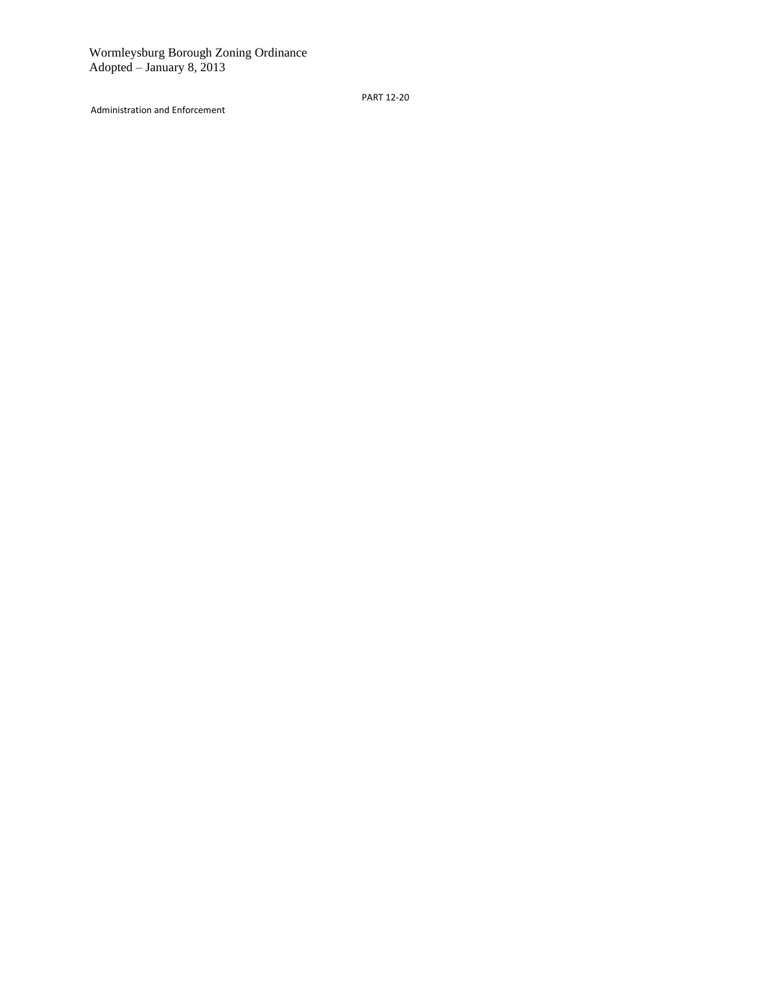Administration and Enforcement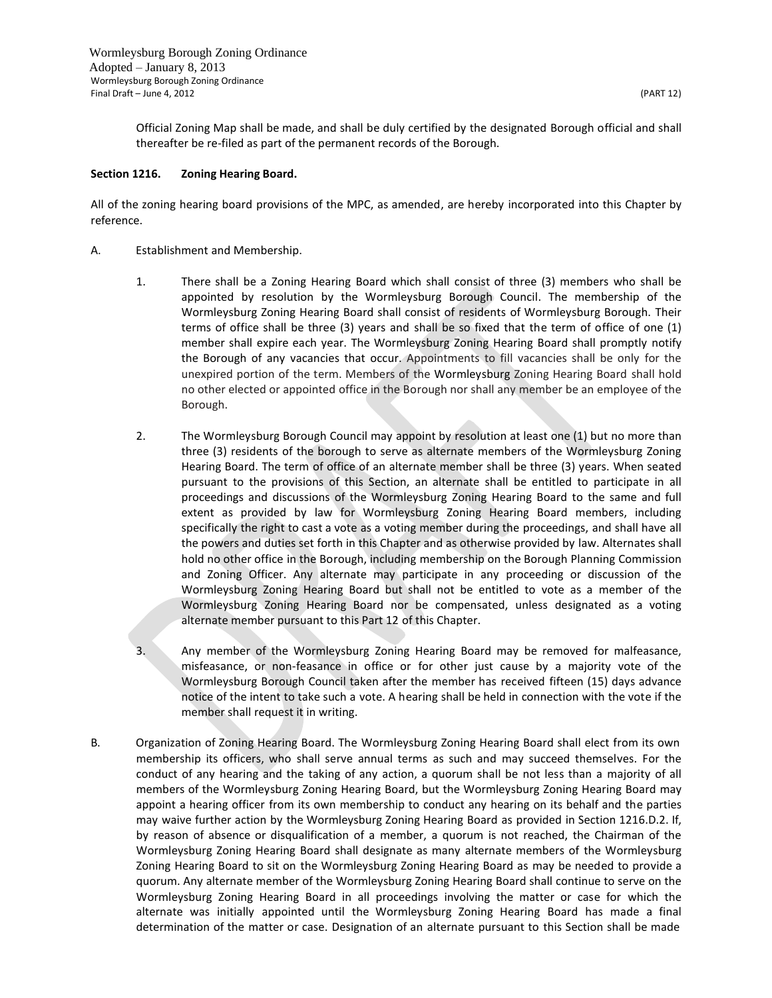Official Zoning Map shall be made, and shall be duly certified by the designated Borough official and shall thereafter be re-filed as part of the permanent records of the Borough.

# **Section 1216. Zoning Hearing Board.**

All of the zoning hearing board provisions of the MPC, as amended, are hereby incorporated into this Chapter by reference.

- A. Establishment and Membership.
	- 1. There shall be a Zoning Hearing Board which shall consist of three (3) members who shall be appointed by resolution by the Wormleysburg Borough Council. The membership of the Wormleysburg Zoning Hearing Board shall consist of residents of Wormleysburg Borough. Their terms of office shall be three (3) years and shall be so fixed that the term of office of one (1) member shall expire each year. The Wormleysburg Zoning Hearing Board shall promptly notify the Borough of any vacancies that occur. Appointments to fill vacancies shall be only for the unexpired portion of the term. Members of the Wormleysburg Zoning Hearing Board shall hold no other elected or appointed office in the Borough nor shall any member be an employee of the Borough.
	- 2. The Wormleysburg Borough Council may appoint by resolution at least one (1) but no more than three (3) residents of the borough to serve as alternate members of the Wormleysburg Zoning Hearing Board. The term of office of an alternate member shall be three (3) years. When seated pursuant to the provisions of this Section, an alternate shall be entitled to participate in all proceedings and discussions of the Wormleysburg Zoning Hearing Board to the same and full extent as provided by law for Wormleysburg Zoning Hearing Board members, including specifically the right to cast a vote as a voting member during the proceedings, and shall have all the powers and duties set forth in this Chapter and as otherwise provided by law. Alternates shall hold no other office in the Borough, including membership on the Borough Planning Commission and Zoning Officer. Any alternate may participate in any proceeding or discussion of the Wormleysburg Zoning Hearing Board but shall not be entitled to vote as a member of the Wormleysburg Zoning Hearing Board nor be compensated, unless designated as a voting alternate member pursuant to this Part 12 of this Chapter.
	- 3. Any member of the Wormleysburg Zoning Hearing Board may be removed for malfeasance, misfeasance, or non-feasance in office or for other just cause by a majority vote of the Wormleysburg Borough Council taken after the member has received fifteen (15) days advance notice of the intent to take such a vote. A hearing shall be held in connection with the vote if the member shall request it in writing.
- B. Organization of Zoning Hearing Board. The Wormleysburg Zoning Hearing Board shall elect from its own membership its officers, who shall serve annual terms as such and may succeed themselves. For the conduct of any hearing and the taking of any action, a quorum shall be not less than a majority of all members of the Wormleysburg Zoning Hearing Board, but the Wormleysburg Zoning Hearing Board may appoint a hearing officer from its own membership to conduct any hearing on its behalf and the parties may waive further action by the Wormleysburg Zoning Hearing Board as provided in Section 1216.D.2. If, by reason of absence or disqualification of a member, a quorum is not reached, the Chairman of the Wormleysburg Zoning Hearing Board shall designate as many alternate members of the Wormleysburg Zoning Hearing Board to sit on the Wormleysburg Zoning Hearing Board as may be needed to provide a quorum. Any alternate member of the Wormleysburg Zoning Hearing Board shall continue to serve on the Wormleysburg Zoning Hearing Board in all proceedings involving the matter or case for which the alternate was initially appointed until the Wormleysburg Zoning Hearing Board has made a final determination of the matter or case. Designation of an alternate pursuant to this Section shall be made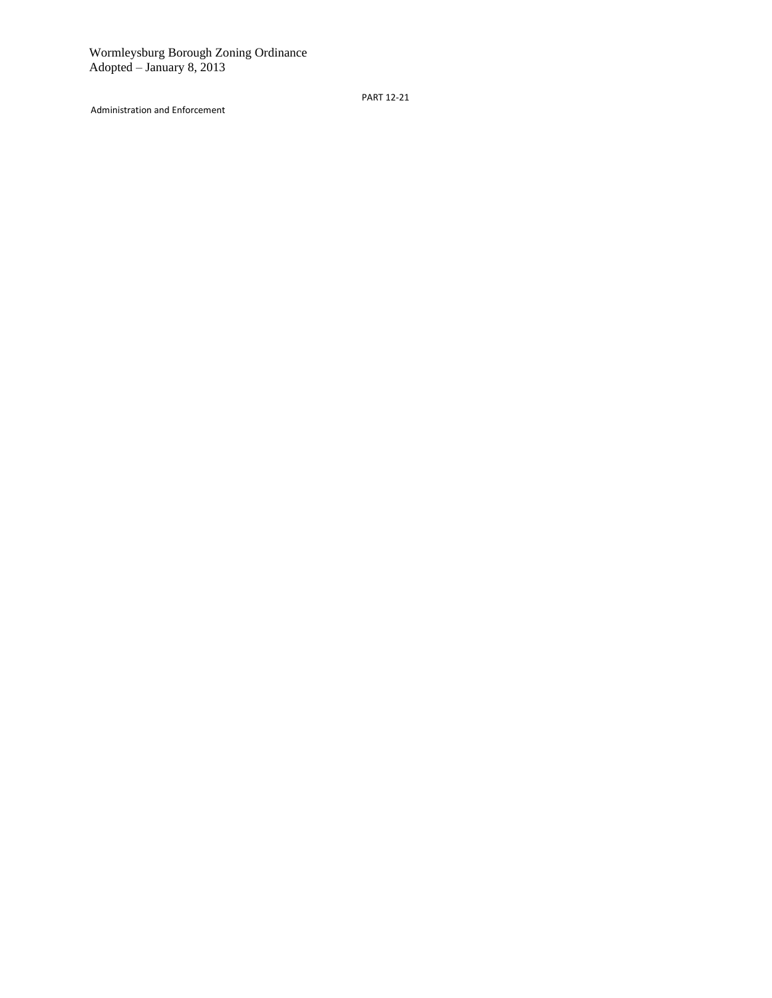Administration and Enforcement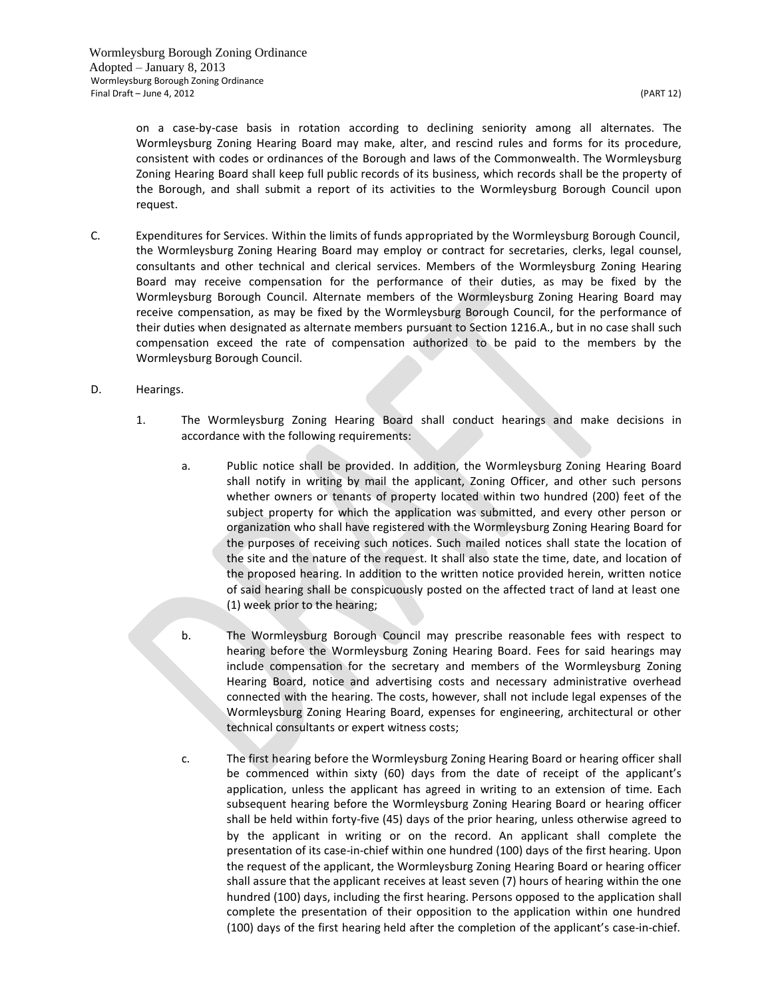on a case-by-case basis in rotation according to declining seniority among all alternates. The Wormleysburg Zoning Hearing Board may make, alter, and rescind rules and forms for its procedure, consistent with codes or ordinances of the Borough and laws of the Commonwealth. The Wormleysburg Zoning Hearing Board shall keep full public records of its business, which records shall be the property of the Borough, and shall submit a report of its activities to the Wormleysburg Borough Council upon request.

- C. Expenditures for Services. Within the limits of funds appropriated by the Wormleysburg Borough Council, the Wormleysburg Zoning Hearing Board may employ or contract for secretaries, clerks, legal counsel, consultants and other technical and clerical services. Members of the Wormleysburg Zoning Hearing Board may receive compensation for the performance of their duties, as may be fixed by the Wormleysburg Borough Council. Alternate members of the Wormleysburg Zoning Hearing Board may receive compensation, as may be fixed by the Wormleysburg Borough Council, for the performance of their duties when designated as alternate members pursuant to Section 1216.A., but in no case shall such compensation exceed the rate of compensation authorized to be paid to the members by the Wormleysburg Borough Council.
- D. Hearings.
	- 1. The Wormleysburg Zoning Hearing Board shall conduct hearings and make decisions in accordance with the following requirements:
		- a. Public notice shall be provided. In addition, the Wormleysburg Zoning Hearing Board shall notify in writing by mail the applicant, Zoning Officer, and other such persons whether owners or tenants of property located within two hundred (200) feet of the subject property for which the application was submitted, and every other person or organization who shall have registered with the Wormleysburg Zoning Hearing Board for the purposes of receiving such notices. Such mailed notices shall state the location of the site and the nature of the request. It shall also state the time, date, and location of the proposed hearing. In addition to the written notice provided herein, written notice of said hearing shall be conspicuously posted on the affected tract of land at least one (1) week prior to the hearing;
		- b. The Wormleysburg Borough Council may prescribe reasonable fees with respect to hearing before the Wormleysburg Zoning Hearing Board. Fees for said hearings may include compensation for the secretary and members of the Wormleysburg Zoning Hearing Board, notice and advertising costs and necessary administrative overhead connected with the hearing. The costs, however, shall not include legal expenses of the Wormleysburg Zoning Hearing Board, expenses for engineering, architectural or other technical consultants or expert witness costs;
		- c. The first hearing before the Wormleysburg Zoning Hearing Board or hearing officer shall be commenced within sixty (60) days from the date of receipt of the applicant's application, unless the applicant has agreed in writing to an extension of time. Each subsequent hearing before the Wormleysburg Zoning Hearing Board or hearing officer shall be held within forty-five (45) days of the prior hearing, unless otherwise agreed to by the applicant in writing or on the record. An applicant shall complete the presentation of its case-in-chief within one hundred (100) days of the first hearing. Upon the request of the applicant, the Wormleysburg Zoning Hearing Board or hearing officer shall assure that the applicant receives at least seven (7) hours of hearing within the one hundred (100) days, including the first hearing. Persons opposed to the application shall complete the presentation of their opposition to the application within one hundred (100) days of the first hearing held after the completion of the applicant's case-in-chief.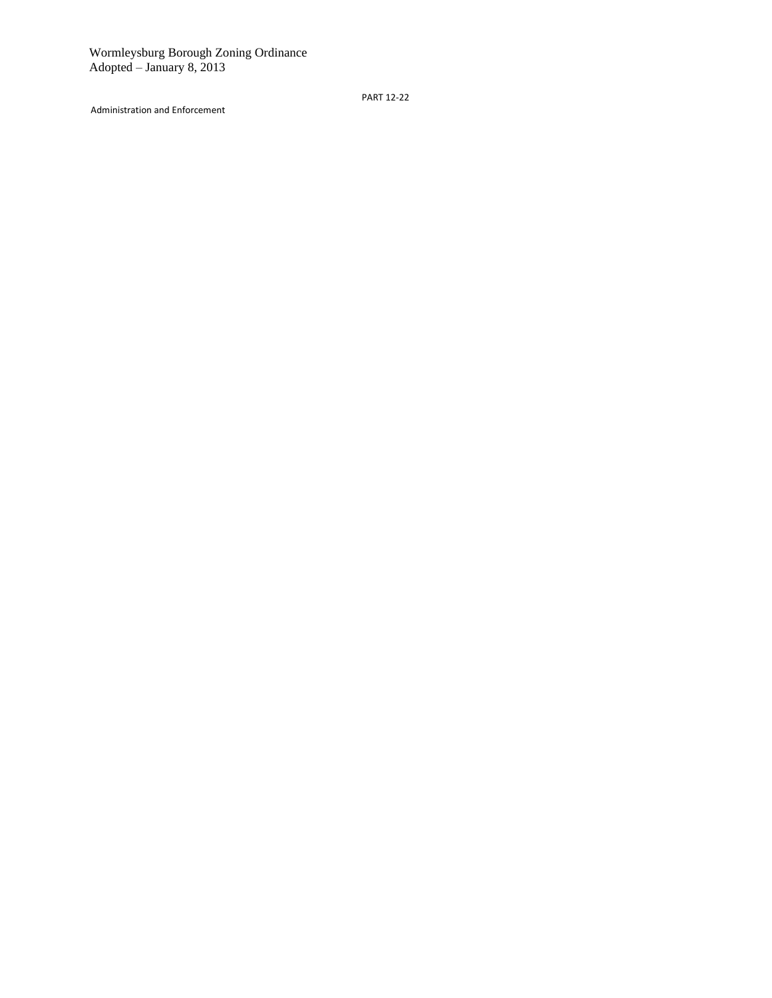Administration and Enforcement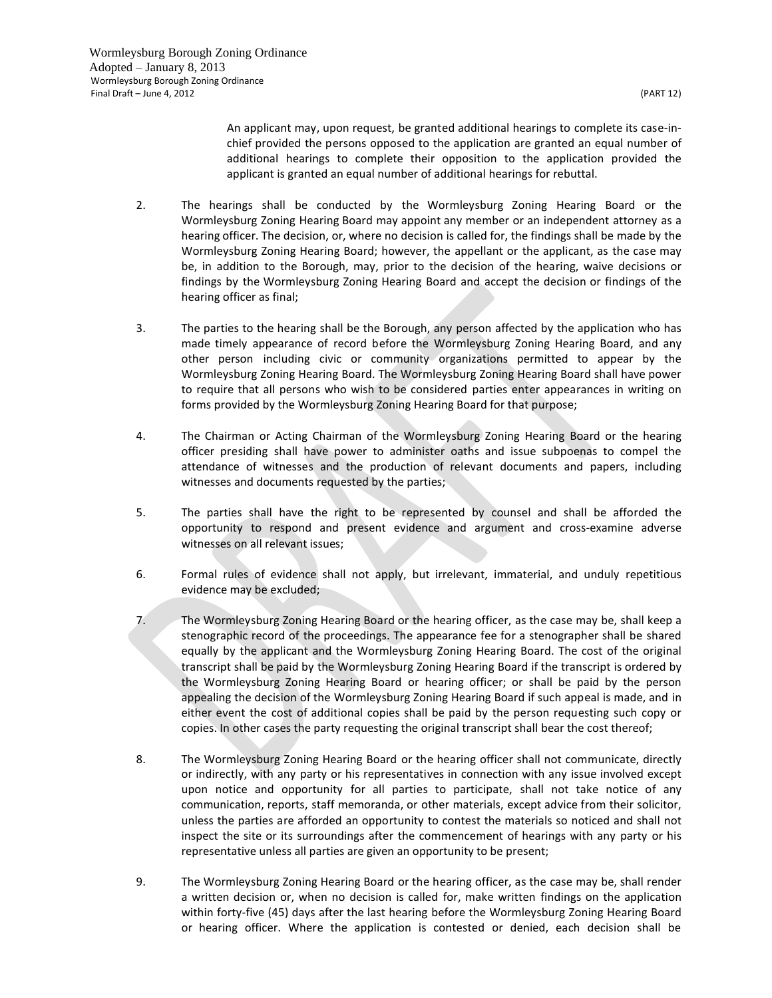An applicant may, upon request, be granted additional hearings to complete its case-inchief provided the persons opposed to the application are granted an equal number of additional hearings to complete their opposition to the application provided the applicant is granted an equal number of additional hearings for rebuttal.

- 2. The hearings shall be conducted by the Wormleysburg Zoning Hearing Board or the Wormleysburg Zoning Hearing Board may appoint any member or an independent attorney as a hearing officer. The decision, or, where no decision is called for, the findings shall be made by the Wormleysburg Zoning Hearing Board; however, the appellant or the applicant, as the case may be, in addition to the Borough, may, prior to the decision of the hearing, waive decisions or findings by the Wormleysburg Zoning Hearing Board and accept the decision or findings of the hearing officer as final;
- 3. The parties to the hearing shall be the Borough, any person affected by the application who has made timely appearance of record before the Wormleysburg Zoning Hearing Board, and any other person including civic or community organizations permitted to appear by the Wormleysburg Zoning Hearing Board. The Wormleysburg Zoning Hearing Board shall have power to require that all persons who wish to be considered parties enter appearances in writing on forms provided by the Wormleysburg Zoning Hearing Board for that purpose;
- 4. The Chairman or Acting Chairman of the Wormleysburg Zoning Hearing Board or the hearing officer presiding shall have power to administer oaths and issue subpoenas to compel the attendance of witnesses and the production of relevant documents and papers, including witnesses and documents requested by the parties;
- 5. The parties shall have the right to be represented by counsel and shall be afforded the opportunity to respond and present evidence and argument and cross-examine adverse witnesses on all relevant issues;
- 6. Formal rules of evidence shall not apply, but irrelevant, immaterial, and unduly repetitious evidence may be excluded;
- 7. The Wormleysburg Zoning Hearing Board or the hearing officer, as the case may be, shall keep a stenographic record of the proceedings. The appearance fee for a stenographer shall be shared equally by the applicant and the Wormleysburg Zoning Hearing Board. The cost of the original transcript shall be paid by the Wormleysburg Zoning Hearing Board if the transcript is ordered by the Wormleysburg Zoning Hearing Board or hearing officer; or shall be paid by the person appealing the decision of the Wormleysburg Zoning Hearing Board if such appeal is made, and in either event the cost of additional copies shall be paid by the person requesting such copy or copies. In other cases the party requesting the original transcript shall bear the cost thereof;
- 8. The Wormleysburg Zoning Hearing Board or the hearing officer shall not communicate, directly or indirectly, with any party or his representatives in connection with any issue involved except upon notice and opportunity for all parties to participate, shall not take notice of any communication, reports, staff memoranda, or other materials, except advice from their solicitor, unless the parties are afforded an opportunity to contest the materials so noticed and shall not inspect the site or its surroundings after the commencement of hearings with any party or his representative unless all parties are given an opportunity to be present;
- 9. The Wormleysburg Zoning Hearing Board or the hearing officer, as the case may be, shall render a written decision or, when no decision is called for, make written findings on the application within forty-five (45) days after the last hearing before the Wormleysburg Zoning Hearing Board or hearing officer. Where the application is contested or denied, each decision shall be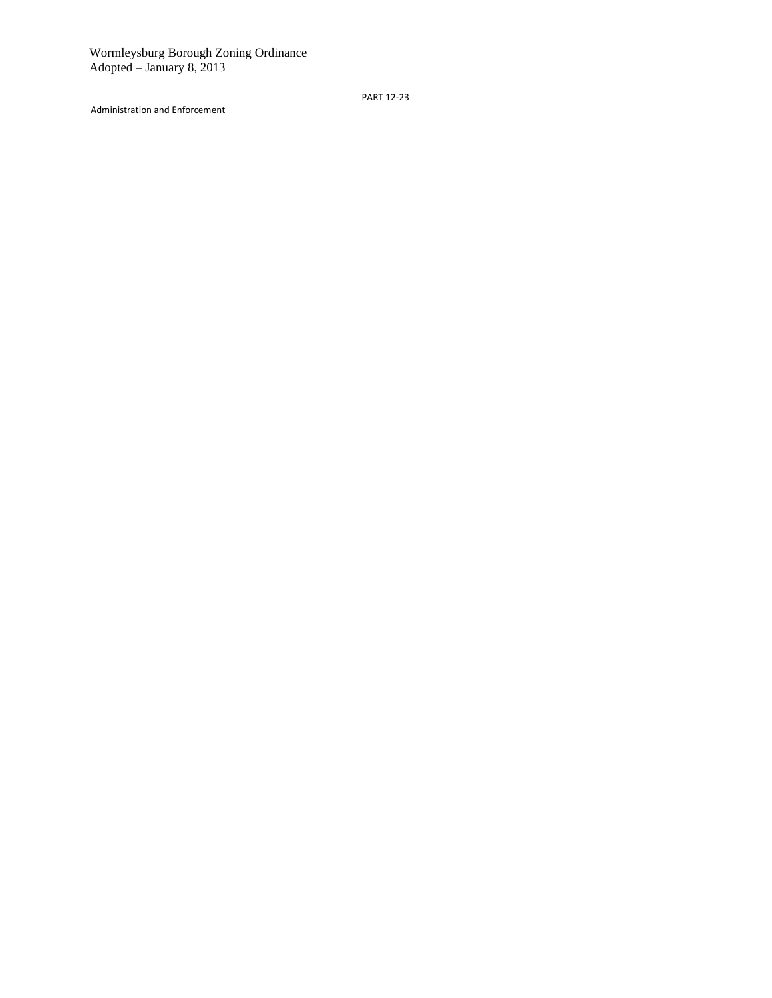Administration and Enforcement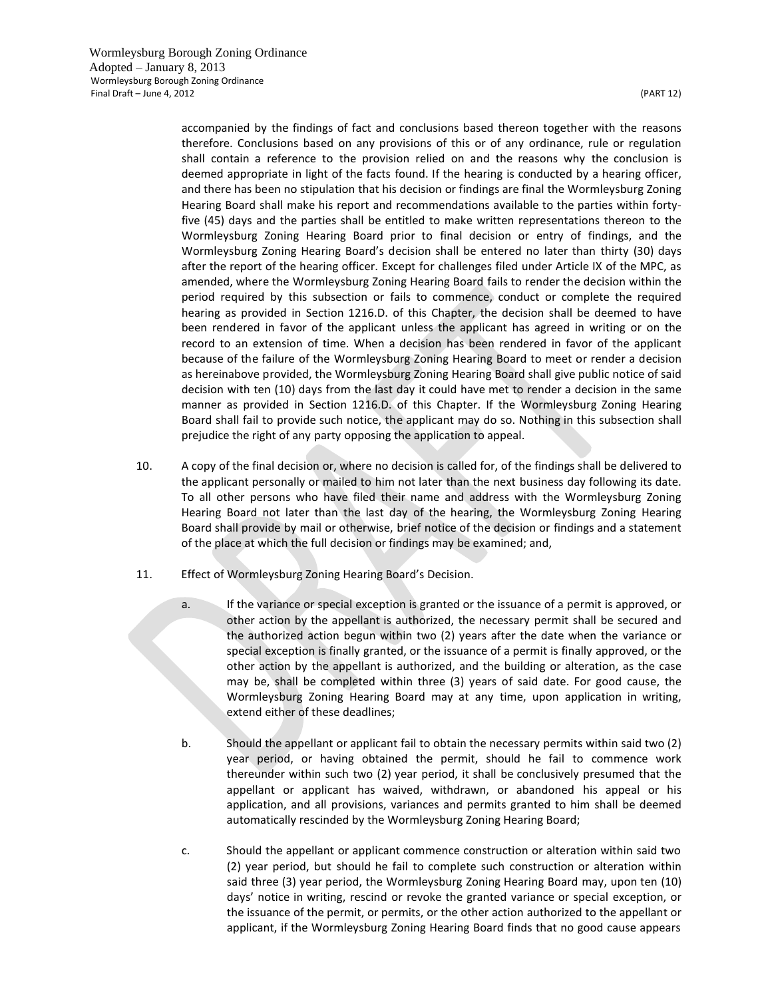accompanied by the findings of fact and conclusions based thereon together with the reasons therefore. Conclusions based on any provisions of this or of any ordinance, rule or regulation shall contain a reference to the provision relied on and the reasons why the conclusion is deemed appropriate in light of the facts found. If the hearing is conducted by a hearing officer, and there has been no stipulation that his decision or findings are final the Wormleysburg Zoning Hearing Board shall make his report and recommendations available to the parties within fortyfive (45) days and the parties shall be entitled to make written representations thereon to the Wormleysburg Zoning Hearing Board prior to final decision or entry of findings, and the Wormleysburg Zoning Hearing Board's decision shall be entered no later than thirty (30) days after the report of the hearing officer. Except for challenges filed under Article IX of the MPC, as amended, where the Wormleysburg Zoning Hearing Board fails to render the decision within the period required by this subsection or fails to commence, conduct or complete the required hearing as provided in Section 1216.D. of this Chapter, the decision shall be deemed to have been rendered in favor of the applicant unless the applicant has agreed in writing or on the record to an extension of time. When a decision has been rendered in favor of the applicant because of the failure of the Wormleysburg Zoning Hearing Board to meet or render a decision as hereinabove provided, the Wormleysburg Zoning Hearing Board shall give public notice of said decision with ten (10) days from the last day it could have met to render a decision in the same manner as provided in Section 1216.D. of this Chapter. If the Wormleysburg Zoning Hearing Board shall fail to provide such notice, the applicant may do so. Nothing in this subsection shall prejudice the right of any party opposing the application to appeal.

- 10. A copy of the final decision or, where no decision is called for, of the findings shall be delivered to the applicant personally or mailed to him not later than the next business day following its date. To all other persons who have filed their name and address with the Wormleysburg Zoning Hearing Board not later than the last day of the hearing, the Wormleysburg Zoning Hearing Board shall provide by mail or otherwise, brief notice of the decision or findings and a statement of the place at which the full decision or findings may be examined; and,
- 11. Effect of Wormleysburg Zoning Hearing Board's Decision.
	- a. If the variance or special exception is granted or the issuance of a permit is approved, or other action by the appellant is authorized, the necessary permit shall be secured and the authorized action begun within two (2) years after the date when the variance or special exception is finally granted, or the issuance of a permit is finally approved, or the other action by the appellant is authorized, and the building or alteration, as the case may be, shall be completed within three (3) years of said date. For good cause, the Wormleysburg Zoning Hearing Board may at any time, upon application in writing, extend either of these deadlines;
	- b. Should the appellant or applicant fail to obtain the necessary permits within said two (2) year period, or having obtained the permit, should he fail to commence work thereunder within such two (2) year period, it shall be conclusively presumed that the appellant or applicant has waived, withdrawn, or abandoned his appeal or his application, and all provisions, variances and permits granted to him shall be deemed automatically rescinded by the Wormleysburg Zoning Hearing Board;
	- c. Should the appellant or applicant commence construction or alteration within said two (2) year period, but should he fail to complete such construction or alteration within said three (3) year period, the Wormleysburg Zoning Hearing Board may, upon ten (10) days' notice in writing, rescind or revoke the granted variance or special exception, or the issuance of the permit, or permits, or the other action authorized to the appellant or applicant, if the Wormleysburg Zoning Hearing Board finds that no good cause appears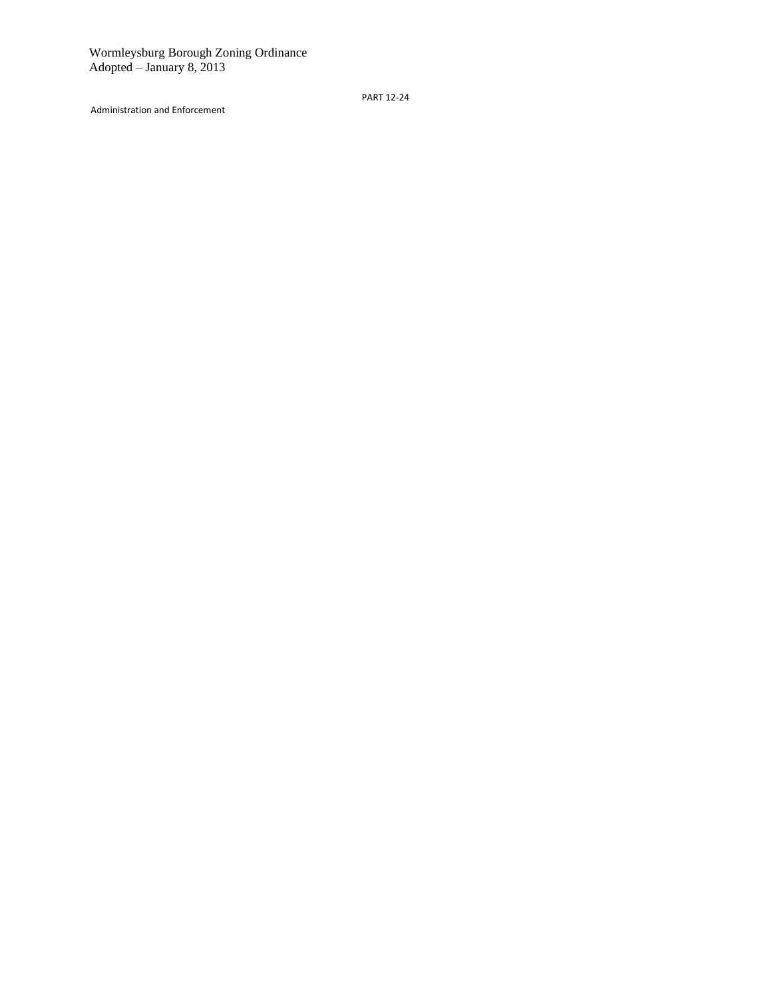Administration and Enforcement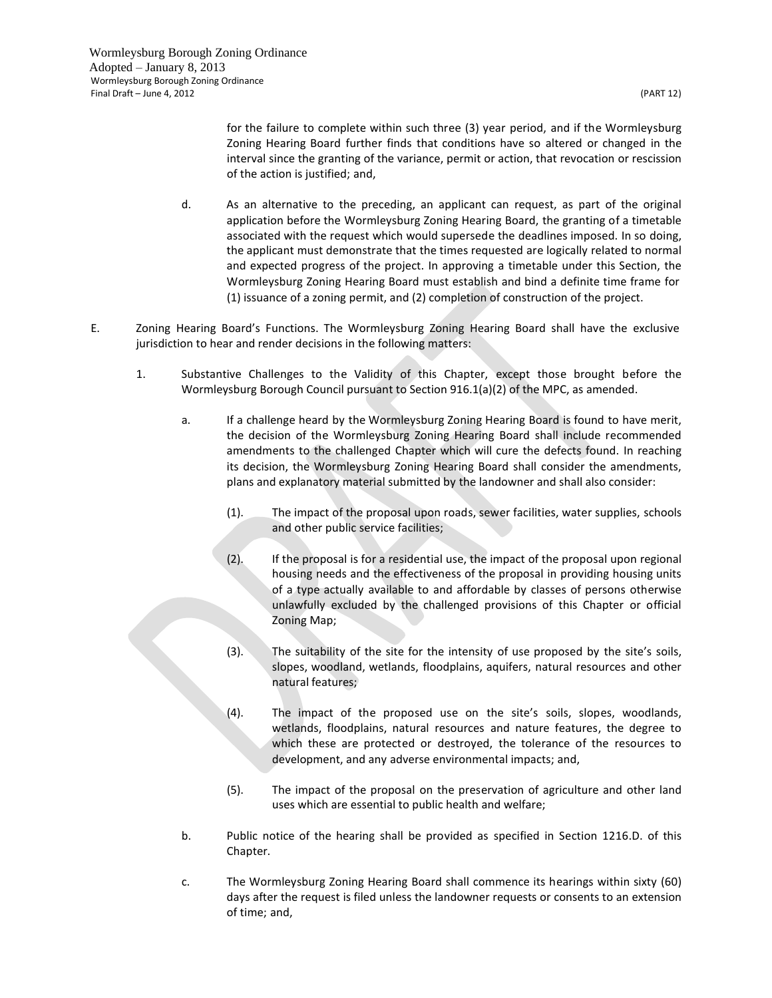for the failure to complete within such three (3) year period, and if the Wormleysburg Zoning Hearing Board further finds that conditions have so altered or changed in the interval since the granting of the variance, permit or action, that revocation or rescission of the action is justified; and,

- d. As an alternative to the preceding, an applicant can request, as part of the original application before the Wormleysburg Zoning Hearing Board, the granting of a timetable associated with the request which would supersede the deadlines imposed. In so doing, the applicant must demonstrate that the times requested are logically related to normal and expected progress of the project. In approving a timetable under this Section, the Wormleysburg Zoning Hearing Board must establish and bind a definite time frame for (1) issuance of a zoning permit, and (2) completion of construction of the project.
- E. Zoning Hearing Board's Functions. The Wormleysburg Zoning Hearing Board shall have the exclusive jurisdiction to hear and render decisions in the following matters:
	- 1. Substantive Challenges to the Validity of this Chapter, except those brought before the Wormleysburg Borough Council pursuant to Section 916.1(a)(2) of the MPC, as amended.
		- a. If a challenge heard by the Wormleysburg Zoning Hearing Board is found to have merit, the decision of the Wormleysburg Zoning Hearing Board shall include recommended amendments to the challenged Chapter which will cure the defects found. In reaching its decision, the Wormleysburg Zoning Hearing Board shall consider the amendments, plans and explanatory material submitted by the landowner and shall also consider:
			- (1). The impact of the proposal upon roads, sewer facilities, water supplies, schools and other public service facilities;
			- (2). If the proposal is for a residential use, the impact of the proposal upon regional housing needs and the effectiveness of the proposal in providing housing units of a type actually available to and affordable by classes of persons otherwise unlawfully excluded by the challenged provisions of this Chapter or official Zoning Map;
			- (3). The suitability of the site for the intensity of use proposed by the site's soils, slopes, woodland, wetlands, floodplains, aquifers, natural resources and other natural features;
			- (4). The impact of the proposed use on the site's soils, slopes, woodlands, wetlands, floodplains, natural resources and nature features, the degree to which these are protected or destroyed, the tolerance of the resources to development, and any adverse environmental impacts; and,
			- (5). The impact of the proposal on the preservation of agriculture and other land uses which are essential to public health and welfare;
		- b. Public notice of the hearing shall be provided as specified in Section 1216.D. of this Chapter.
		- c. The Wormleysburg Zoning Hearing Board shall commence its hearings within sixty (60) days after the request is filed unless the landowner requests or consents to an extension of time; and,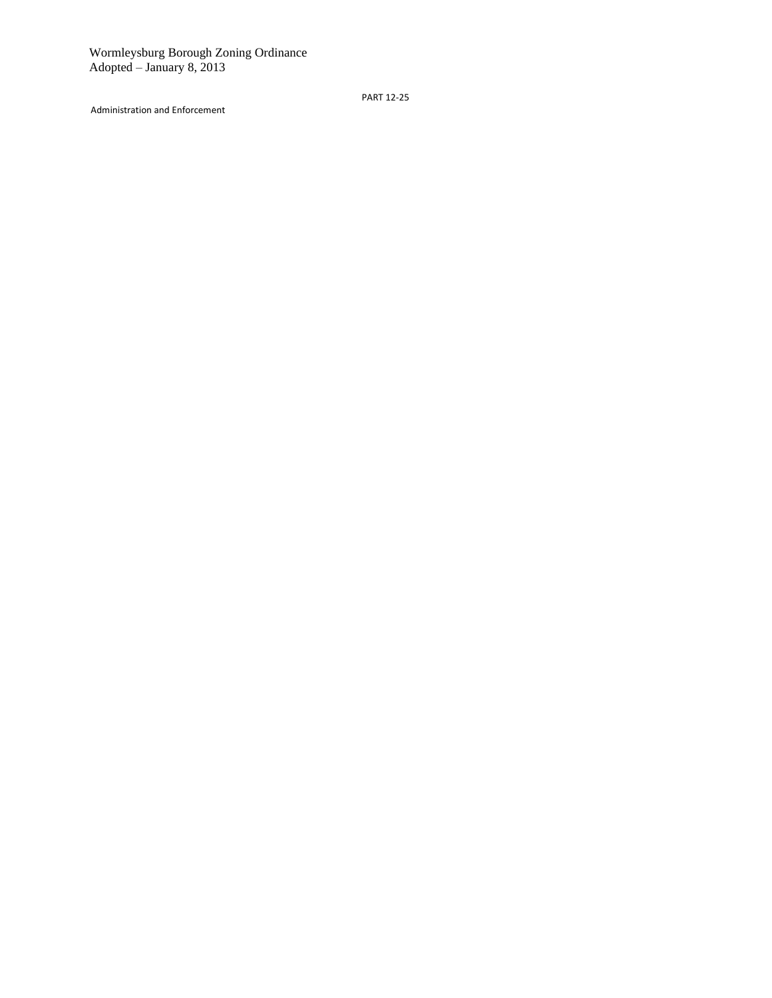Administration and Enforcement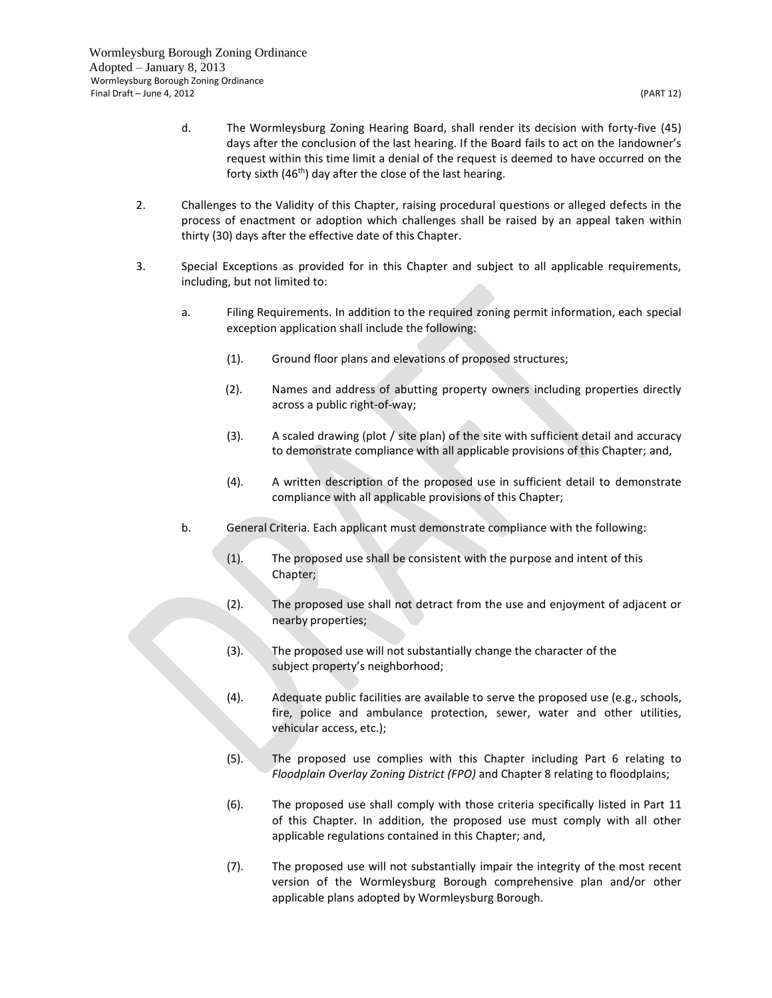- 2. Challenges to the Validity of this Chapter, raising procedural questions or alleged defects in the process of enactment or adoption which challenges shall be raised by an appeal taken within thirty (30) days after the effective date of this Chapter.
- 3. Special Exceptions as provided for in this Chapter and subject to all applicable requirements, including, but not limited to:
	- a. Filing Requirements. In addition to the required zoning permit information, each special exception application shall include the following:
		- (1). Ground floor plans and elevations of proposed structures;
		- (2). Names and address of abutting property owners including properties directly across a public right-of-way;
		- (3). A scaled drawing (plot / site plan) of the site with sufficient detail and accuracy to demonstrate compliance with all applicable provisions of this Chapter; and,
		- (4). A written description of the proposed use in sufficient detail to demonstrate compliance with all applicable provisions of this Chapter;
	- b. General Criteria. Each applicant must demonstrate compliance with the following:
		- (1). The proposed use shall be consistent with the purpose and intent of this Chapter;
		- (2). The proposed use shall not detract from the use and enjoyment of adjacent or nearby properties;
		- (3). The proposed use will not substantially change the character of the subject property's neighborhood;
		- (4). Adequate public facilities are available to serve the proposed use (e.g., schools, fire, police and ambulance protection, sewer, water and other utilities, vehicular access, etc.);
		- (5). The proposed use complies with this Chapter including Part 6 relating to *Floodplain Overlay Zoning District (FPO)* and Chapter 8 relating to floodplains;
		- (6). The proposed use shall comply with those criteria specifically listed in Part 11 of this Chapter. In addition, the proposed use must comply with all other applicable regulations contained in this Chapter; and,
		- (7). The proposed use will not substantially impair the integrity of the most recent version of the Wormleysburg Borough comprehensive plan and/or other applicable plans adopted by Wormleysburg Borough.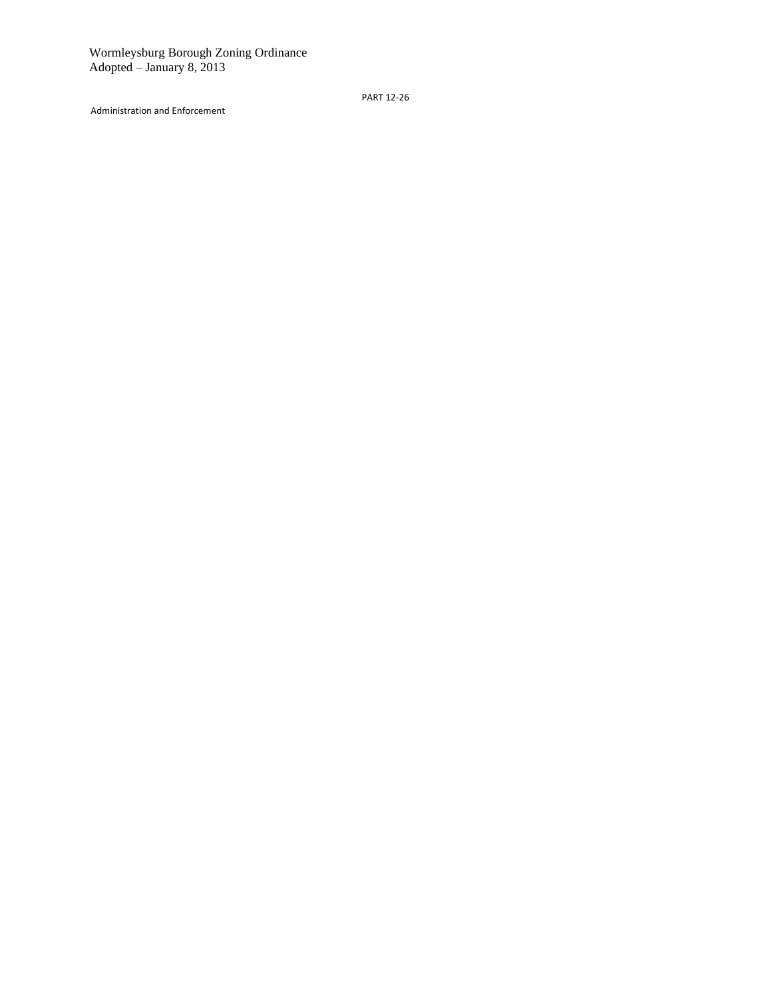Administration and Enforcement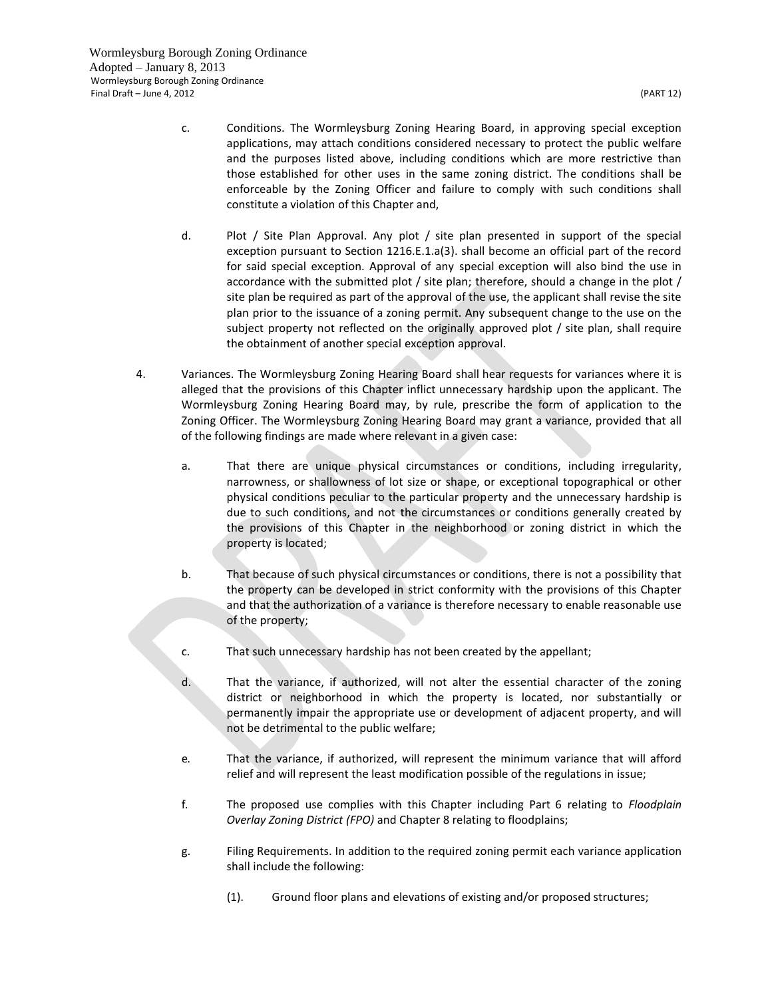- c. Conditions. The Wormleysburg Zoning Hearing Board, in approving special exception applications, may attach conditions considered necessary to protect the public welfare and the purposes listed above, including conditions which are more restrictive than those established for other uses in the same zoning district. The conditions shall be enforceable by the Zoning Officer and failure to comply with such conditions shall constitute a violation of this Chapter and,
- d. Plot / Site Plan Approval. Any plot / site plan presented in support of the special exception pursuant to Section 1216.E.1.a(3). shall become an official part of the record for said special exception. Approval of any special exception will also bind the use in accordance with the submitted plot / site plan; therefore, should a change in the plot / site plan be required as part of the approval of the use, the applicant shall revise the site plan prior to the issuance of a zoning permit. Any subsequent change to the use on the subject property not reflected on the originally approved plot / site plan, shall require the obtainment of another special exception approval.
- 4. Variances. The Wormleysburg Zoning Hearing Board shall hear requests for variances where it is alleged that the provisions of this Chapter inflict unnecessary hardship upon the applicant. The Wormleysburg Zoning Hearing Board may, by rule, prescribe the form of application to the Zoning Officer. The Wormleysburg Zoning Hearing Board may grant a variance, provided that all of the following findings are made where relevant in a given case:
	- a. That there are unique physical circumstances or conditions, including irregularity, narrowness, or shallowness of lot size or shape, or exceptional topographical or other physical conditions peculiar to the particular property and the unnecessary hardship is due to such conditions, and not the circumstances or conditions generally created by the provisions of this Chapter in the neighborhood or zoning district in which the property is located;
	- b. That because of such physical circumstances or conditions, there is not a possibility that the property can be developed in strict conformity with the provisions of this Chapter and that the authorization of a variance is therefore necessary to enable reasonable use of the property;
	- c. That such unnecessary hardship has not been created by the appellant;
	- d. That the variance, if authorized, will not alter the essential character of the zoning district or neighborhood in which the property is located, nor substantially or permanently impair the appropriate use or development of adjacent property, and will not be detrimental to the public welfare;
	- e. That the variance, if authorized, will represent the minimum variance that will afford relief and will represent the least modification possible of the regulations in issue;
	- f. The proposed use complies with this Chapter including Part 6 relating to *Floodplain Overlay Zoning District (FPO)* and Chapter 8 relating to floodplains;
	- g. Filing Requirements. In addition to the required zoning permit each variance application shall include the following:
		- (1). Ground floor plans and elevations of existing and/or proposed structures;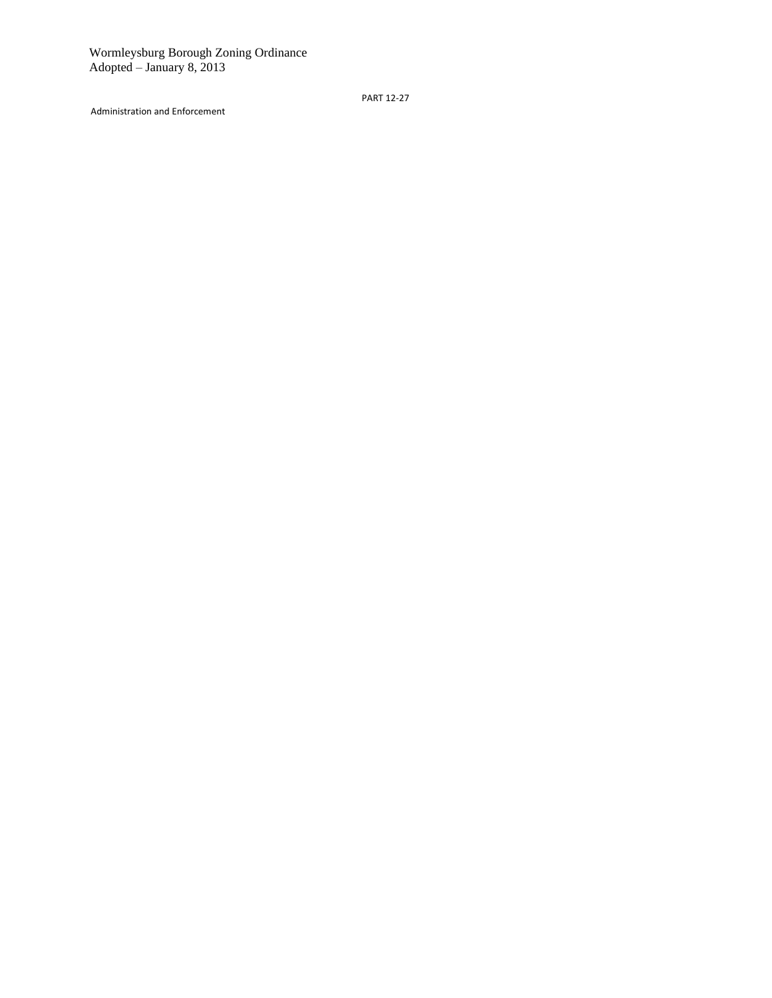Administration and Enforcement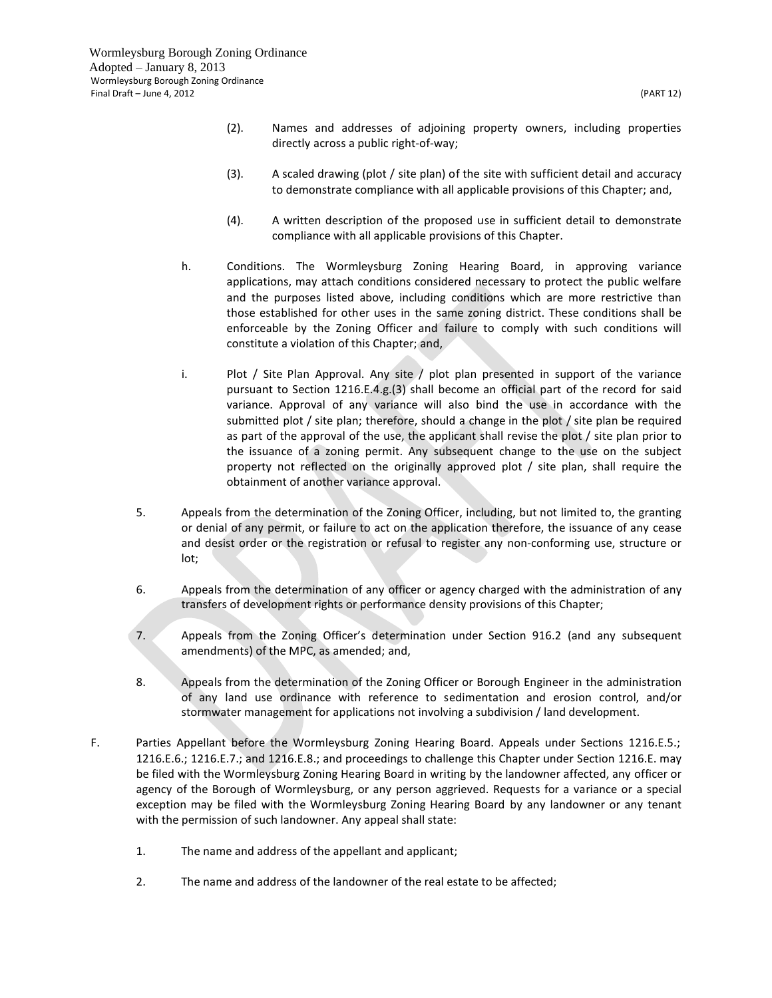- (2). Names and addresses of adjoining property owners, including properties directly across a public right-of-way;
- (3). A scaled drawing (plot / site plan) of the site with sufficient detail and accuracy to demonstrate compliance with all applicable provisions of this Chapter; and,
- (4). A written description of the proposed use in sufficient detail to demonstrate compliance with all applicable provisions of this Chapter.
- h. Conditions. The Wormleysburg Zoning Hearing Board, in approving variance applications, may attach conditions considered necessary to protect the public welfare and the purposes listed above, including conditions which are more restrictive than those established for other uses in the same zoning district. These conditions shall be enforceable by the Zoning Officer and failure to comply with such conditions will constitute a violation of this Chapter; and,
- i. Plot / Site Plan Approval. Any site / plot plan presented in support of the variance pursuant to Section 1216.E.4.g.(3) shall become an official part of the record for said variance. Approval of any variance will also bind the use in accordance with the submitted plot / site plan; therefore, should a change in the plot / site plan be required as part of the approval of the use, the applicant shall revise the plot / site plan prior to the issuance of a zoning permit. Any subsequent change to the use on the subject property not reflected on the originally approved plot / site plan, shall require the obtainment of another variance approval.
- 5. Appeals from the determination of the Zoning Officer, including, but not limited to, the granting or denial of any permit, or failure to act on the application therefore, the issuance of any cease and desist order or the registration or refusal to register any non-conforming use, structure or lot;
- 6. Appeals from the determination of any officer or agency charged with the administration of any transfers of development rights or performance density provisions of this Chapter;
- 7. Appeals from the Zoning Officer's determination under Section 916.2 (and any subsequent amendments) of the MPC, as amended; and,
- 8. Appeals from the determination of the Zoning Officer or Borough Engineer in the administration of any land use ordinance with reference to sedimentation and erosion control, and/or stormwater management for applications not involving a subdivision / land development.
- F. Parties Appellant before the Wormleysburg Zoning Hearing Board. Appeals under Sections 1216.E.5.; 1216.E.6.; 1216.E.7.; and 1216.E.8.; and proceedings to challenge this Chapter under Section 1216.E. may be filed with the Wormleysburg Zoning Hearing Board in writing by the landowner affected, any officer or agency of the Borough of Wormleysburg, or any person aggrieved. Requests for a variance or a special exception may be filed with the Wormleysburg Zoning Hearing Board by any landowner or any tenant with the permission of such landowner. Any appeal shall state:
	- 1. The name and address of the appellant and applicant;
	- 2. The name and address of the landowner of the real estate to be affected;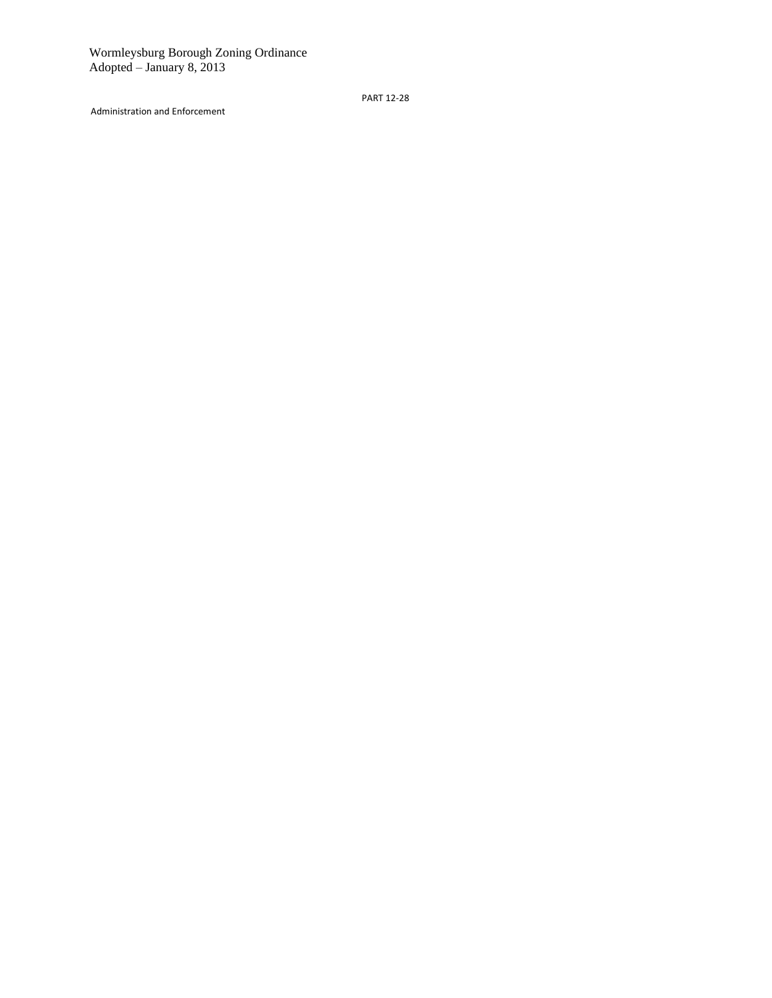Administration and Enforcement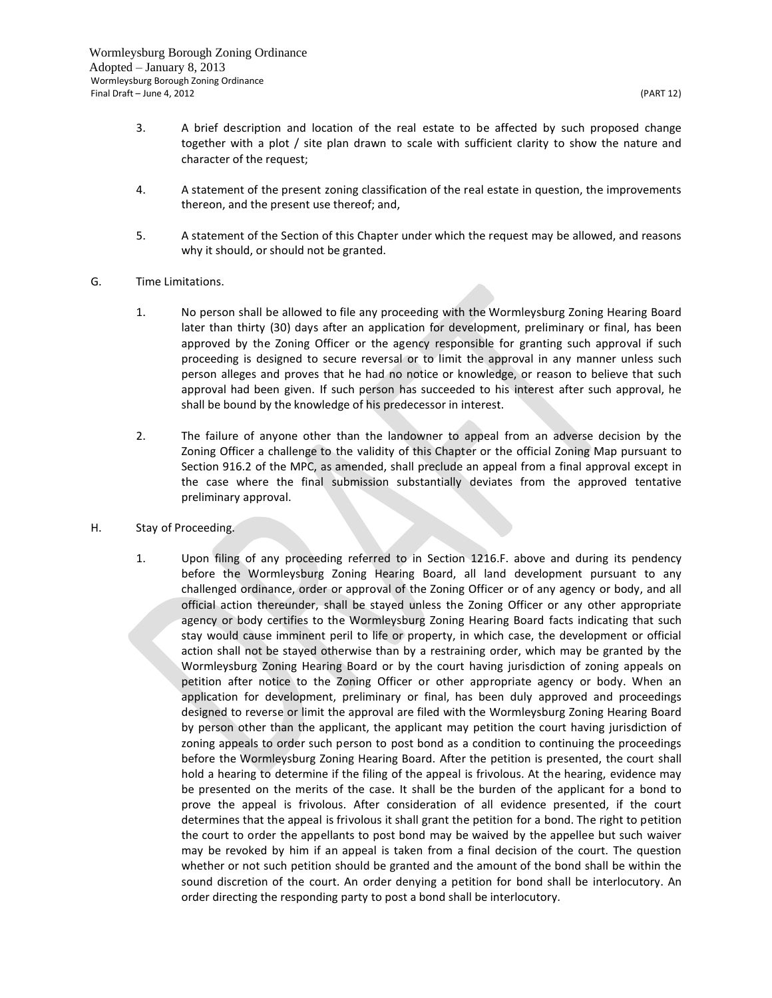- 3. A brief description and location of the real estate to be affected by such proposed change together with a plot / site plan drawn to scale with sufficient clarity to show the nature and character of the request;
- 4. A statement of the present zoning classification of the real estate in question, the improvements thereon, and the present use thereof; and,
- 5. A statement of the Section of this Chapter under which the request may be allowed, and reasons why it should, or should not be granted.
- G. Time Limitations.
	- 1. No person shall be allowed to file any proceeding with the Wormleysburg Zoning Hearing Board later than thirty (30) days after an application for development, preliminary or final, has been approved by the Zoning Officer or the agency responsible for granting such approval if such proceeding is designed to secure reversal or to limit the approval in any manner unless such person alleges and proves that he had no notice or knowledge, or reason to believe that such approval had been given. If such person has succeeded to his interest after such approval, he shall be bound by the knowledge of his predecessor in interest.
	- 2. The failure of anyone other than the landowner to appeal from an adverse decision by the Zoning Officer a challenge to the validity of this Chapter or the official Zoning Map pursuant to Section 916.2 of the MPC, as amended, shall preclude an appeal from a final approval except in the case where the final submission substantially deviates from the approved tentative preliminary approval.
- H. Stay of Proceeding.
	- 1. Upon filing of any proceeding referred to in Section 1216.F. above and during its pendency before the Wormleysburg Zoning Hearing Board, all land development pursuant to any challenged ordinance, order or approval of the Zoning Officer or of any agency or body, and all official action thereunder, shall be stayed unless the Zoning Officer or any other appropriate agency or body certifies to the Wormleysburg Zoning Hearing Board facts indicating that such stay would cause imminent peril to life or property, in which case, the development or official action shall not be stayed otherwise than by a restraining order, which may be granted by the Wormleysburg Zoning Hearing Board or by the court having jurisdiction of zoning appeals on petition after notice to the Zoning Officer or other appropriate agency or body. When an application for development, preliminary or final, has been duly approved and proceedings designed to reverse or limit the approval are filed with the Wormleysburg Zoning Hearing Board by person other than the applicant, the applicant may petition the court having jurisdiction of zoning appeals to order such person to post bond as a condition to continuing the proceedings before the Wormleysburg Zoning Hearing Board. After the petition is presented, the court shall hold a hearing to determine if the filing of the appeal is frivolous. At the hearing, evidence may be presented on the merits of the case. It shall be the burden of the applicant for a bond to prove the appeal is frivolous. After consideration of all evidence presented, if the court determines that the appeal is frivolous it shall grant the petition for a bond. The right to petition the court to order the appellants to post bond may be waived by the appellee but such waiver may be revoked by him if an appeal is taken from a final decision of the court. The question whether or not such petition should be granted and the amount of the bond shall be within the sound discretion of the court. An order denying a petition for bond shall be interlocutory. An order directing the responding party to post a bond shall be interlocutory.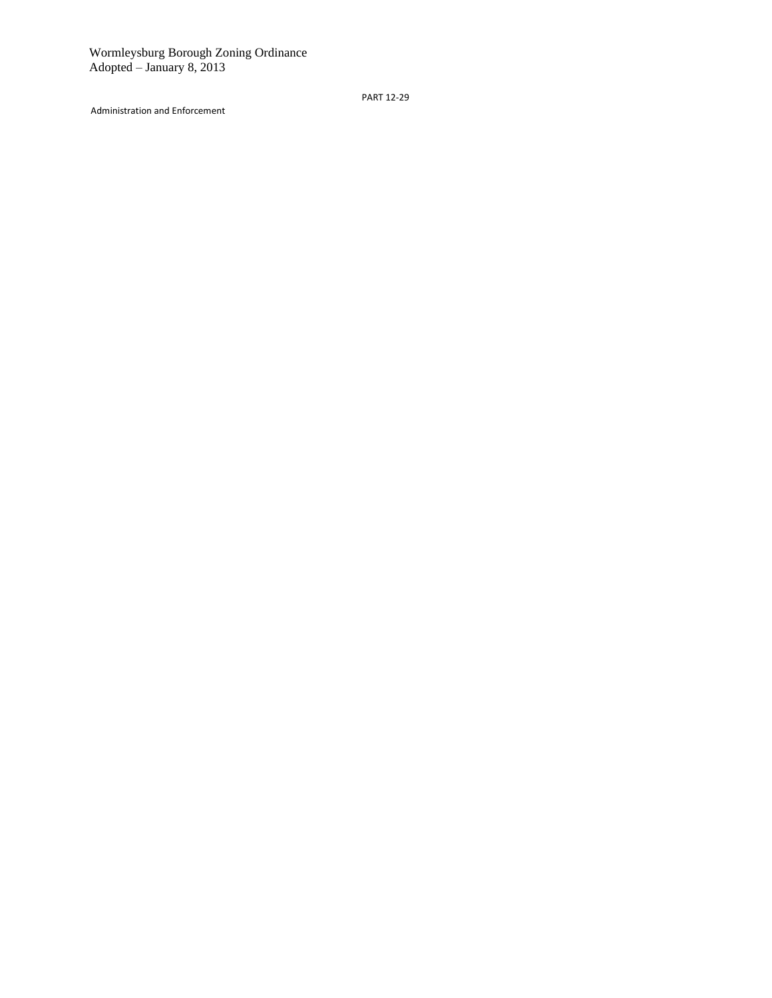Administration and Enforcement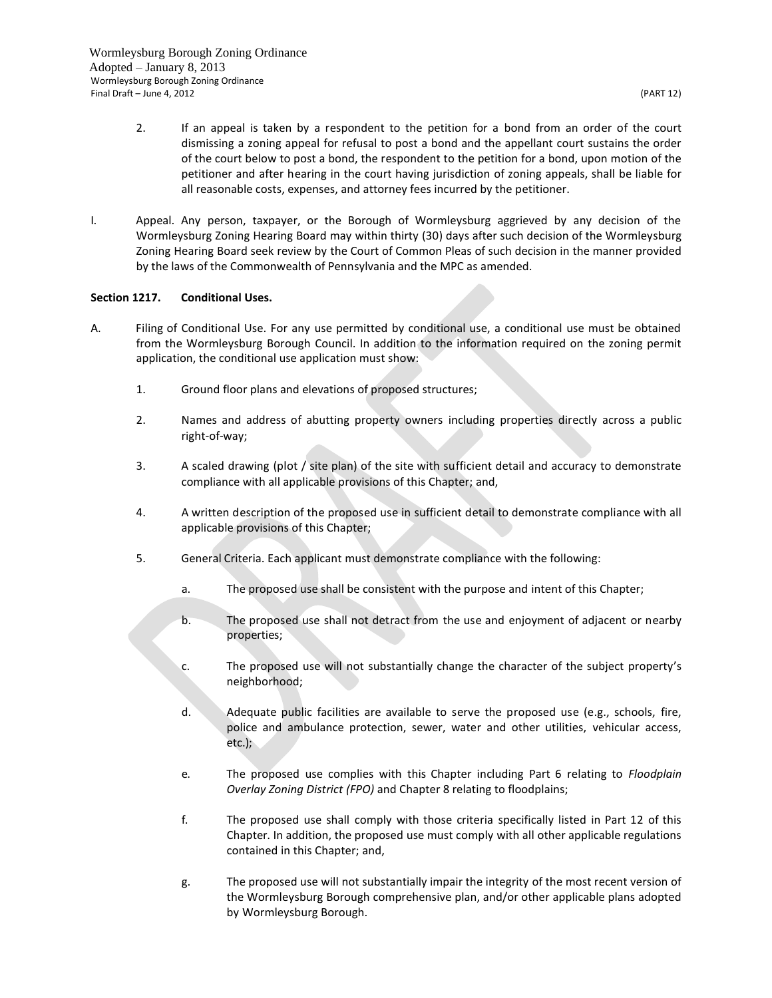- 2. If an appeal is taken by a respondent to the petition for a bond from an order of the court dismissing a zoning appeal for refusal to post a bond and the appellant court sustains the order of the court below to post a bond, the respondent to the petition for a bond, upon motion of the petitioner and after hearing in the court having jurisdiction of zoning appeals, shall be liable for all reasonable costs, expenses, and attorney fees incurred by the petitioner.
- I. Appeal. Any person, taxpayer, or the Borough of Wormleysburg aggrieved by any decision of the Wormleysburg Zoning Hearing Board may within thirty (30) days after such decision of the Wormleysburg Zoning Hearing Board seek review by the Court of Common Pleas of such decision in the manner provided by the laws of the Commonwealth of Pennsylvania and the MPC as amended.

# **Section 1217. Conditional Uses.**

- A. Filing of Conditional Use. For any use permitted by conditional use, a conditional use must be obtained from the Wormleysburg Borough Council. In addition to the information required on the zoning permit application, the conditional use application must show:
	- 1. Ground floor plans and elevations of proposed structures;
	- 2. Names and address of abutting property owners including properties directly across a public right-of-way;
	- 3. A scaled drawing (plot / site plan) of the site with sufficient detail and accuracy to demonstrate compliance with all applicable provisions of this Chapter; and,
	- 4. A written description of the proposed use in sufficient detail to demonstrate compliance with all applicable provisions of this Chapter;
	- 5. General Criteria. Each applicant must demonstrate compliance with the following:
		- a. The proposed use shall be consistent with the purpose and intent of this Chapter;
		- b. The proposed use shall not detract from the use and enjoyment of adjacent or nearby properties;
		- c. The proposed use will not substantially change the character of the subject property's neighborhood;
		- d. Adequate public facilities are available to serve the proposed use (e.g., schools, fire, police and ambulance protection, sewer, water and other utilities, vehicular access, etc.);
		- e. The proposed use complies with this Chapter including Part 6 relating to *Floodplain Overlay Zoning District (FPO)* and Chapter 8 relating to floodplains;
		- f. The proposed use shall comply with those criteria specifically listed in Part 12 of this Chapter. In addition, the proposed use must comply with all other applicable regulations contained in this Chapter; and,
		- g. The proposed use will not substantially impair the integrity of the most recent version of the Wormleysburg Borough comprehensive plan, and/or other applicable plans adopted by Wormleysburg Borough.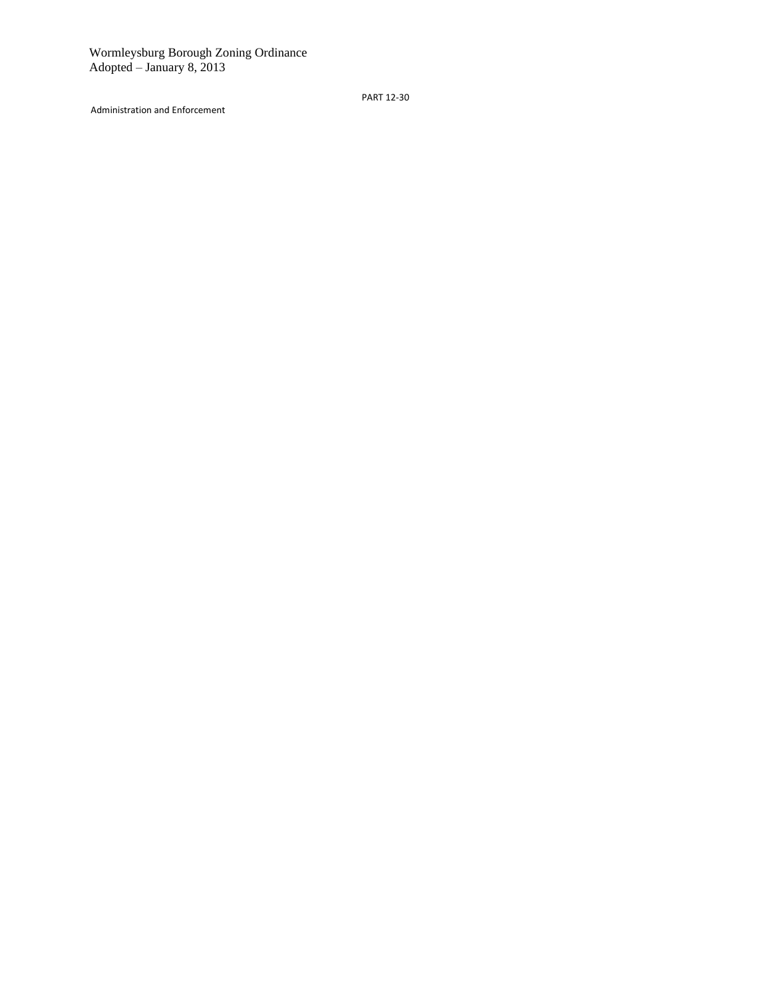Administration and Enforcement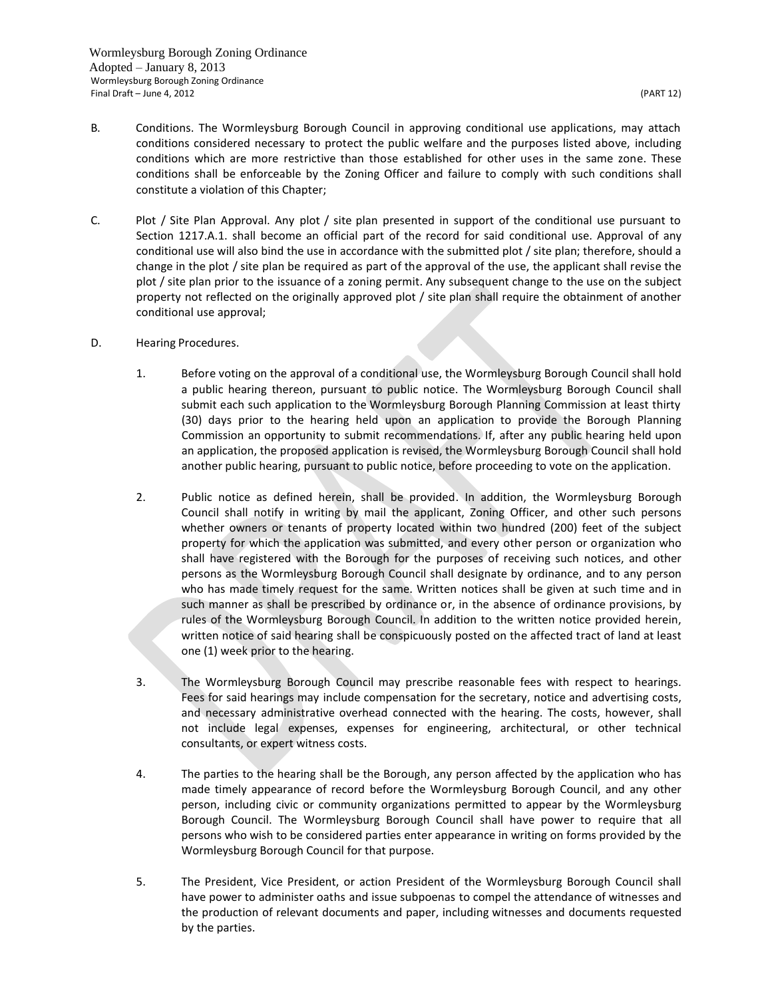- B. Conditions. The Wormleysburg Borough Council in approving conditional use applications, may attach conditions considered necessary to protect the public welfare and the purposes listed above, including conditions which are more restrictive than those established for other uses in the same zone. These conditions shall be enforceable by the Zoning Officer and failure to comply with such conditions shall constitute a violation of this Chapter;
- C. Plot / Site Plan Approval. Any plot / site plan presented in support of the conditional use pursuant to Section 1217.A.1. shall become an official part of the record for said conditional use. Approval of any conditional use will also bind the use in accordance with the submitted plot / site plan; therefore, should a change in the plot / site plan be required as part of the approval of the use, the applicant shall revise the plot / site plan prior to the issuance of a zoning permit. Any subsequent change to the use on the subject property not reflected on the originally approved plot / site plan shall require the obtainment of another conditional use approval;
- D. Hearing Procedures.
	- 1. Before voting on the approval of a conditional use, the Wormleysburg Borough Council shall hold a public hearing thereon, pursuant to public notice. The Wormleysburg Borough Council shall submit each such application to the Wormleysburg Borough Planning Commission at least thirty (30) days prior to the hearing held upon an application to provide the Borough Planning Commission an opportunity to submit recommendations. If, after any public hearing held upon an application, the proposed application is revised, the Wormleysburg Borough Council shall hold another public hearing, pursuant to public notice, before proceeding to vote on the application.
	- 2. Public notice as defined herein, shall be provided. In addition, the Wormleysburg Borough Council shall notify in writing by mail the applicant, Zoning Officer, and other such persons whether owners or tenants of property located within two hundred (200) feet of the subject property for which the application was submitted, and every other person or organization who shall have registered with the Borough for the purposes of receiving such notices, and other persons as the Wormleysburg Borough Council shall designate by ordinance, and to any person who has made timely request for the same. Written notices shall be given at such time and in such manner as shall be prescribed by ordinance or, in the absence of ordinance provisions, by rules of the Wormleysburg Borough Council. In addition to the written notice provided herein, written notice of said hearing shall be conspicuously posted on the affected tract of land at least one (1) week prior to the hearing.
	- 3. The Wormleysburg Borough Council may prescribe reasonable fees with respect to hearings. Fees for said hearings may include compensation for the secretary, notice and advertising costs, and necessary administrative overhead connected with the hearing. The costs, however, shall not include legal expenses, expenses for engineering, architectural, or other technical consultants, or expert witness costs.
	- 4. The parties to the hearing shall be the Borough, any person affected by the application who has made timely appearance of record before the Wormleysburg Borough Council, and any other person, including civic or community organizations permitted to appear by the Wormleysburg Borough Council. The Wormleysburg Borough Council shall have power to require that all persons who wish to be considered parties enter appearance in writing on forms provided by the Wormleysburg Borough Council for that purpose.
	- 5. The President, Vice President, or action President of the Wormleysburg Borough Council shall have power to administer oaths and issue subpoenas to compel the attendance of witnesses and the production of relevant documents and paper, including witnesses and documents requested by the parties.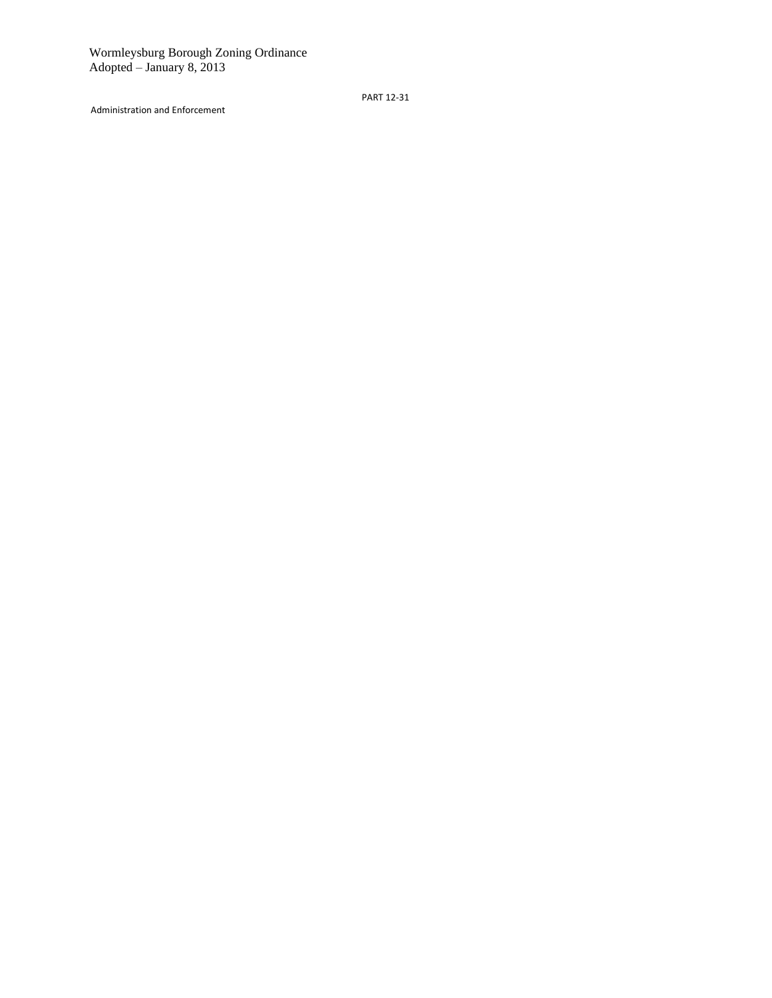Administration and Enforcement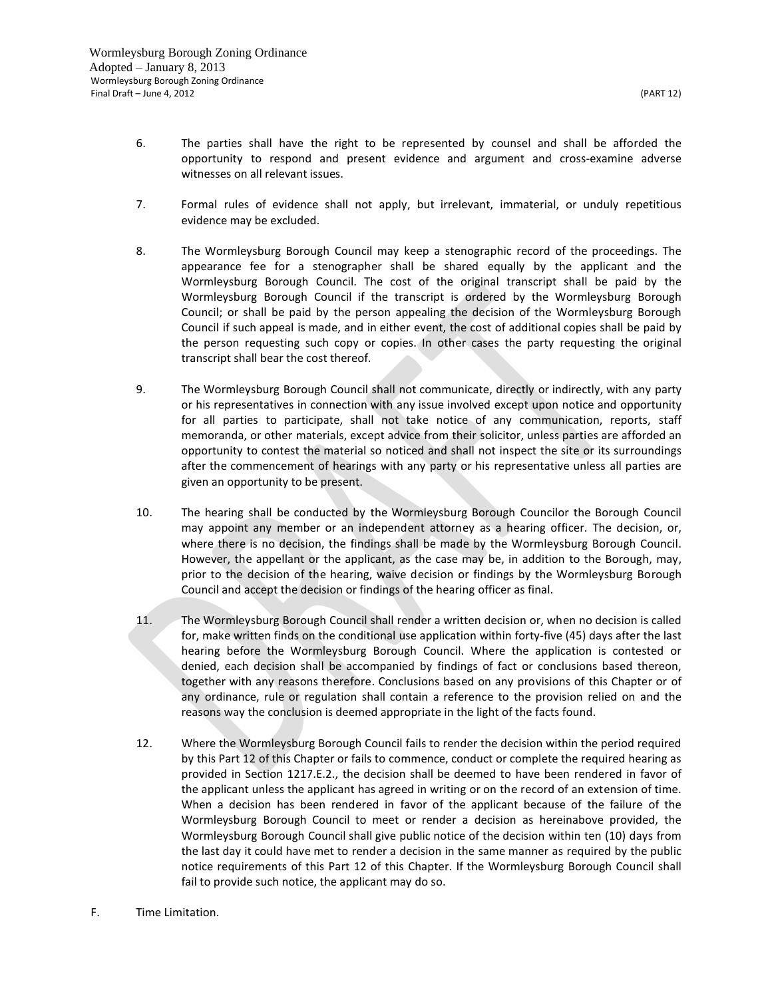witnesses on all relevant issues.

- 6. The parties shall have the right to be represented by counsel and shall be afforded the
- 7. Formal rules of evidence shall not apply, but irrelevant, immaterial, or unduly repetitious evidence may be excluded.

opportunity to respond and present evidence and argument and cross-examine adverse

- 8. The Wormleysburg Borough Council may keep a stenographic record of the proceedings. The appearance fee for a stenographer shall be shared equally by the applicant and the Wormleysburg Borough Council. The cost of the original transcript shall be paid by the Wormleysburg Borough Council if the transcript is ordered by the Wormleysburg Borough Council; or shall be paid by the person appealing the decision of the Wormleysburg Borough Council if such appeal is made, and in either event, the cost of additional copies shall be paid by the person requesting such copy or copies. In other cases the party requesting the original transcript shall bear the cost thereof.
- 9. The Wormleysburg Borough Council shall not communicate, directly or indirectly, with any party or his representatives in connection with any issue involved except upon notice and opportunity for all parties to participate, shall not take notice of any communication, reports, staff memoranda, or other materials, except advice from their solicitor, unless parties are afforded an opportunity to contest the material so noticed and shall not inspect the site or its surroundings after the commencement of hearings with any party or his representative unless all parties are given an opportunity to be present.
- 10. The hearing shall be conducted by the Wormleysburg Borough Councilor the Borough Council may appoint any member or an independent attorney as a hearing officer. The decision, or, where there is no decision, the findings shall be made by the Wormleysburg Borough Council. However, the appellant or the applicant, as the case may be, in addition to the Borough, may, prior to the decision of the hearing, waive decision or findings by the Wormleysburg Borough Council and accept the decision or findings of the hearing officer as final.
- 11. The Wormleysburg Borough Council shall render a written decision or, when no decision is called for, make written finds on the conditional use application within forty-five (45) days after the last hearing before the Wormleysburg Borough Council. Where the application is contested or denied, each decision shall be accompanied by findings of fact or conclusions based thereon, together with any reasons therefore. Conclusions based on any provisions of this Chapter or of any ordinance, rule or regulation shall contain a reference to the provision relied on and the reasons way the conclusion is deemed appropriate in the light of the facts found.
- 12. Where the Wormleysburg Borough Council fails to render the decision within the period required by this Part 12 of this Chapter or fails to commence, conduct or complete the required hearing as provided in Section 1217.E.2., the decision shall be deemed to have been rendered in favor of the applicant unless the applicant has agreed in writing or on the record of an extension of time. When a decision has been rendered in favor of the applicant because of the failure of the Wormleysburg Borough Council to meet or render a decision as hereinabove provided, the Wormleysburg Borough Council shall give public notice of the decision within ten (10) days from the last day it could have met to render a decision in the same manner as required by the public notice requirements of this Part 12 of this Chapter. If the Wormleysburg Borough Council shall fail to provide such notice, the applicant may do so.
- F. Time Limitation.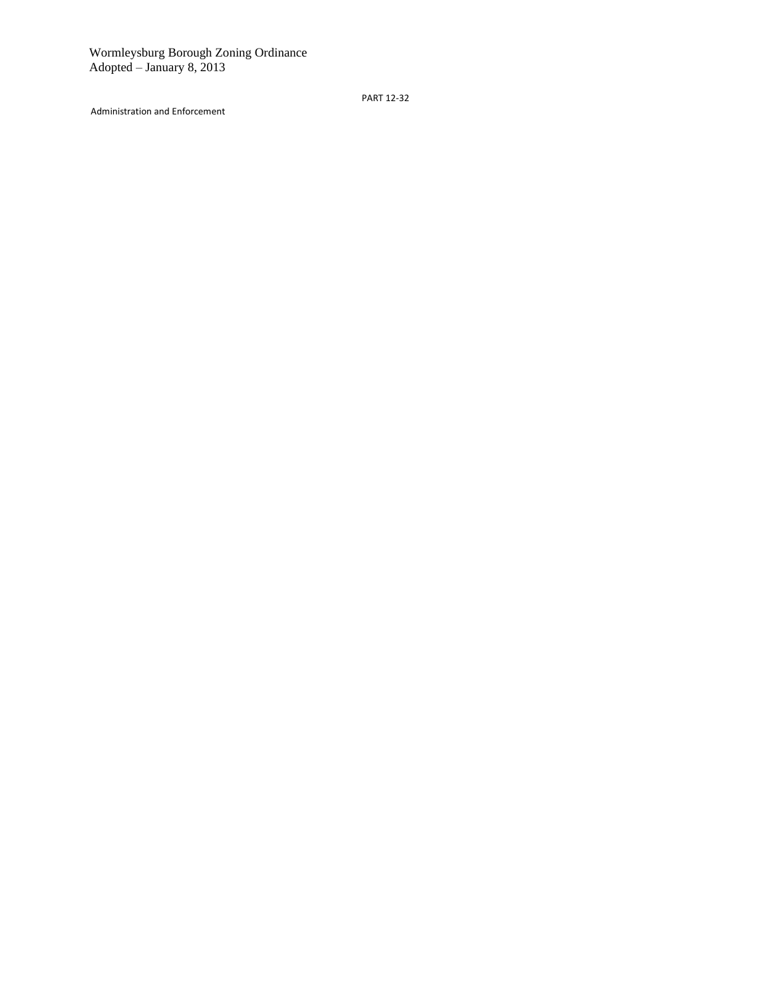Administration and Enforcement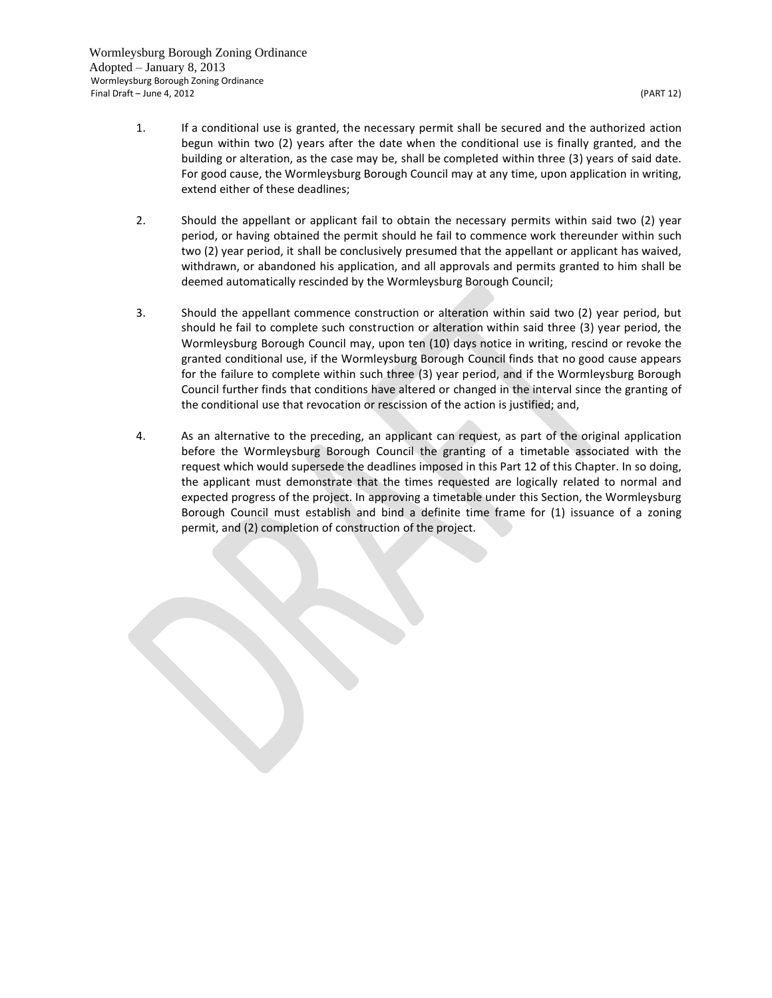- 1. If a conditional use is granted, the necessary permit shall be secured and the authorized action begun within two (2) years after the date when the conditional use is finally granted, and the building or alteration, as the case may be, shall be completed within three (3) years of said date. For good cause, the Wormleysburg Borough Council may at any time, upon application in writing, extend either of these deadlines;
- 2. Should the appellant or applicant fail to obtain the necessary permits within said two (2) year period, or having obtained the permit should he fail to commence work thereunder within such two (2) year period, it shall be conclusively presumed that the appellant or applicant has waived, withdrawn, or abandoned his application, and all approvals and permits granted to him shall be deemed automatically rescinded by the Wormleysburg Borough Council;
- 3. Should the appellant commence construction or alteration within said two (2) year period, but should he fail to complete such construction or alteration within said three (3) year period, the Wormleysburg Borough Council may, upon ten (10) days notice in writing, rescind or revoke the granted conditional use, if the Wormleysburg Borough Council finds that no good cause appears for the failure to complete within such three (3) year period, and if the Wormleysburg Borough Council further finds that conditions have altered or changed in the interval since the granting of the conditional use that revocation or rescission of the action is justified; and,
- 4. As an alternative to the preceding, an applicant can request, as part of the original application before the Wormleysburg Borough Council the granting of a timetable associated with the request which would supersede the deadlines imposed in this Part 12 of this Chapter. In so doing, the applicant must demonstrate that the times requested are logically related to normal and expected progress of the project. In approving a timetable under this Section, the Wormleysburg Borough Council must establish and bind a definite time frame for (1) issuance of a zoning permit, and (2) completion of construction of the project.